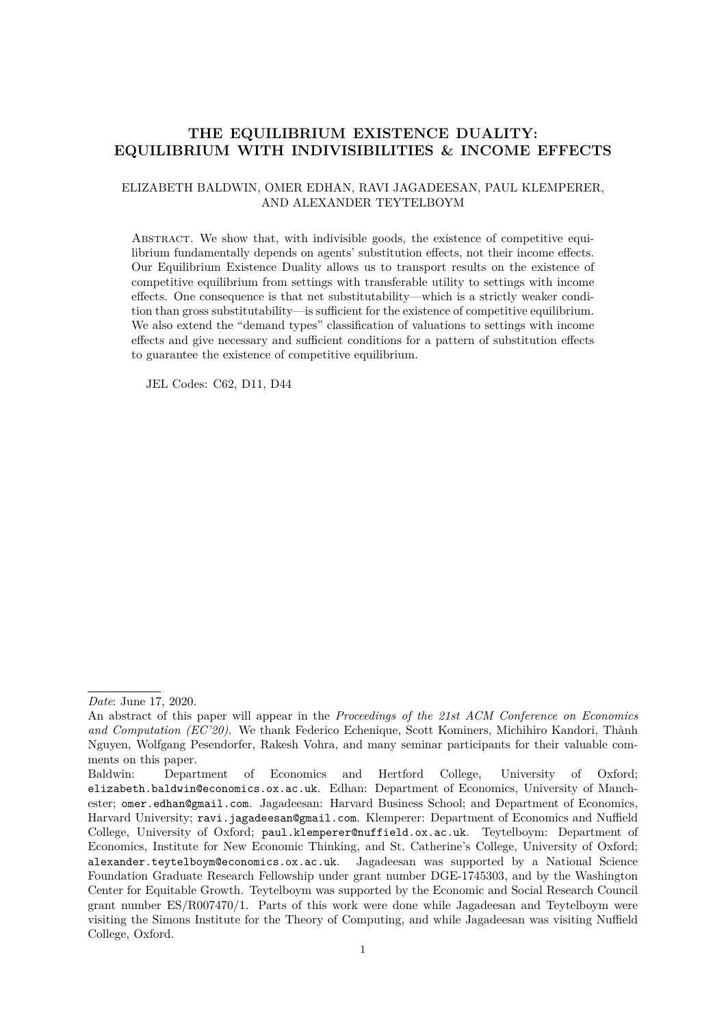## **THE EQUILIBRIUM EXISTENCE DUALITY: EQUILIBRIUM WITH INDIVISIBILITIES & INCOME EFFECTS**

### ELIZABETH BALDWIN, OMER EDHAN, RAVI JAGADEESAN, PAUL KLEMPERER, AND ALEXANDER TEYTELBOYM

Abstract. We show that, with indivisible goods, the existence of competitive equilibrium fundamentally depends on agents' substitution effects, not their income effects. Our Equilibrium Existence Duality allows us to transport results on the existence of competitive equilibrium from settings with transferable utility to settings with income effects. One consequence is that net substitutability—which is a strictly weaker condition than gross substitutability—is sufficient for the existence of competitive equilibrium. We also extend the "demand types" classification of valuations to settings with income effects and give necessary and sufficient conditions for a pattern of substitution effects to guarantee the existence of competitive equilibrium.

JEL Codes: C62, D11, D44

*Date*: June 17, 2020.

An abstract of this paper will appear in the *Proceedings of the 21st ACM Conference on Economics and Computation (EC'20)*. We thank Federico Echenique, Scott Kominers, Michihiro Kandori, Thành Nguyen, Wolfgang Pesendorfer, Rakesh Vohra, and many seminar participants for their valuable comments on this paper.

Baldwin: Department of Economics and Hertford College, University of Oxford; elizabeth.baldwin@economics.ox.ac.uk. Edhan: Department of Economics, University of Manchester; omer.edhan@gmail.com. Jagadeesan: Harvard Business School; and Department of Economics, Harvard University; ravi.jagadeesan@gmail.com. Klemperer: Department of Economics and Nuffield College, University of Oxford; paul.klemperer@nuffield.ox.ac.uk. Teytelboym: Department of Economics, Institute for New Economic Thinking, and St. Catherine's College, University of Oxford; alexander.teytelboym@economics.ox.ac.uk. Jagadeesan was supported by a National Science Foundation Graduate Research Fellowship under grant number DGE-1745303, and by the Washington Center for Equitable Growth. Teytelboym was supported by the Economic and Social Research Council grant number ES/R007470/1. Parts of this work were done while Jagadeesan and Teytelboym were visiting the Simons Institute for the Theory of Computing, and while Jagadeesan was visiting Nuffield College, Oxford.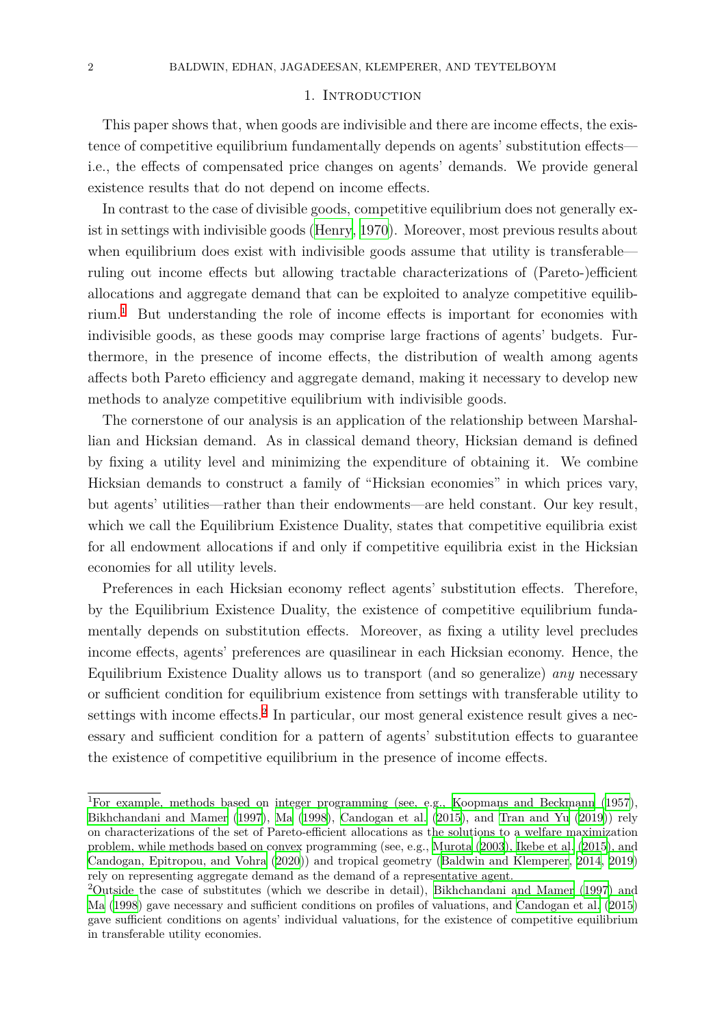#### 1. INTRODUCTION

This paper shows that, when goods are indivisible and there are income effects, the existence of competitive equilibrium fundamentally depends on agents' substitution effects i.e., the effects of compensated price changes on agents' demands. We provide general existence results that do not depend on income effects.

In contrast to the case of divisible goods, competitive equilibrium does not generally exist in settings with indivisible goods (Henry, 1970). Moreover, most previous results about when equilibrium does exist with indivisible goods assume that utility is transferable ruling out income effects but allowing tractable characterizations of (Pareto-)efficient allocations and aggregate demand t[hat can be e](#page-38-0)xploited to analyze competitive equilibrium.<sup>1</sup> But understanding the role of income effects is important for economies with indivisible goods, as these goods may comprise large fractions of agents' budgets. Furthermore, in the presence of income effects, the distribution of wealth among agents affec[ts](#page-1-0) both Pareto efficiency and aggregate demand, making it necessary to develop new methods to analyze competitive equilibrium with indivisible goods.

The cornerstone of our analysis is an application of the relationship between Marshallian and Hicksian demand. As in classical demand theory, Hicksian demand is defined by fixing a utility level and minimizing the expenditure of obtaining it. We combine Hicksian demands to construct a family of "Hicksian economies" in which prices vary, but agents' utilities—rather than their endowments—are held constant. Our key result, which we call the Equilibrium Existence Duality, states that competitive equilibria exist for all endowment allocations if and only if competitive equilibria exist in the Hicksian economies for all utility levels.

Preferences in each Hicksian economy reflect agents' substitution effects. Therefore, by the Equilibrium Existence Duality, the existence of competitive equilibrium fundamentally depends on substitution effects. Moreover, as fixing a utility level precludes income effects, agents' preferences are quasilinear in each Hicksian economy. Hence, the Equilibrium Existence Duality allows us to transport (and so generalize) *any* necessary or sufficient condition for equilibrium existence from settings with transferable utility to settings with income effects.<sup>2</sup> In particular, our most general existence result gives a necessary and sufficient condition for a pattern of agents' substitution effects to guarantee the existence of competitive equilibrium in the presence of income effects.

<sup>&</sup>lt;sup>1</sup>For example, methods based on integer programming (see, e.g., Koopmans and Beckmann (1957), Bikhchandani and Mamer (1997), Ma (1998), Candogan et al. (2015), and Tran and Yu (2019)) rely on characterizations of the set of Pareto-efficient allocations as the solutions to a welfare maximization problem, while methods based on convex programming (see, e.g., Murota (2003), Ikebe et al. (2015), and Candogan, Epitropou, and Vohra (2020)) and tropical geometry (B[aldwin and Klemperer,](#page-38-1) 2014, [2019](#page-38-1)) [rely on representing aggregate de](#page-37-0)m[and](#page-38-2) [as the](#page-38-2) [demand of a repre](#page-37-1)s[entat](#page-37-1)ive ag[ent.](#page-39-0)

<span id="page-1-0"></span><sup>2</sup>Outside the case of substitutes (which we describe in detail), Bikhchandani and Mamer [\(1997](#page-39-0)) and Ma (1998) gave necessary and sufficient conditions on profiles of [valuations, an](#page-38-3)d [Candogan et al.](#page-38-4) (2015) [gave sufficient conditions on agen](#page-37-2)t[s' ind](#page-37-2)ividual valuations, for the [existence of competitive equil](#page-37-3)i[brium](#page-37-4) in transferable utility economies.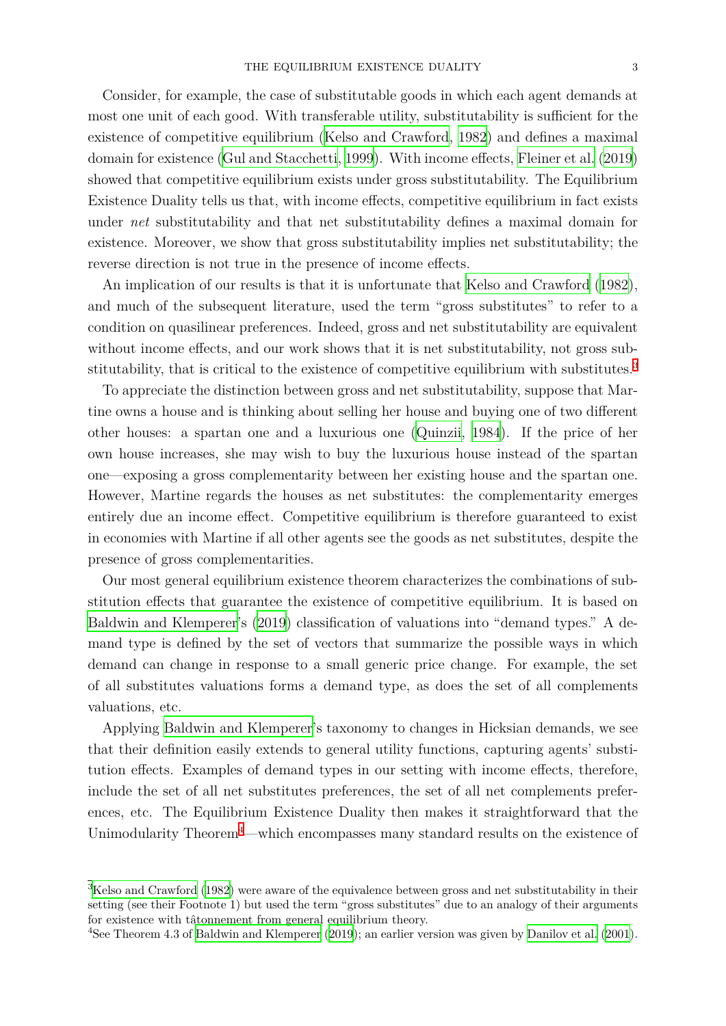Consider, for example, the case of substitutable goods in which each agent demands at most one unit of each good. With transferable utility, substitutability is sufficient for the existence of competitive equilibrium (Kelso and Crawford, 1982) and defines a maximal domain for existence (Gul and Stacchetti, 1999). With income effects, Fleiner et al. (2019) showed that competitive equilibrium exists under gross substitutability. The Equilibrium Existence Duality tells us that, with i[ncome effects, compe](#page-38-5)ti[tive e](#page-38-5)quilibrium in fact exists under *net* substituta[bility and that net subst](#page-37-5)itutability defines a [maximal dom](#page-37-6)a[in for](#page-37-6) existence. Moreover, we show that gross substitutability implies net substitutability; the reverse direction is not true in the presence of income effects.

An implication of our results is that it is unfortunate that Kelso and Crawford (1982), and much of the subsequent literature, used the term "gross substitutes" to refer to a condition on quasilinear preferences. Indeed, gross and net substitutability are equivalent without income effects, and our work shows that it is net su[bstitutability, not gross sub](#page-38-5)stitutability, that is critical to the existence of competitive equilibrium with substitutes.<sup>3</sup>

To appreciate the distinction between gross and net substitutability, suppose that Martine owns a house and is thinking about selling her house and buying one of two different other houses: a spartan one and a luxurious one (Quinzii, 1984). If the price of he[r](#page-2-0) own house increases, she may wish to buy the luxurious house instead of the spartan one—exposing a gross complementarity between her existing house and the spartan one. However, Martine regards the houses as net substit[utes: the com](#page-38-6)plementarity emerges entirely due an income effect. Competitive equilibrium is therefore guaranteed to exist in economies with Martine if all other agents see the goods as net substitutes, despite the presence of gross complementarities.

Our most general equilibrium existence theorem characterizes the combinations of substitution effects that guarantee the existence of competitive equilibrium. It is based on Baldwin and Klemperer's (2019) classification of valuations into "demand types." A demand type is defined by the set of vectors that summarize the possible ways in which demand can change in response to a small generic price change. For example, the set [of all substitutes valuat](#page-37-4)io[ns for](#page-37-4)ms a demand type, as does the set of all complements valuations, etc.

Applying Baldwin and Klemperer's taxonomy to changes in Hicksian demands, we see that their definition easily extends to general utility functions, capturing agents' substitution effects. Examples of demand types in our setting with income effects, therefore, include the [set of all net substitutes](#page-37-4) preferences, the set of all net complements preferences, etc. The Equilibrium Existence Duality then makes it straightforward that the Unimodularity Theorem<sup>4</sup>—which encompasses many standard results on the existence of

<sup>3</sup>Kelso and Crawford (1982) [w](#page-2-1)ere aware of the equivalence between gross and net substitutability in their setting (see their Footnote 1) but used the term "gross substitutes" due to an analogy of their arguments for existence with tâtonnement from general equilibrium theory.

<span id="page-2-1"></span><span id="page-2-0"></span><sup>4</sup>See Theorem 4.3 of Baldwin and Klemperer (2019); an earlier version was given by Danilov et al. (2001).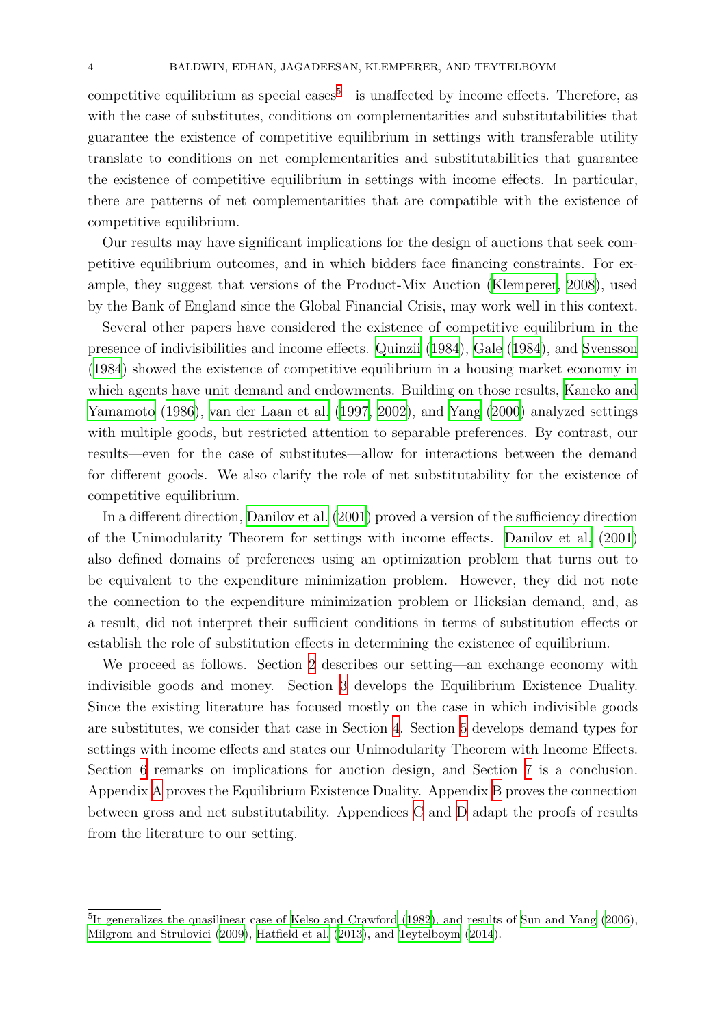competitive equilibrium as special cases<sup>5</sup>—is unaffected by income effects. Therefore, as with the case of substitutes, conditions on complementarities and substitutabilities that guarantee the existence of competitive equilibrium in settings with transferable utility translate to conditions on net comple[me](#page-3-0)ntarities and substitutabilities that guarantee the existence of competitive equilibrium in settings with income effects. In particular, there are patterns of net complementarities that are compatible with the existence of competitive equilibrium.

Our results may have significant implications for the design of auctions that seek competitive equilibrium outcomes, and in which bidders face financing constraints. For example, they suggest that versions of the Product-Mix Auction (Klemperer, 2008), used by the Bank of England since the Global Financial Crisis, may work well in this context.

Several other papers have considered the existence of competitive equilibrium in the presence of indivisibilities and income effects. Quinzii (1984), Gale [\(1984\), a](#page-38-7)nd [Sv](#page-38-7)ensson (1984) showed the existence of competitive equilibrium in a housing market economy in which agents have unit demand and endowments. Building on those results, Kaneko and Yamamoto (1986), van der Laan et al. (1997, [2002\),](#page-38-6) a[nd](#page-38-6) Yang [\(2000\) an](#page-37-7)alyze[d settings](#page-39-1) [with m](#page-39-1)ultiple goods, but restricted attention to separable preferences. By contrast, our results—even for the case of substitutes—allow for interactions between [the demand](#page-38-8) [for differen](#page-38-8)t [good](#page-38-8)s. [We also clarify th](#page-39-2)e [role](#page-39-2) [of net](#page-39-3) subst[itutab](#page-39-4)i[lity fo](#page-39-4)r the existence of competitive equilibrium.

In a different direction, Danilov et al. (2001) proved a version of the sufficiency direction of the Unimodularity Theorem for settings with income effects. Danilov et al. (2001) also defined domains of preferences using an optimization problem that turns out to be equivalent to the exp[enditure minimizat](#page-37-8)ion problem. However, they did not note the connection to the expenditure minimization problem or Hick[sian demand, and, as](#page-37-8) a result, did not interpret their sufficient conditions in terms of substitution effects or establish the role of substitution effects in determining the existence of equilibrium.

We proceed as follows. Section 2 describes our setting—an exchange economy with indivisible goods and money. Section 3 develops the Equilibrium Existence Duality. Since the existing literature has focused mostly on the case in which indivisible goods are substitutes, we consider that c[ase](#page-4-0) in Section 4. Section 5 develops demand types for settings with income effects and states o[ur](#page-8-0) Unimodularity Theorem with Income Effects. Section 6 remarks on implications for auction design, and Section 7 is a conclusion. Appendix A proves the Equilibrium Existence Du[al](#page-12-0)ity. App[en](#page-18-0)dix B proves the connection between gross and net substitutability. Appendices C and D adapt t[he](#page-27-0) proofs of results from th[e l](#page-26-0)[ite](#page-28-0)rature to our setting.

<span id="page-3-0"></span><sup>&</sup>lt;sup>5</sup>It generalizes the quasilinear case of Kelso and Crawford (1982), and results of Sun and Yang (2006), Milgrom and Strulovici (2009), Hatfield et al. (2013), and Teytelboym (2014).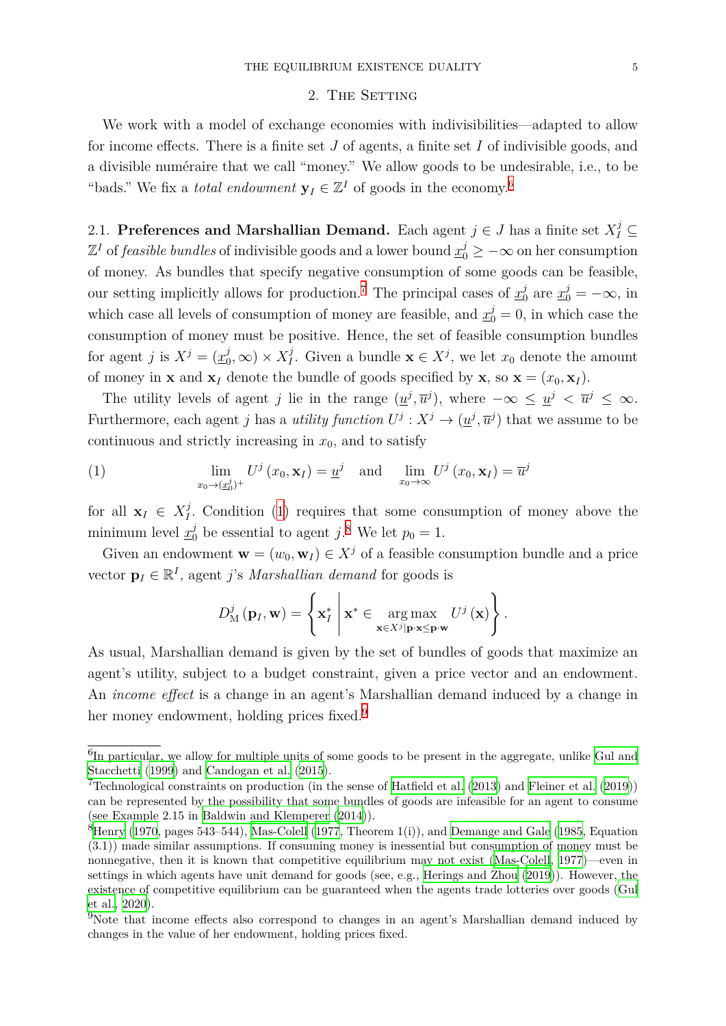#### 2. THE SETTING

<span id="page-4-0"></span>We work with a model of exchange economies with indivisibilities—adapted to allow for income effects. There is a finite set *J* of agents, a finite set *I* of indivisible goods, and a divisible numéraire that we call "money." We allow goods to be undesirable, i.e., to be "bads." We fix a *total endowment*  $y_I \in \mathbb{Z}^I$  of goods in the economy.<sup>6</sup>

2.1. **Preferences and Marshallian Demand.** Each agent  $j \in J$  has a finite set  $X_I^j \subseteq$  $\mathbb{Z}^I$  of *feasible bundles* of indivisible goods and a lower bound  $\underline{x}_0^j \geq -\infty$  on her consumption of money. As bundles that specify negative consumption of some goods can be feasible, our setting implicitly allows for production.<sup>7</sup> The principal cases of  $x_0^j$  $y_0^j$  are  $\underline{x}_0^j = -\infty$ , in which case all levels of consumption of money are feasible, and  $\underline{x}_0^j = 0$ , in which case the consumption of money must be positive. Hence, the set of feasible consumption bundles for agent *j* is  $X^j = (\underline{x}_0^j)$  $\chi^j(0,\infty) \times X^j_I$ *I*<sup>*j*</sup>. Given a [b](#page-4-2)undle  $\mathbf{x} \in X^j$ , we let  $x_0$  denote the amount of money in **x** and  $\mathbf{x}_I$  denote the bundle of goods specified by **x***,* so  $\mathbf{x} = (x_0, \mathbf{x}_I)$ .

The utility levels of agent *j* lie in the range  $(\underline{u}^j, \overline{u}^j)$ , where  $-\infty \leq \underline{u}^j < \overline{u}^j \leq \infty$ . Furthermore, each agent *j* has a *utility function*  $U^j: X^j \to (\underline{u}^j, \overline{u}^j)$  that we assume to be continuous and strictly increasing in  $x_0$ , and to satisfy

(1) 
$$
\lim_{x_0 \to (\underline{x}_0^j)^+} U^j(x_0, \mathbf{x}_I) = \underline{u}^j \quad \text{and} \quad \lim_{x_0 \to \infty} U^j(x_0, \mathbf{x}_I) = \overline{u}^j
$$

for all  $\mathbf{x}_I \in X_I^j$ *I .* Condition (1) requires that some consumption of money above the minimum level  $x_0^j$  be essential to agent *j*.<sup>8</sup> We let  $p_0 = 1$ .

Given an endowment  $\mathbf{w} = (w_0, \mathbf{w}_I) \in X^j$  of a feasible consumption bundle and a price vector  $\mathbf{p}_I \in \mathbb{R}^I$  $\mathbf{p}_I \in \mathbb{R}^I$  $\mathbf{p}_I \in \mathbb{R}^I$ , agent *j*'s *Mar[sh](#page-4-3)allian demand* for goods is

<span id="page-4-3"></span>
$$
D_{\mathbf{M}}^{j}(\mathbf{p}_{I}, \mathbf{w}) = \left\{ \mathbf{x}_{I}^{*} \middle| \mathbf{x}^{*} \in \underset{\mathbf{x} \in X^{j}|\mathbf{p} \cdot \mathbf{x} \leq \mathbf{p} \cdot \mathbf{w}}{\arg \max} U^{j}(\mathbf{x}) \right\}.
$$

As usual, Marshallian demand is given by the set of bundles of goods that maximize an agent's utility, subject to a budget constraint, given a price vector and an endowment. An *income effect* is a change in an agent's Marshallian demand induced by a change in her money endowment, holding prices fixed.<sup>9</sup>

 ${}^{6}$ In particular, we allow for multiple units of some goods to be present in the aggregate, unlike Gul and Stacchetti (1999) and Candogan et al. (2015).

<sup>&</sup>lt;sup>7</sup>Technological constraints on production (in the sense of Hatfield et al. (2013) and Fleiner et al. (2019)) can be represented by the possibility that some bundles of goods are infeasible for an agent to consume (see Example 2.15 in Baldwin and Klemperer (2014)).

<span id="page-4-2"></span><span id="page-4-1"></span> ${}^{8}$ [Henry](#page-37-5) (19[70, pa](#page-37-5)ges 5[43–544\),](#page-37-1) Mas-Colell [\(19](#page-37-1)77, Theorem 1(i)), and Demange and Gale (1985, Equation (3.1)) made similar assumptions. If consuming money is [inessential but consu](#page-37-9)mpti[on of money must b](#page-37-6)e nonnegative, then it is known that competitive equilibrium may not exist (Mas-Colell, 1977)—even in settings in which age[nts have unit demand for goods](#page-37-3) (see, e.g., Herings and Zhou (2019)). However, the [existence of c](#page-38-0)ompetitive equili[brium can be gua](#page-38-9)ranteed when the ag[ents trade lotteries](#page-37-10) [over g](#page-37-10)oods (Gul et al., 2020).

<span id="page-4-4"></span><sup>&</sup>lt;sup>9</sup>Note that income effects also correspond to changes in an agent's Mars[hallian demand in](#page-38-9)duced by changes in the value of her endowment, holding prices fixed.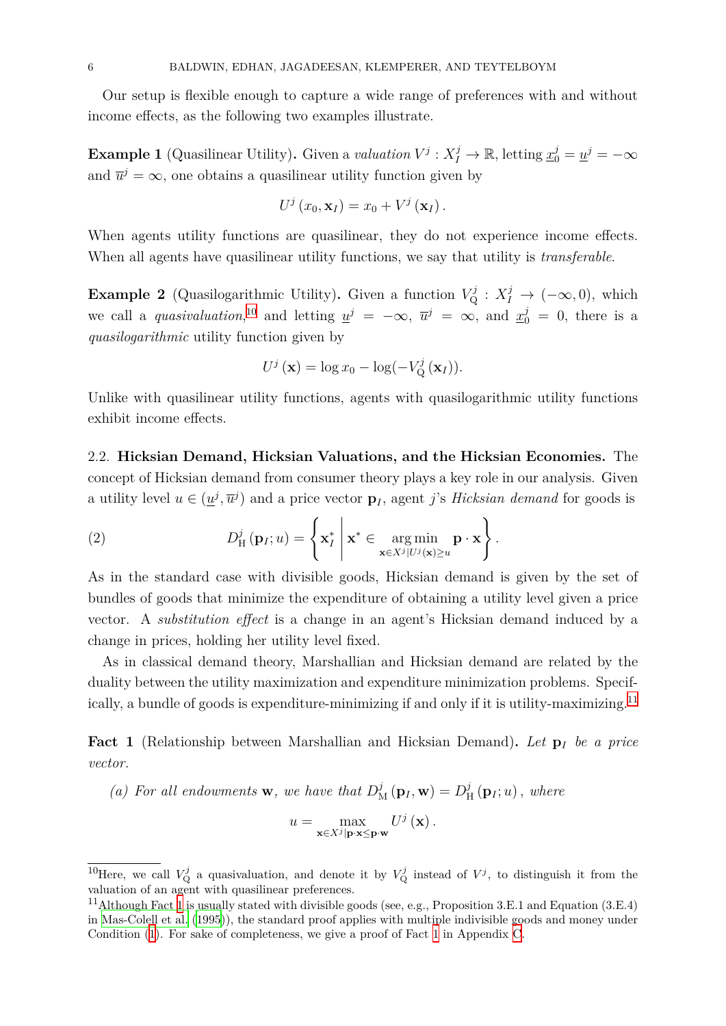Our setup is flexible enough to capture a wide range of preferences with and without income effects, as the following two examples illustrate.

**Example 1** (Quasilinear Utility). Given a *valuation*  $V^j: X_I^j \to \mathbb{R}$ , letting  $\underline{x}_0^j = \underline{u}^j = -\infty$ and  $\overline{u}^j = \infty$ , one obtains a quasilinear utility function given by

$$
U^{j}(x_{0},\mathbf{x}_{I})=x_{0}+V^{j}(\mathbf{x}_{I}).
$$

<span id="page-5-2"></span>When agents utility functions are quasilinear, they do not experience income effects. When all agents have quasilinear utility functions, we say that utility is *transferable*.

**Example 2** (Quasilogarithmic Utility). Given a function  $V^j_Q : X^j_I \to (-\infty, 0)$ , which we call a *quasivaluation*,<sup>10</sup> and letting  $\underline{u}^j = -\infty$ ,  $\overline{u}^j = \infty$ , and  $\underline{x}_0^j = 0$ , there is a *quasilogarithmic* utility function given by

$$
U^j(\mathbf{x}) = \log x_0 - \log(-V^j_{\mathbf{Q}}(\mathbf{x}_I)).
$$

<span id="page-5-3"></span>Unlike with quasilinear utility functions, agents with quasilogarithmic utility functions exhibit income effects.

2.2. **Hicksian Demand, Hicksian Valuations, and the Hicksian Economies.** The concept of Hicksian demand from consumer theory plays a key role in our analysis. Given a utility level  $u \in (\underline{u}^j, \overline{u}^j)$  and a price vector  $\mathbf{p}_I$ , agent *j*'s *Hicksian demand* for goods is

(2) 
$$
D_{\mathrm{H}}^{j}(\mathbf{p}_{I};u)=\left\{\mathbf{x}_{I}^{*}\bigg|\mathbf{x}^{*}\in\underset{\mathbf{x}\in X^{j}|U^{j}(\mathbf{x})\geq u}{\arg\min}\mathbf{p}\cdot\mathbf{x}\right\}.
$$

<span id="page-5-0"></span>As in the standard case with divisible goods, Hicksian demand is given by the set of bundles of goods that minimize the expenditure of obtaining a utility level given a price vector. A *substitution effect* is a change in an agent's Hicksian demand induced by a change in prices, holding her utility level fixed.

As in classical demand theory, Marshallian and Hicksian demand are related by the duality between the utility maximization and expenditure minimization problems. Specifically, a bundle of goods is expenditure-minimizing if and only if it is utility-maximizing.<sup>11</sup>

**Fact 1** (Relationship between Marshallian and Hicksian Demand)**.** *Let* **p***<sup>I</sup> be a price vector.*

<span id="page-5-1"></span>(a) For all endowments **w**, we have that  $D_M^j(\mathbf{p}_I, \mathbf{w}) = D_I^j$  $_{\rm H}^{j}\left(\mathbf{p}_{I};u\right)$ , where

$$
u = \max_{\mathbf{x} \in X^j | \mathbf{p} \cdot \mathbf{x} \leq \mathbf{p} \cdot \mathbf{w}} U^j (\mathbf{x}).
$$

<sup>&</sup>lt;sup>10</sup>Here, we call  $V^j_{\mathbf{Q}}$  a quasivaluation, and denote it by  $V^j_{\mathbf{Q}}$  instead of  $V^j$ , to distinguish it from the valuation of an agent with quasilinear preferences.

<sup>&</sup>lt;sup>11</sup>Although Fact 1 is usually stated with divisible goods (see, e.g., Proposition 3.E.1 and Equation (3.E.4) in Mas-Colell et al. (1995)), the standard proof applies with multiple indivisible goods and money under Condition (1). For sake of completeness, we give a proof of Fact 1 in Appendix C.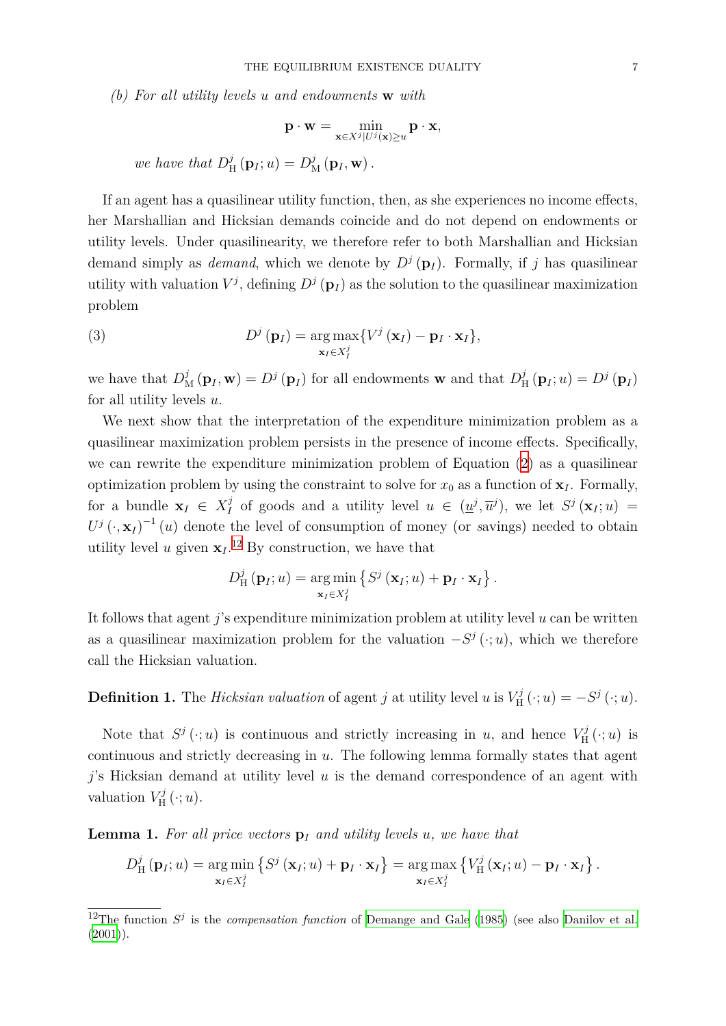*(b) For all utility levels u and endowments* **w** *with*

$$
\mathbf{p} \cdot \mathbf{w} = \min_{\mathbf{x} \in X^j | U^j(\mathbf{x}) \ge u} \mathbf{p} \cdot \mathbf{x},
$$
  
we have that  $D^j_{\mathbf{H}}(\mathbf{p}_I; u) = D^j_{\mathbf{M}}(\mathbf{p}_I, \mathbf{w}).$ 

If an agent has a quasilinear utility function, then, as she experiences no income effects, her Marshallian and Hicksian demands coincide and do not depend on endowments or utility levels. Under quasilinearity, we therefore refer to both Marshallian and Hicksian demand simply as *demand*, which we denote by  $D^j(\mathbf{p}_I)$ . Formally, if *j* has quasilinear utility with valuation  $V^j$ , defining  $D^j(\mathbf{p}_I)$  as the solution to the quasilinear maximization

(3) 
$$
D^{j}(\mathbf{p}_{I}) = \underset{\mathbf{x}_{I} \in X_{I}^{j}}{\arg \max} \{V^{j}(\mathbf{x}_{I}) - \mathbf{p}_{I} \cdot \mathbf{x}_{I}\},
$$

problem

<span id="page-6-1"></span>we have that  $D_M^j(\mathbf{p}_I, \mathbf{w}) = D^j(\mathbf{p}_I)$  for all endowments **w** and that  $D_I^j$  $\frac{J}{H}(\mathbf{p}_I; u) = D^j(\mathbf{p}_I)$ for all utility levels *u*.

We next show that the interpretation of the expenditure minimization problem as a quasilinear maximization problem persists in the presence of income effects. Specifically, we can rewrite the expenditure minimization problem of Equation (2) as a quasilinear optimization problem by using the constraint to solve for  $x_0$  as a function of  $\mathbf{x}_I$ . Formally, for a bundle  $\mathbf{x}_I \in X_I^j$  $\frac{d}{dt}$  of goods and a utility level  $u \in (\underline{u}^j, \overline{u}^j)$ , we let  $S^j(\mathbf{x}_I; u) =$  $U^j$  ( $\cdot$ , **x**<sub>*I*</sub>)<sup>-1</sup> (*u*) denote the level of consumption of money (or *savings*) needed to obtain utility level *u* given  $\mathbf{x}_I$ .<sup>12</sup> By construction, we have that

$$
D_{\mathrm{H}}^{j}(\mathbf{p}_{I};u)=\underset{\mathbf{x}_{I}\in X_{I}^{j}}{\arg\min}\left\{S^{j}\left(\mathbf{x}_{I};u\right)+\mathbf{p}_{I}\cdot\mathbf{x}_{I}\right\}.
$$

It follows that agent *j*'s expenditure minimization problem at utility level *u* can be written as a quasilinear maximization problem for the valuation  $-S^j(\cdot; u)$ , which we therefore call the Hicksian valuation.

**Definition 1.** The *Hicksian valuation* of agent *j* at utility level *u* is *V j*  $J_{\text{H}}^{j}(\cdot; u) = -S^{j}(\cdot; u).$ 

Note that  $S^j(\cdot; u)$  is continuous and strictly increasing in *u*, and hence  $V^j_{\text{H}}$  $C_H^{\jmath}(\cdot;u)$  is continuous and strictly decreasing in *u*. The following lemma formally states that agent *j*'s Hicksian demand at utility level *u* is the demand correspondence of an agent with valuation  $V_{\rm H}^j$  $U_{\rm H}^{\prime\prime}\left(\cdot;u\right)$ .

**Lemma 1.** For all price vectors  $p_i$  and utility levels *u*, we have that

$$
D_{\mathrm{H}}^{j}\left(\mathbf{p}_{I};u\right)=\underset{\mathbf{x}_{I}\in X_{I}^{j}}{\arg\min}\left\{S^{j}\left(\mathbf{x}_{I};u\right)+\mathbf{p}_{I}\cdot\mathbf{x}_{I}\right\}=\underset{\mathbf{x}_{I}\in X_{I}^{j}}{\arg\max}\left\{V_{\mathrm{H}}^{j}\left(\mathbf{x}_{I};u\right)-\mathbf{p}_{I}\cdot\mathbf{x}_{I}\right\}.
$$

<span id="page-6-0"></span><sup>&</sup>lt;sup>12</sup>The function  $S^j$  is the *compensation function* of Demange and Gale (1985) (see also Danilov et al.  $(2001)$ ).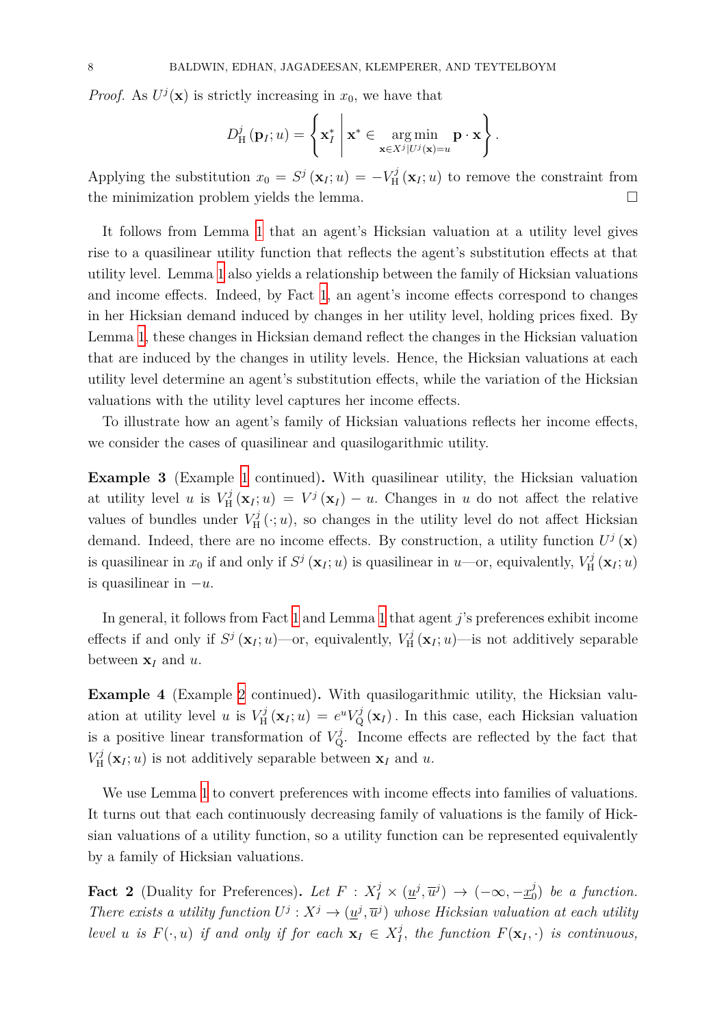*Proof.* As  $U^j(\mathbf{x})$  is strictly increasing in  $x_0$ , we have that

$$
D_{\mathrm{H}}^{j}(\mathbf{p}_{I};u)=\left\{\mathbf{x}_{I}^{*}\;\Bigg|\mathbf{x}^{*}\in\underset{\mathbf{x}\in X^{j}\vert U^{j}(\mathbf{x})=u}{\arg\min}\mathbf{p}\cdot\mathbf{x}\right\}.
$$

Applying the substitution  $x_0 = S^j(\mathbf{x}_I; u) = -V^j_{\text{H}}$  $\chi^{\prime}$   $(\mathbf{x}_I; u)$  to remove the constraint from the minimization problem yields the lemma.  $\Box$ 

It follows from Lemma 1 that an agent's Hicksian valuation at a utility level gives rise to a quasilinear utility function that reflects the agent's substitution effects at that utility level. Lemma 1 also yields a relationship between the family of Hicksian valuations and income effects. Indee[d,](#page-6-0) by Fact 1, an agent's income effects correspond to changes in her Hicksian demand induced by changes in her utility level, holding prices fixed. By Lemma 1, these cha[ng](#page-6-0)es in Hicksian demand reflect the changes in the Hicksian valuation that are induced by the changes in u[ti](#page-5-1)lity levels. Hence, the Hicksian valuations at each utility level determine an agent's substitution effects, while the variation of the Hicksian valuatio[n](#page-6-0)s with the utility level captures her income effects.

To illustrate how an agent's family of Hicksian valuations reflects her income effects, we consider the cases of quasilinear and quasilogarithmic utility.

**Example 3** (Example 1 continued)**.** With quasilinear utility, the Hicksian valuation at utility level *u* is  $V_{\rm H}^{j}$  $V^j$ <sub>H</sub> $(\mathbf{x}_I; u) = V^j(\mathbf{x}_I) - u$ . Changes in *u* do not affect the relative values of bundles under  $V_{\rm H}^{j}$  $H^{\prime}(\cdot; u)$ , so changes in the utility level do not affect Hicksian demand. Indeed, there [are](#page-5-2) no income effects. By construction, a utility function  $U^j(\mathbf{x})$ is quasilinear in  $x_0$  if and only if  $S^j(\mathbf{x}_I; u)$  is quasilinear in  $u$ —or, equivalently,  $V^j_H$  $U_{\rm H}^{\prime\prime}\left(\mathbf{x}_I;u\right)$ is quasilinear in *−u*.

In general, it follows from Fact 1 and Lemma 1 that agent *j*'s preferences exhibit income effects if and only if  $S^j(\mathbf{x}_I; u)$ —or, equivalently,  $V^j_{\text{H}}$  $\sum_{H}^{\prime} (\mathbf{x}_I; u)$ —is not additively separable between **x***<sup>I</sup>* and *u*.

**Example 4** (Example 2 continued). With quasilogarithmic utility, the Hicksian valuation at utility level *u* is  $V_{\rm H}^j$  $\mathbf{H}_{\rm H}^{j}(\mathbf{x}_I; u) = e^{u} V_{\rm Q}^{j}(\mathbf{x}_I)$ . In this case, each Hicksian valuation is a positive linear transformation of  $V_Q^j$ . Income effects are reflected by the fact that  $V_{\rm H}^j$  $K_H^{\jmath}(\mathbf{x}_I; u)$  is not additiv[el](#page-5-3)y separable between  $\mathbf{x}_I$  and  $u$ .

<span id="page-7-1"></span>We use Lemma 1 to convert preferences with income effects into families of valuations. It turns out that each continuously decreasing family of valuations is the family of Hicksian valuations of a utility function, so a utility function can be represented equivalently by a family of Hic[ks](#page-6-0)ian valuations.

<span id="page-7-0"></span>**Fact 2** (Duality for Preferences). Let  $F: X_I^j \times (\underline{u}^j, \overline{u}^j) \rightarrow (-\infty, -\underline{x}_0^j)$  $\binom{J}{0}$  *be a function. There exists a utility function*  $U^j: X^j \to (\underline{u}^j, \overline{u}^j)$  whose Hicksian valuation at each utility *level u is*  $F(\cdot, u)$  *if and only if for each*  $\mathbf{x}_I \in X_I^j$  $I_I^J$ , the function  $F(\mathbf{x}_I, \cdot)$  is continuous,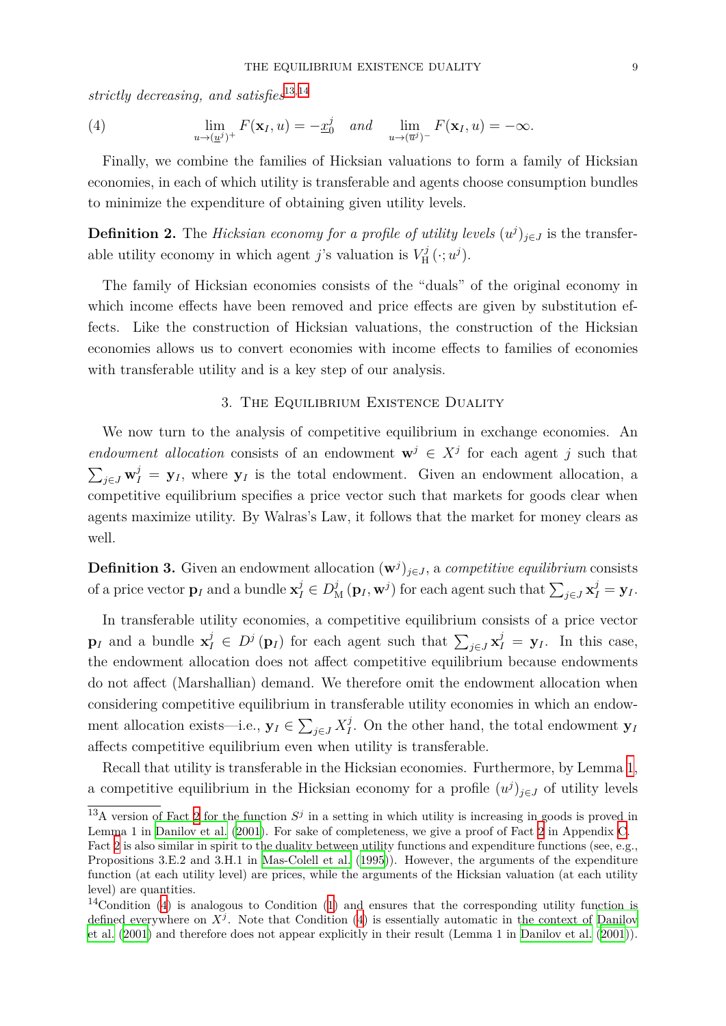*strictly decreasing, and satisfies*<sup>13</sup>*,*<sup>14</sup>

(4) 
$$
\lim_{u \to (\underline{u}^j)^+} F(\mathbf{x}_I, u) = -\underline{x}_0^j \quad and \quad \lim_{u \to (\overline{u}^j)^-} F(\mathbf{x}_I, u) = -\infty.
$$

<span id="page-8-3"></span>Finally, we combine the fam[ili](#page-8-1)[es](#page-8-2) of Hicksian valuations to form a family of Hicksian economies, in each of which utility is transferable and agents choose consumption bundles to minimize the expenditure of obtaining given utility levels.

**Definition 2.** The *Hicksian economy for a profile of utility levels*  $(u^j)_{j \in J}$  is the transferable utility economy in which agent *j*'s valuation is  $V_{\rm H}^j$  $\chi_{\text{H}}^{j}(\cdot; u^{j}).$ 

The family of Hicksian economies consists of the "duals" of the original economy in which income effects have been removed and price effects are given by substitution effects. Like the construction of Hicksian valuations, the construction of the Hicksian economies allows us to convert economies with income effects to families of economies with transferable utility and is a key step of our analysis.

## 3. The Equilibrium Existence Duality

<span id="page-8-0"></span>We now turn to the analysis of competitive equilibrium in exchange economies. An *endowment allocation* consists of an endowment  $\mathbf{w}^j \in X^j$  for each agent *j* such that  $\sum_{j\in J} \mathbf{w}_I^j = \mathbf{y}_I$ , where  $\mathbf{y}_I$  is the total endowment. Given an endowment allocation, a competitive equilibrium specifies a price vector such that markets for goods clear when agents maximize utility. By Walras's Law, it follows that the market for money clears as well.

**Definition 3.** Given an endowment allocation  $(\mathbf{w}^j)_{j \in J}$ , a *competitive equilibrium* consists of a price vector  $\mathbf{p}_I$  and a bundle  $\mathbf{x}_I^j \in D^j_{\mathcal{M}}(\mathbf{p}_I, \mathbf{w}^j)$  for each agent such that  $\sum_{j \in J} \mathbf{x}_I^j = \mathbf{y}_I$ .

In transferable utility economies, a competitive equilibrium consists of a price vector **p**<sub>*I*</sub> and a bundle  $\mathbf{x}_I^j \in D^j(\mathbf{p}_I)$  for each agent such that  $\sum_{j \in J} \mathbf{x}_I^j = \mathbf{y}_I$ . In this case, the endowment allocation does not affect competitive equilibrium because endowments do not affect (Marshallian) demand. We therefore omit the endowment allocation when considering competitive equilibrium in transferable utility economies in which an endowment allocation exists—i.e.,  $\mathbf{y}_I \in \sum_{j \in J} X_I^j$  $\mathbf{y}_I^j$ . On the other hand, the total endowment  $\mathbf{y}_I$ affects competitive equilibrium even when utility is transferable.

Recall that utility is transferable in the Hicksian economies. Furthermore, by Lemma 1, a competitive equilibrium in the Hicksian economy for a profile  $(u^j)_{j \in J}$  of utility levels

<sup>&</sup>lt;sup>13</sup>A version of Fact 2 for the function  $S^j$  [in](#page-6-0) a setting in which utility is increasing in goods is proved in Lemma 1 in Danilov et al. (2001). For sake of completeness, we give a proof of Fact 2 in Appendix C.

<span id="page-8-1"></span>Fact 2 is also similar in spirit to the duality between utility functions and expenditure functions (see, e.g., Propositions 3.E.2 and 3.H.1 in Mas-Colell et al. (1995)). However, the arguments of the expenditure function (at each u[til](#page-7-0)ity level) are prices, while the arguments of the Hicksian valuation (at each utility level) are qu[antities.](#page-37-8)

<span id="page-8-2"></span> $14$ Co[nd](#page-7-0)ition (4) is analogous to Condition (1) and ensures that the corresponding utility function is defined everywhere on  $X^j$ . Not[e that Condition](#page-38-10)  $(4)$  is essentially automatic in the context of Danilov et al. (2001) and therefore does not appear explicitly in their result (Lemma 1 in Danilov et al. (2001)).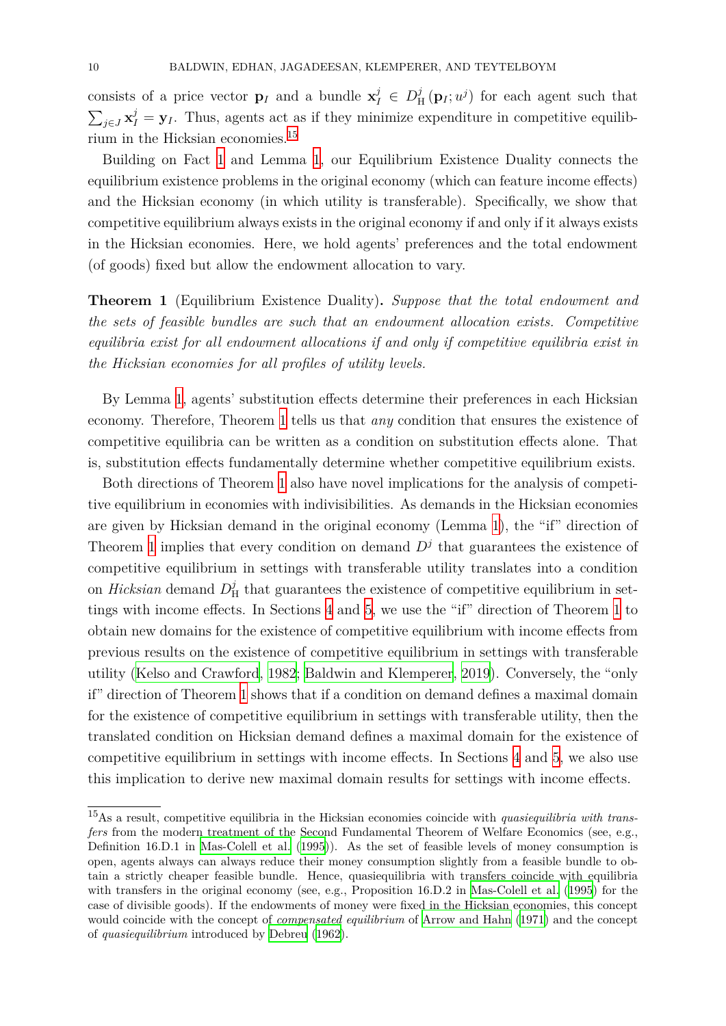consists of a price vector **p**<sub>*I*</sub> and a bundle  $\mathbf{x}_I^j \in D_I^j$  $\frac{f}{H}(\mathbf{p}_I; u^j)$  for each agent such that  $\sum_{j\in J}\mathbf{x}_I^j = \mathbf{y}_I$ . Thus, agents act as if they minimize expenditure in competitive equilibrium in the Hicksian economies.<sup>15</sup>

Building on Fact 1 and Lemma 1, our Equilibrium Existence Duality connects the equilibrium existence problems in the original economy (which can feature income effects) and the Hicksian economy (in [wh](#page-9-0)ich utility is transferable). Specifically, we show that competitive equilibri[um](#page-5-1) always exist[s i](#page-6-0)n the original economy if and only if it always exists in the Hicksian economies. Here, we hold agents' preferences and the total endowment (of goods) fixed but allow the endowment allocation to vary.

**Theorem 1** (Equilibrium Existence Duality)**.** *Suppose that the total endowment and the sets of feasible bundles are such that an endowment allocation exists. Competitive equilibria exist for all endowment allocations if and only if competitive equilibria exist in the Hicksian economies for all profiles of utility levels.*

<span id="page-9-1"></span>By Lemma 1, agents' substitution effects determine their preferences in each Hicksian economy. Therefore, Theorem 1 tells us that *any* condition that ensures the existence of competitive equilibria can be written as a condition on substitution effects alone. That is, substitutio[n](#page-6-0) effects fundamentally determine whether competitive equilibrium exists.

Both directions of Theorem [1](#page-9-1) also have novel implications for the analysis of competitive equilibrium in economies with indivisibilities. As demands in the Hicksian economies are given by Hicksian demand in the original economy (Lemma 1), the "if" direction of Theorem 1 implies that every [co](#page-9-1)ndition on demand  $D<sup>j</sup>$  that guarantees the existence of competitive equilibrium in settings with transferable utility translates into a condition on *Hicksian* demand *D j*  $\frac{J}{H}$  that guarantees the existence of compet[it](#page-6-0)ive equilibrium in settings wit[h i](#page-9-1)ncome effects. In Sections 4 and 5, we use the "if" direction of Theorem 1 to obtain new domains for the existence of competitive equilibrium with income effects from previous results on the existence of competitive equilibrium in settings with transferable utility (Kelso and Crawford, 1982; Ba[ld](#page-12-0)win [an](#page-18-0)d Klemperer, 2019). Conversely, the "[on](#page-9-1)ly if" direction of Theorem 1 shows that if a condition on demand defines a maximal domain for the existence of competitive equilibrium in settings with transferable utility, then the transla[ted condition on Hicksian d](#page-38-5)[emand defines a maximal dom](#page-37-4)ain for the existence of competitive equilibrium [in](#page-9-1) settings with income effects. In Sections 4 and 5, we also use this implication to derive new maximal domain results for settings with income effects.

<span id="page-9-0"></span><sup>15</sup>As a result, competitive equilibria in the Hicksian economies coincide with *qu[as](#page-12-0)iequil[ib](#page-18-0)ria with transfers* from the modern treatment of the Second Fundamental Theorem of Welfare Economics (see, e.g., Definition 16.D.1 in Mas-Colell et al. (1995)). As the set of feasible levels of money consumption is open, agents always can always reduce their money consumption slightly from a feasible bundle to obtain a strictly cheaper feasible bundle. Hence, quasiequilibria with transfers coincide with equilibria with transfers in the original economy (see, e.g., Proposition 16.D.2 in Mas-Colell et al. (1995) for the case of divisible good[s\). If the endowm](#page-38-10)e[nts o](#page-38-10)f money were fixed in the Hicksian economies, this concept would coincide with the concept of *compensated equilibrium* of Arrow and Hahn (1971) and the concept of *quasiequilibrium* introduced by Debreu (1962).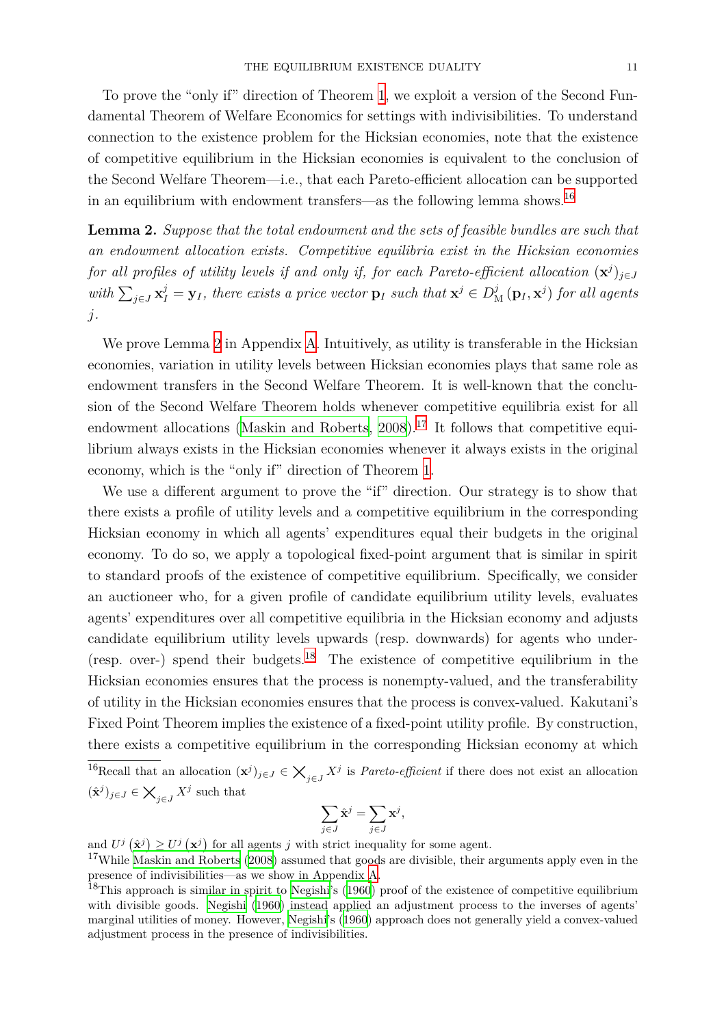To prove the "only if" direction of Theorem 1, we exploit a version of the Second Fundamental Theorem of Welfare Economics for settings with indivisibilities. To understand connection to the existence problem for the Hicksian economies, note that the existence of competitive equilibrium in the Hicksian ec[on](#page-9-1)omies is equivalent to the conclusion of the Second Welfare Theorem—i.e., that each Pareto-efficient allocation can be supported in an equilibrium with endowment transfers—as the following lemma shows.<sup>16</sup>

<span id="page-10-1"></span>**Lemma 2.** *Suppose that the total endowment and the sets of feasible bundles are such that an endowment allocation exists. Competitive equilibria exist in the Hicksia[n](#page-10-0) economies for all profiles of utility levels if and only if, for each Pareto-efficient allocation*  $(\mathbf{x}^j)_{j \in J}$ with  $\sum_{j\in J}\mathbf{x}_I^j = \mathbf{y}_I$ , there exists a price vector  $\mathbf{p}_I$  such that  $\mathbf{x}^j \in D^j_\mathcal{M}(\mathbf{p}_I, \mathbf{x}^j)$  for all agents *j.*

We prove Lemma 2 in Appendix A. Intuitively, as utility is transferable in the Hicksian economies, variation in utility levels between Hicksian economies plays that same role as endowment transfers in the Second Welfare Theorem. It is well-known that the conclusion of the Second [W](#page-10-1)elfare Theore[m](#page-28-0) holds whenever competitive equilibria exist for all endowment allocations (Maskin and Roberts,  $2008$ ).<sup>17</sup> It follows that competitive equilibrium always exists in the Hicksian economies whenever it always exists in the original economy, which is the "only if" direction of Theorem 1.

We use a different arg[ument to prove the "](#page-38-11)i[f" dir](#page-38-11)[ect](#page-10-2)ion. Our strategy is to show that there exists a profile of utility levels and a competitive equilibrium in the corresponding Hicksian economy in which all agents' expenditures [eq](#page-9-1)ual their budgets in the original economy. To do so, we apply a topological fixed-point argument that is similar in spirit to standard proofs of the existence of competitive equilibrium. Specifically, we consider an auctioneer who, for a given profile of candidate equilibrium utility levels, evaluates agents' expenditures over all competitive equilibria in the Hicksian economy and adjusts candidate equilibrium utility levels upwards (resp. downwards) for agents who under- (resp. over-) spend their budgets.<sup>18</sup> The existence of competitive equilibrium in the Hicksian economies ensures that the process is nonempty-valued, and the transferability of utility in the Hicksian economies ensures that the process is convex-valued. Kakutani's Fixed Point Theorem implies the e[xist](#page-10-3)ence of a fixed-point utility profile. By construction, there exists a competitive equilibrium in the corresponding Hicksian economy at which

<sup>16</sup>Recall that an allocation  $(\mathbf{x}^j)_{j \in J} \in \mathcal{X}_{j \in J} X^j$  is *Pareto-efficient* if there does not exist an allocation  $(\hat{\mathbf{x}}^j)_{j \in J} \in \mathsf{X}_{j \in J} X^j$  such that

$$
\sum_{j\in J}\hat{\mathbf{x}}^j=\sum_{j\in J}\mathbf{x}^j,
$$

<span id="page-10-0"></span>and  $U^j(\hat{\mathbf{x}}^j) \geq U^j(\mathbf{x}^j)$  for all agents *j* with strict inequality for some agent.

<sup>17</sup>While Maskin and Roberts (2008) assumed that goods are divisible, their arguments apply even in the presence of indivisibilities—as we show in Appendix A.

<span id="page-10-3"></span><span id="page-10-2"></span><sup>&</sup>lt;sup>18</sup>This approach is similar in spirit to Negishi's  $(1960)$  proof of the existence of competitive equilibrium with divisible goods. Negishi (1960) instead applied an adjustment process to the inverses of agents' margina[l utilities of money. Howeve](#page-38-11)r, Negishi's (1960) approach does not generally yield a convex-valued adjustment process in the presence of indivisibilities.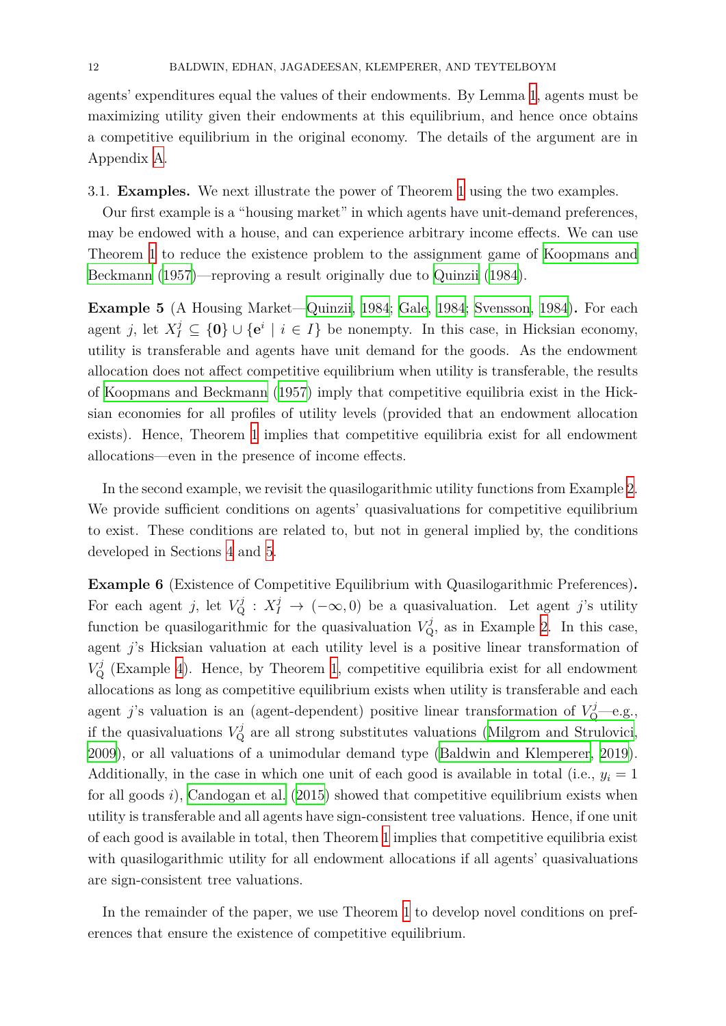agents' expenditures equal the values of their endowments. By Lemma 1, agents must be maximizing utility given their endowments at this equilibrium, and hence once obtains a competitive equilibrium in the original economy. The details of th[e](#page-6-0) argument are in Appendix A.

3.1. **Examples.** We next illustrate the power of Theorem 1 using the two examples.

Our firs[t e](#page-28-0)xample is a "housing market" in which agents have unit-demand preferences, may be endowed with a house, and can experience arbitrary income effects. We can use Theorem 1 to reduce the existence problem to the assign[me](#page-9-1)nt game of Koopmans and Beckmann (1957)—reproving a result originally due to Quinzii (1984).

<span id="page-11-0"></span>**Exampl[e 5](#page-9-1)** (A Housing Market—Quinzii, 1984; Gale, 1984; Svensson, 1984)**.** [For each](#page-38-1) [agent](#page-38-1) *j*, let  $X_I^j \subseteq \{0\} \cup \{e^i \mid i \in I\}$  $X_I^j \subseteq \{0\} \cup \{e^i \mid i \in I\}$  be nonempty. I[n this ca](#page-38-6)s[e, in](#page-38-6) Hicksian economy, utility is transferable and agents have unit demand for the goods. As the endowment allocation does not affect competiti[ve equil](#page-38-6)i[brium](#page-38-6) [when utilit](#page-37-7)y [is transfe](#page-39-1)r[able,](#page-39-1) the results of Koopmans and Beckmann (1957) imply that competitive equilibria exist in the Hicksian economies for all profiles of utility levels (provided that an endowment allocation exists). Hence, Theorem 1 implies that competitive equilibria exist for all endowment all[ocations—even in the presence of](#page-38-1) income effects.

In the second example, [we](#page-9-1) revisit the quasilogarithmic utility functions from Example 2. We provide sufficient conditions on agents' quasivaluations for competitive equilibrium to exist. These conditions are related to, but not in general implied by, the conditio[ns](#page-5-3) developed in Sections 4 and 5.

**Example 6** (Existence of Competitive Equilibrium with Quasilogarithmic Preferences)**.** For each agent *j*, let  $V^j_Q$  $V^j_Q$  :  $X^j_I \to (-\infty, 0)$  $X^j_I \to (-\infty, 0)$  be a quasivaluation. Let agent *j*'s utility function be quasilogarithmic for the quasivaluation  $V_{\mathbf{Q}}^j$ , as in Example 2. In this case, agent *j*'s Hicksian valuation at each utility level is a positive linear transformation of  $V^j_{\mathcal{Q}}$  (Example 4). Hence, by Theorem 1, competitive equilibria exist for all endowment allocations as long as competitive equilibrium exists when utility is trans[fe](#page-5-3)rable and each agent *j*'s valuation is an (agent-dependent) positive linear transformation of  $V_Q^j$ —e.g., if the quasiva[lu](#page-7-1)ations  $V^j_{\mathbf{Q}}$  are all stron[g](#page-9-1) substitutes valuations (Milgrom and Strulovici, 2009), or all valuations of a unimodular demand type (Baldwin and Klemperer, 2019). Additionally, in the case in which one unit of each good is available in total (i.e.,  $y_i = 1$ ) for all goods *i*), Candogan et al. (2015) showed that competitive [equilibrium exists when](#page-38-12) [utilit](#page-38-12)y is transferable and all agents have sign-consistent t[ree valuations. Hence, if one un](#page-37-4)it of each good is available in total, then Theorem 1 implies that competitive equilibria exist with quasilogari[thmic utility for all en](#page-37-1)dowment allocations if all agents' quasivaluations are sign-consistent tree valuations.

In the remainder of the paper, we use Theor[em](#page-9-1) 1 to develop novel conditions on preferences that ensure the existence of competitive equilibrium.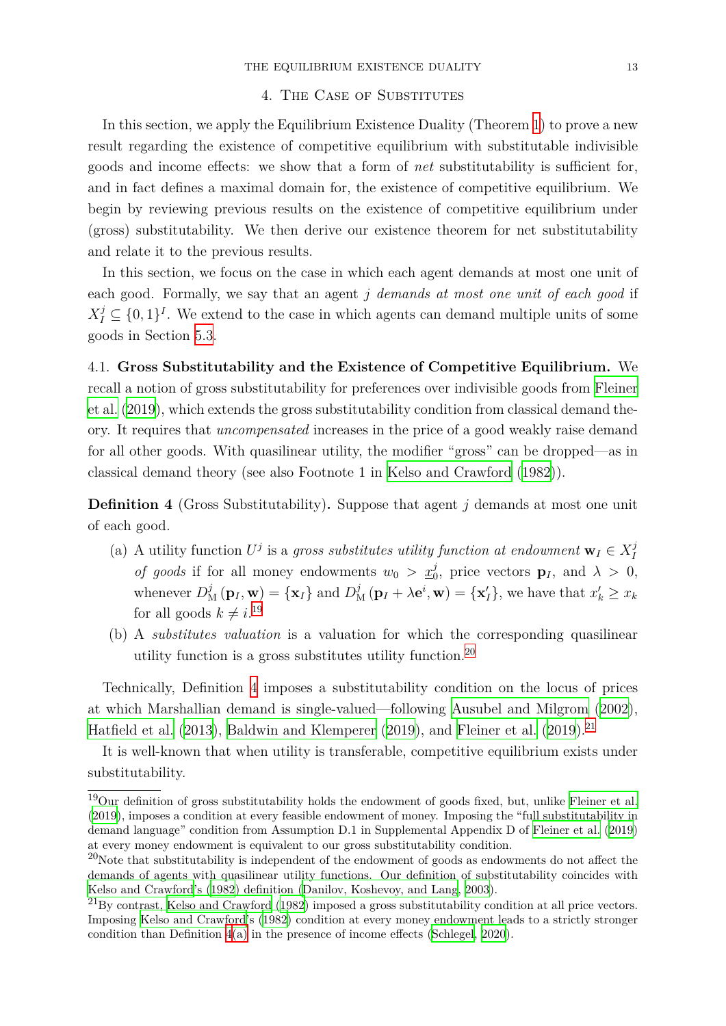#### 4. The Case of Substitutes

<span id="page-12-0"></span>In this section, we apply the Equilibrium Existence Duality (Theorem 1) to prove a new result regarding the existence of competitive equilibrium with substitutable indivisible goods and income effects: we show that a form of *net* substitutability is sufficient for, and in fact defines a maximal domain for, the existence of competitive [e](#page-9-1)quilibrium. We begin by reviewing previous results on the existence of competitive equilibrium under (gross) substitutability. We then derive our existence theorem for net substitutability and relate it to the previous results.

In this section, we focus on the case in which each agent demands at most one unit of each good. Formally, we say that an agent *j demands at most one unit of each good* if  $X_I^j \subseteq \{0,1\}^I$ . We extend to the case in which agents can demand multiple units of some goods in Section 5.3.

<span id="page-12-4"></span>4.1. **Gross Substitutability and the Existence of Competitive Equilibrium.** We recall a notion of [gro](#page-25-0)ss substitutability for preferences over indivisible goods from Fleiner et al. (2019), which extends the gross substitutability condition from classical demand theory. It requires that *uncompensated* increases in the price of a good weakly raise demand for all other goods. With quasilinear utility, the modifier "gross" can be dropped[—as in](#page-37-6) [classi](#page-37-6)c[al de](#page-37-6)mand theory (see also Footnote 1 in Kelso and Crawford (1982)).

**Definition 4** (Gross Substitutability)**.** Suppose that agent *j* demands at most one unit of each good.

- <span id="page-12-3"></span>(a) A utility function  $U^j$  is a gross substitutes utility function at endowment  $\mathbf{w}_I \in X_I^j$ *I of goods* if for all money endowments  $w_0 > x_0^j$ , price vectors  $\mathbf{p}_I$ , and  $\lambda > 0$ , whenever  $D_M^j(\mathbf{p}_I, \mathbf{w}) = {\mathbf{x}_I}$  and  $D_M^j(\mathbf{p}_I + \lambda \mathbf{e}^i, \mathbf{w}) = {\mathbf{x}'_I}$ , we have that  $x'_k \ge x_k$ for all goods  $k \neq i$ <sup>19</sup>
- (b) A *substitutes valuation* is a valuation for which the corresponding quasilinear utility function is [a g](#page-12-1)ross substitutes utility function.<sup>20</sup>

Technically, Definition 4 imposes a substitutability condition on the locus of prices at which Marshallian demand is single-valued—following A[usu](#page-12-2)bel and Milgrom (2002), Hatfield et al. (2013), Baldwin and Klemperer (2019), and Fleiner et al. (2019).<sup>21</sup>

It is well-known that w[he](#page-12-3)n utility is transferable, compe[titive equilibrium exist](#page-37-11)s [unde](#page-37-11)r substitutability.

<sup>19</sup>[Our definition](#page-37-9) o[f gros](#page-37-9)s [substitutability holds the end](#page-37-4)o[wmen](#page-37-4)t of go[ods fixed, but, u](#page-37-6)n[like](#page-37-6) Fleiner et al. (2019), imposes a condition at every feasible endowment of money. Imposing the "full substitutability in demand language" condition from Assumption D.1 in Supplemental Appendix D of Fleiner et al. (2019) at every money endowment is equivalent to our gross substitutability condition.

<span id="page-12-1"></span> $^{20}$ Note that substitutability is independent of the endowment of goods as endowments do [not affect the](#page-37-6) [deman](#page-37-6)ds of agents with quasilinear utility functions. Our definition of substituta[bility coincides with](#page-37-6) Kelso and Crawford's (1982) definition (Danilov, Koshevoy, and Lang, 2003).

<span id="page-12-2"></span> $^{21}$ By contrast, Kelso and Crawford (1982) imposed a gross substitutability condition at all price vectors. Imposing Kelso and Crawford's (1982) condition at every money endowment leads to a strictly stronger condition than Definition 4(a) in the presence of income effects (Schlegel, 2020).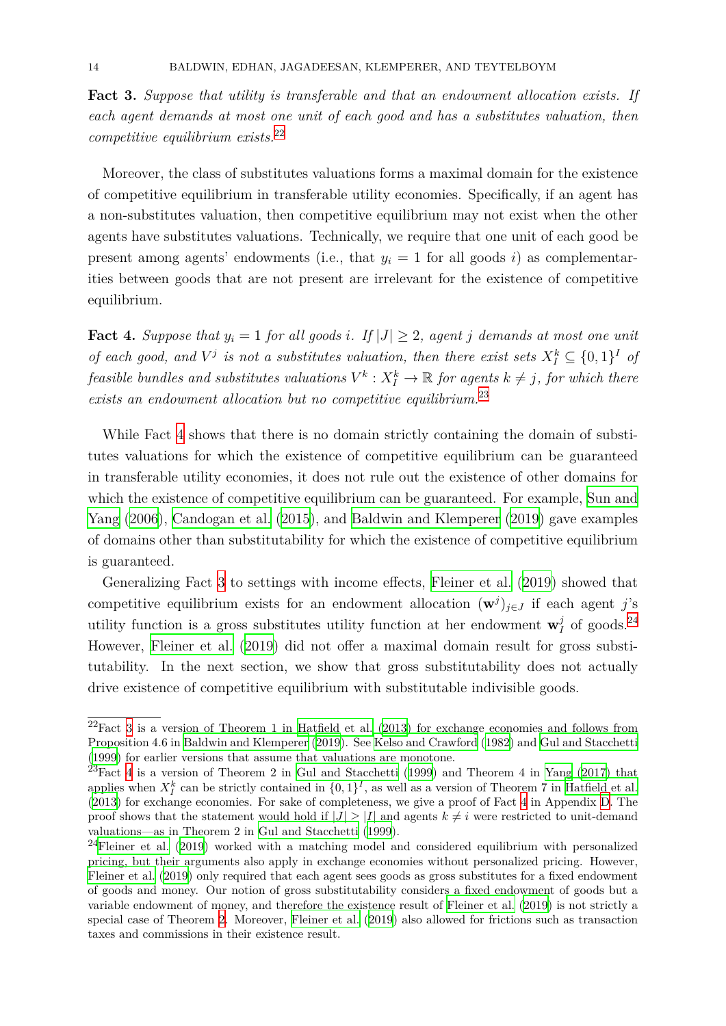**Fact 3.** *Suppose that utility is transferable and that an endowment allocation exists. If each agent demands at most one unit of each good and has a substitutes valuation, then competitive equilibrium exists.*<sup>22</sup>

<span id="page-13-3"></span>Moreover, the class of substitutes valuations forms a maximal domain for the existence of competitive equilibrium in [tr](#page-13-0)ansferable utility economies. Specifically, if an agent has a non-substitutes valuation, then competitive equilibrium may not exist when the other agents have substitutes valuations. Technically, we require that one unit of each good be present among agents' endowments (i.e., that  $y_i = 1$  for all goods *i*) as complementarities between goods that are not present are irrelevant for the existence of competitive equilibrium.

**Fact 4.** Suppose that  $y_i = 1$  for all goods *i*. If  $|J| \geq 2$ , agent *j* demands at most one unit *of each good, and*  $V^j$  *is not a substitutes valuation, then there exist sets*  $X_I^k \subseteq \{0,1\}^I$  *of feasible bundles and substitutes valuations*  $V^k$  :  $X_I^k \to \mathbb{R}$  *for agents*  $k \neq j$ *, for which there exists an endowment allocation but no competitive equilibrium.*<sup>23</sup>

<span id="page-13-2"></span>While Fact 4 shows that there is no domain strictly containing the domain of substitutes valuations for which the existence of competitive equili[br](#page-13-1)ium can be guaranteed in transferable utility economies, it does not rule out the existence of other domains for which the exis[te](#page-13-2)nce of competitive equilibrium can be guaranteed. For example, Sun and Yang (2006), Candogan et al. (2015), and Baldwin and Klemperer (2019) gave examples of domains other than substitutability for which the existence of competitive eq[uilibrium](#page-39-5) is guaranteed.

[Ge](#page-39-5)n[eraliz](#page-39-5)i[ng Fact](#page-37-1) 3 to setti[ngs w](#page-37-1)ith in[come effects,](#page-37-4) Fleiner et al. [\(201](#page-37-4)9) showed that competitive equilibrium exists for an endowment allocation  $(\mathbf{w}^j)_{j \in J}$  if each agent *j*'s utility function is a gross substitutes utility function at her endowment  $\mathbf{w}_I^j$  $I_I^j$  of goods.<sup>24</sup> However, Fleiner et [al](#page-13-3). (2019) did not offer a maxim[al domain res](#page-37-6)u[lt for](#page-37-6) gross substitutability. In the next section, we show that gross substitutability does not actual[ly](#page-13-4) drive exis[tence of comp](#page-37-6)e[titive](#page-37-6) equilibrium with substitutable indivisible goods.

 $22$ Fact 3 is a version of Theorem 1 in Hatfield et al. (2013) for exchange economies and follows from Proposition 4.6 in Baldwin and Klemperer (2019). See Kelso and Crawford (1982) and Gul and Stacchetti (1999) for earlier versions that assume that valuations are monotone.

<span id="page-13-0"></span> $^{23}$ Fact 4 is a version of Theorem 2 in Gul and Stacchetti (1999) and Theorem 4 in Yang (2017) that applies [w](#page-13-3)hen  $X_I^k$  can be strictly contai[ned in](#page-37-9)  $\{0,1\}^I$ , as [well](#page-37-9) as a version of Theorem 7 in Hatfield et al. (2013) for exchan[ge economies. For sake o](#page-37-4)f [com](#page-37-4)pleten[ess, we give a proof](#page-38-5) [of Fac](#page-38-5)t 4 i[n Appendix](#page-37-5) D. The [proof](#page-37-5) shows that the statement would hold if  $|J| \geq |I|$  and agents  $k \neq i$  were restricted to unit-demand valuati[on](#page-13-2)s—as in Theorem 2 in Gul an[d Stacchetti](#page-37-5) (1999).

<span id="page-13-4"></span><span id="page-13-1"></span> $^{24}$ Fleiner et al. (2019) worked with a matching model an[d con](#page-37-5)sidered equilibrium [wit](#page-39-6)[h personalized](#page-37-9) [pricin](#page-37-9)g, but their arguments also apply in exchange economies without personal[ize](#page-13-2)d pricing. H[ow](#page-41-0)ever, Fleiner et al. (2019) only required that each agent sees goods as gross substitutes for a fixed endowment of goods and money. Our noti[on of gross substitutability](#page-37-5) considers a fixed endowment of goods but a v[ariable endowment of](#page-37-6) money, and therefore the existence result of Fleiner et al. (2019) is not strictly a special case of Theorem 2. Moreover, Fleiner et al. (2019) also allowed for frictions such as transaction [taxes and commissi](#page-37-6)ons in their existence result.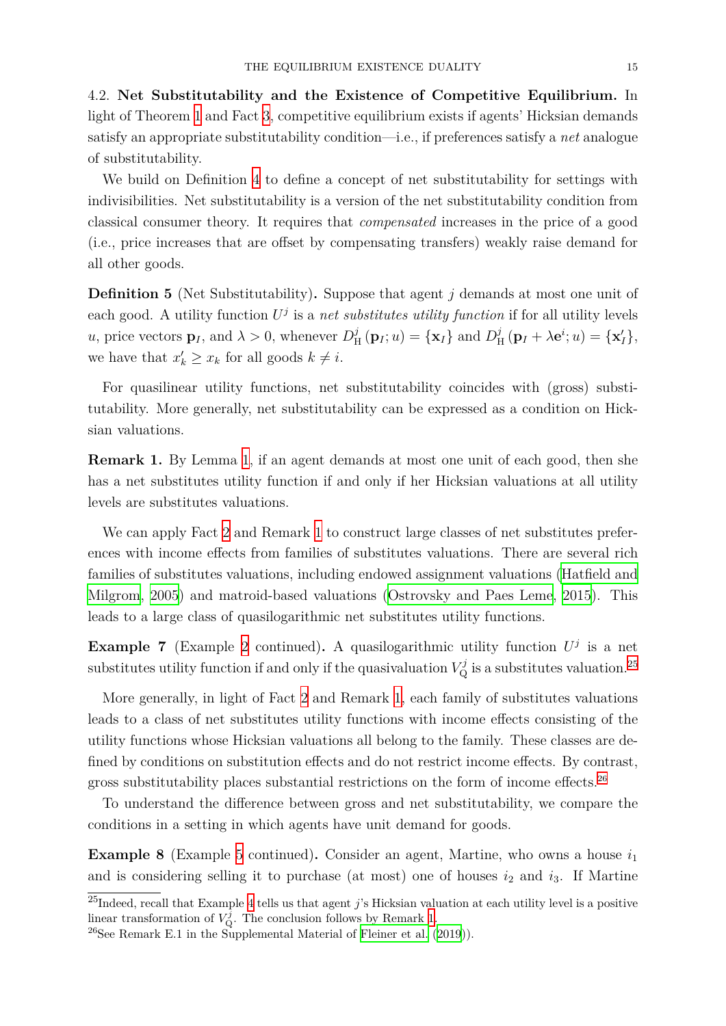4.2. **Net Substitutability and the Existence of Competitive Equilibrium.** In light of Theorem 1 and Fact 3, competitive equilibrium exists if agents' Hicksian demands satisfy an appropriate substitutability condition—i.e., if preferences satisfy a *net* analogue of substitutability.

We build on [De](#page-9-1)finition 4 [t](#page-13-3)o define a concept of net substitutability for settings with indivisibilities. Net substitutability is a version of the net substitutability condition from classical consumer theory. It requires that *compensated* increases in the price of a good (i.e., price increases that [ar](#page-12-3)e offset by compensating transfers) weakly raise demand for all other goods.

**Definition 5** (Net Substitutability)**.** Suppose that agent *j* demands at most one unit of each good. A utility function  $U^j$  is a *net substitutes utility function* if for all utility levels *u*, price vectors  $\mathbf{p}_I$ , and  $\lambda > 0$ , whenever  $D_I^j$  $\mathbf{H}^{j}(\mathbf{p}_{I}; u) = {\mathbf{x}_{I}}$  and  $D_{\mathbf{H}}^{j}$  $\frac{j}{H}(\mathbf{p}_I + \lambda \mathbf{e}^i; u) = {\mathbf{x}'_I},$ we have that  $x'_{k} \geq x_{k}$  for all goods  $k \neq i$ .

For quasilinear utility functions, net substitutability coincides with (gross) substitutability. More generally, net substitutability can be expressed as a condition on Hicksian valuations.

**Remark 1.** By Lemma 1, if an agent demands at most one unit of each good, then she has a net substitutes utility function if and only if her Hicksian valuations at all utility levels are substitutes valuations.

<span id="page-14-0"></span>We can apply Fact 2 a[nd](#page-6-0) Remark 1 to construct large classes of net substitutes preferences with income effects from families of substitutes valuations. There are several rich families of substitutes valuations, including endowed assignment valuations (Hatfield and Milgrom, 2005) and [m](#page-7-0)atroid-based [va](#page-14-0)luations (Ostrovsky and Paes Leme, 2015). This leads to a large class of quasilogarithmic net substitutes utility functions.

**[Example 7](#page-37-12)** (Example 2 continued). A quasil[ogarithmic utility function](#page-38-13)  $U^j$  [is a net](#page-37-12) substitutes utility function if and only if the quasivaluation  $V^j_{\mathbf{Q}}$  is a substitutes [valu](#page-38-13)ation.<sup>25</sup>

More generally, in lig[ht](#page-5-3) of Fact 2 and Remark 1, each family of substitutes valuations leads to a class of net substitutes utility functions with income effects consisting of t[he](#page-14-1) utility functions whose Hicksian valuations all belong to the family. These classes are defined by conditions on substitutio[n e](#page-7-0)ffects and do [n](#page-14-0)ot restrict income effects. By contrast, gross substitutability places substantial restrictions on the form of income effects.<sup>26</sup>

To understand the difference between gross and net substitutability, we compare the conditions in a setting in which agents have unit demand for goods.

**Example 8** (Example 5 continued). Consider an agent, Martine, who owns a house  $i_1$ and is considering selling it to purchase (at most) one of houses  $i_2$  and  $i_3$ . If Martine

<span id="page-14-2"></span><sup>25</sup>Indeed, recall that Example 4 tells us that agent *j*'s Hicksian valuation at each utility level is a positive linear transformation of  $V_{\mathbf{Q}}^j$ [. T](#page-11-0)he conclusion follows by Remark 1.

<span id="page-14-1"></span> $^{26}$ See Remark E.1 in the Supplemental Material of Fleiner et al. (2019)).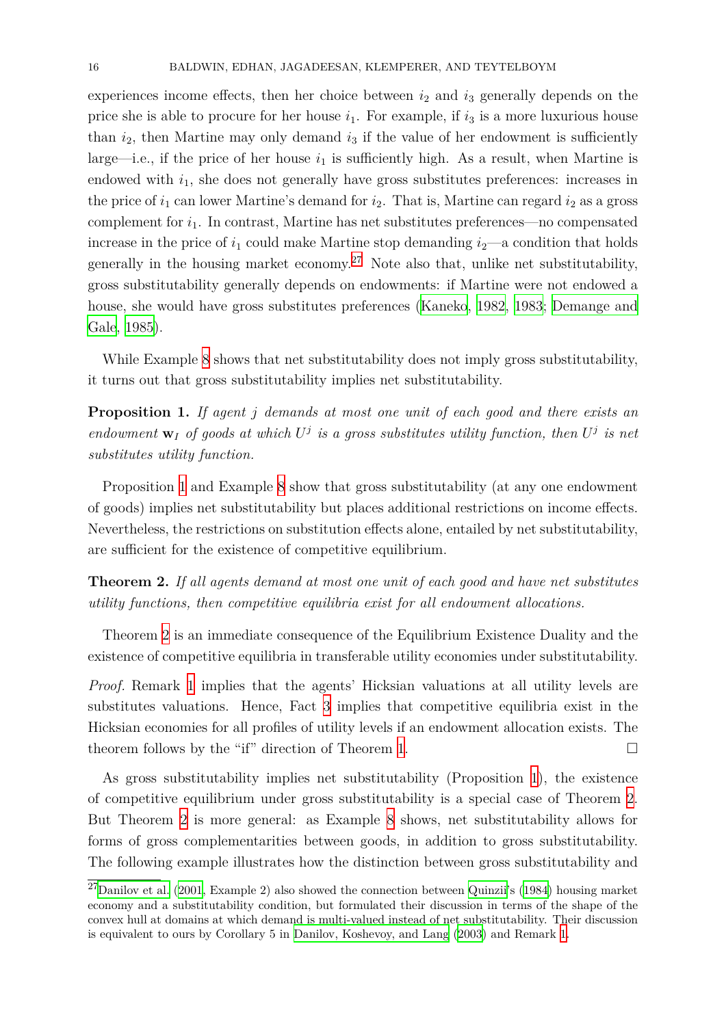experiences income effects, then her choice between  $i_2$  and  $i_3$  generally depends on the price she is able to procure for her house  $i_1$ . For example, if  $i_3$  is a more luxurious house than  $i_2$ , then Martine may only demand  $i_3$  if the value of her endowment is sufficiently large—i.e., if the price of her house  $i_1$  is sufficiently high. As a result, when Martine is endowed with *i*1, she does not generally have gross substitutes preferences: increases in the price of  $i_1$  can lower Martine's demand for  $i_2$ . That is, Martine can regard  $i_2$  as a gross complement for *i*1. In contrast, Martine has net substitutes preferences—no compensated increase in the price of  $i_1$  could make Martine stop demanding  $i_2$ —a condition that holds generally in the housing market economy.<sup>27</sup> Note also that, unlike net substitutability, gross substitutability generally depends on endowments: if Martine were not endowed a house, she would have gross substitutes p[ref](#page-15-0)erences (Kaneko, 1982, 1983; Demange and Gale, 1985).

While Example 8 shows that net substitutability d[oes not imply g](#page-38-14)[ross s](#page-38-15)[ubstitutability,](#page-37-10) [it turns ou](#page-37-10)t that gross substitutability implies net substitutability.

**Proposition 1.** *I[f](#page-14-2) agent j demands at most one unit of each good and there exists an endowment*  $\mathbf{w}_I$  *of goods at which*  $U^j$  *is a gross substitutes utility function, then*  $U^j$  *is net substitutes utility function.*

<span id="page-15-1"></span>Proposition 1 and Example 8 show that gross substitutability (at any one endowment of goods) implies net substitutability but places additional restrictions on income effects. Nevertheless, the restrictions on substitution effects alone, entailed by net substitutability, are sufficient f[or](#page-15-1) the existence [o](#page-14-2)f competitive equilibrium.

**Theorem 2.** *If all agents demand at most one unit of each good and have net substitutes utility functions, then competitive equilibria exist for all endowment allocations.*

<span id="page-15-2"></span>Theorem 2 is an immediate consequence of the Equilibrium Existence Duality and the existence of competitive equilibria in transferable utility economies under substitutability.

*Proof.* Rem[ar](#page-15-2)k 1 implies that the agents' Hicksian valuations at all utility levels are substitutes valuations. Hence, Fact 3 implies that competitive equilibria exist in the Hicksian economies for all profiles of utility levels if an endowment allocation exists. The theorem follows [b](#page-14-0)y the "if" direction of Theorem 1.  $\Box$ 

As gross substitutability implies [ne](#page-13-3)t substitutability (Proposition 1), the existence of competitive equilibrium under gross substitut[ab](#page-9-1)ility is a special case of Theorem 2. But Theorem 2 is more general: as Example 8 shows, net substitutability allows for forms of gross complementarities between goods, in addition to gros[s](#page-15-1) substitutability. The following example illustrates how the distinction between gross substitutability a[nd](#page-15-2)

<span id="page-15-0"></span> $^{27}$ Danilov et al. ([20](#page-15-2)01, Example 2) also showed the conn[ec](#page-14-2)tion between Quinzii's (1984) housing market economy and a substitutability condition, but formulated their discussion in terms of the shape of the convex hull at domains at which demand is multi-valued instead of net substitutability. Their discussion is equivalent to ours by Corollary 5 in Danilov, Koshevoy, and Lang (2003) and Remark 1.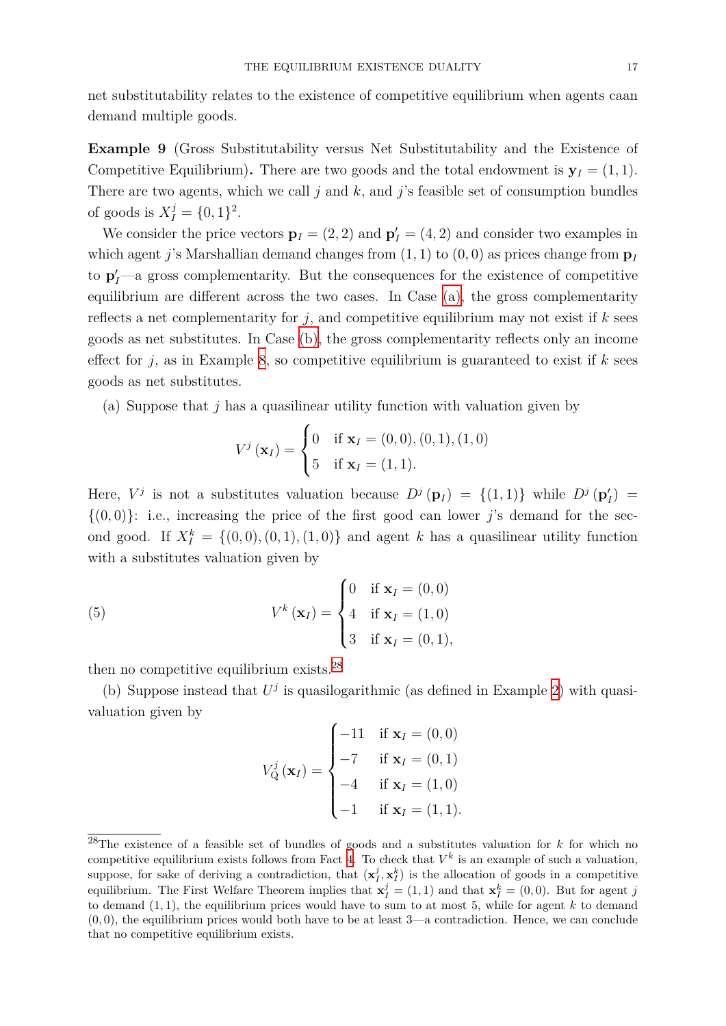net substitutability relates to the existence of competitive equilibrium when agents caan demand multiple goods.

**Example 9** (Gross Substitutability versus Net Substitutability and the Existence of Competitive Equilibrium). There are two goods and the total endowment is  $y_I = (1, 1)$ . There are two agents, which we call *j* and *k,* and *j*'s feasible set of consumption bundles of goods is  $X_I^j = \{0, 1\}^2$ .

<span id="page-16-4"></span>We consider the price vectors  $\mathbf{p}_I = (2, 2)$  and  $\mathbf{p}'_I = (4, 2)$  and consider two examples in which agent *j*'s Marshallian demand changes from (1*,* 1) to (0*,* 0) as prices change from **p***<sup>I</sup>* to  $\mathbf{p}'$ <sup>*I*</sup>—a gross complementarity. But the consequences for the existence of competitive equilibrium are different across the two cases. In Case (a), the gross complementarity reflects a net complementarity for *j*, and competitive equilibrium may not exist if *k* sees goods as net substitutes. In Case (b), the gross complementarity reflects only an income effect for  $j$ , as in Example 8, so competitive equilibrium [is](#page-16-0) guaranteed to exist if  $k$  sees goods as net substitutes.

(a) Suppose that *j* has a [q](#page-14-2)uasil[inea](#page-16-1)r utility function with valuation given by

$$
V^{j}(\mathbf{x}_{I}) = \begin{cases} 0 & \text{if } \mathbf{x}_{I} = (0,0), (0,1), (1,0) \\ 5 & \text{if } \mathbf{x}_{I} = (1,1). \end{cases}
$$

<span id="page-16-0"></span>Here,  $V^j$  is not a substitutes valuation because  $D^j(\mathbf{p}_I) = \{(1,1)\}\$  while  $D^j(\mathbf{p}'_I) =$  ${(0,0)}$ : i.e., increasing the price of the first good can lower *j*'s demand for the second good. If  $X_I^k = \{(0,0), (0,1), (1,0)\}$  and agent *k* has a quasilinear utility function with a substitutes valuation given by

(5) 
$$
V^{k}(\mathbf{x}_{I}) = \begin{cases} 0 & \text{if } \mathbf{x}_{I} = (0,0) \\ 4 & \text{if } \mathbf{x}_{I} = (1,0) \\ 3 & \text{if } \mathbf{x}_{I} = (0,1), \end{cases}
$$

then no competitive equilibrium exists.<sup>28</sup>

<span id="page-16-1"></span>(b) Suppose instead that  $U^j$  is quasilogarithmic (as defined in Example 2) with quasivaluation given by

<span id="page-16-3"></span>
$$
V_{Q}^{j}(\mathbf{x}_{I}) = \begin{cases} -11 & \text{if } \mathbf{x}_{I} = (0,0) \\ -7 & \text{if } \mathbf{x}_{I} = (0,1) \\ -4 & \text{if } \mathbf{x}_{I} = (1,0) \\ -1 & \text{if } \mathbf{x}_{I} = (1,1). \end{cases}
$$

<span id="page-16-2"></span><sup>28</sup>The existence of a feasible set of bundles of goods and a substitutes valuation for *k* for which no competitive equilibrium exists follows from Fact 4. To check that  $V^k$  is an example of such a valuation, suppose, for sake of deriving a contradiction, that  $(\mathbf{x}_I^j, \mathbf{x}_I^k)$  is the allocation of goods in a competitive equilibrium. The First Welfare Theorem implies that  $\mathbf{x}_I^j = (1,1)$  and that  $\mathbf{x}_I^k = (0,0)$ . But for agent *j* to demand (1*,* 1)*,* the equilibrium prices would have to sum to at most 5, while for agent *k* to demand  $(0,0)$ , the equilibrium prices would [b](#page-13-2)oth have to be at least  $3$ —a contradiction. Hence, we can conclude that no competitive equilibrium exists.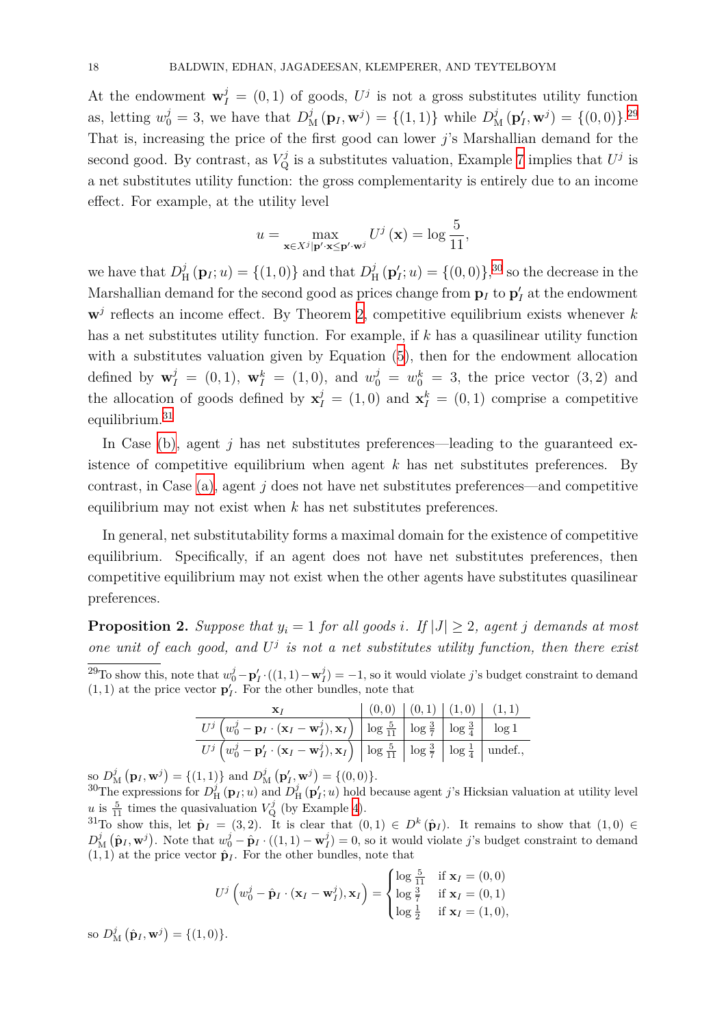At the endowment  $\mathbf{w}_I^j = (0,1)$  of goods,  $U^j$  is not a gross substitutes utility function as, letting  $w_0^j = 3$ , we have that  $D_M^j(\mathbf{p}_I, \mathbf{w}^j) = \{(1, 1)\}\$  while  $D_M^j(\mathbf{p}'_I, \mathbf{w}^j) = \{(0, 0)\}^{29}$ That is, increasing the price of the first good can lower *j*'s Marshallian demand for the second good. By contrast, as  $V^j_{\mathbf{Q}}$  is a substitutes valuation, Example 7 implies that  $U^j$  is a net substitutes utility function: the gross complementarity is entirely due to an inco[me](#page-17-0) effect. For example, at the utility level

$$
u = \max_{\mathbf{x} \in X^j | \mathbf{p}' \cdot \mathbf{x} \le \mathbf{p}' \cdot \mathbf{w}^j} U^j(\mathbf{x}) = \log \frac{5}{11},
$$

we have that  $D_{\rm F}^j$  $\mathcal{L}_{\text{H}}^{j}(\mathbf{p}_{I}; u) = \{(1, 0)\}\$ and that  $D_{\text{H}}^{j}$  $\mathbf{H}^{j}(\mathbf{p}'_{I}; u) = \{(0, 0)\}\,^{30}$  so the decrease in the Marshallian demand for the second good as prices change from  $\mathbf{p}_I$  to  $\mathbf{p}'_I$  at the endowment  $\mathbf{w}^j$  reflects an income effect. By Theorem 2, competitive equilibrium exists whenever *k* has a net substitutes utility function. For example, if *k* has a qu[asi](#page-17-1)linear utility function with a substitutes valuation given by Equation (5), then for the endowment allocation [d](#page-15-2)efined by  $\mathbf{w}_I^j = (0, 1)$ ,  $\mathbf{w}_I^k = (1, 0)$ , and  $w_0^j = w_0^k = 3$ , the price vector  $(3, 2)$  and the allocation of goods defined by  $\mathbf{x}_I^j = (1,0)$  a[nd](#page-16-3)  $\mathbf{x}_I^k = (0,1)$  comprise a competitive equilibrium.<sup>31</sup>

In Case (b), agent  $j$  has net substitutes preferences—leading to the guaranteed existence of competitive equilibrium when agent *k* has net substitutes preferences. By contrast, in [Ca](#page-17-2)se (a), agent *j* does not have net substitutes preferences—and competitive equilibriu[m ma](#page-16-1)y not exist when *k* has net substitutes preferences.

In general, net [sub](#page-16-0)stitutability forms a maximal domain for the existence of competitive equilibrium. Specifically, if an agent does not have net substitutes preferences, then competitive equilibrium may not exist when the other agents have substitutes quasilinear preferences.

<span id="page-17-3"></span>**Proposition 2.** *Suppose that*  $y_i = 1$  *for all goods i. If*  $|J| \geq 2$ *, agent j demands at most one unit of each good, and U j is not a net substitutes utility function, then there exist* <sup>29</sup>To show this, note that  $w_0^j - \mathbf{p}'_I \cdot ((1,1) - \mathbf{w}_I^j) = -1$ , so it would violate *j*'s budget constraint to demand  $(1, 1)$  at the price vector  $\mathbf{p}'_I$ . For the other bundles, note that

|                                                                                                                                                                                                                 | (0,0) (0,1) (1,0) (1,1) |  |  |
|-----------------------------------------------------------------------------------------------------------------------------------------------------------------------------------------------------------------|-------------------------|--|--|
| $U^j\left(w_0^j-\mathbf{p}_I\cdot\overline{(\mathbf{x}_I-\mathbf{w}_I^j),\mathbf{x}_I}\right)\; \left \; \log \tfrac{5}{11} \; \right  \; \log \tfrac{3}{7} \; \left \; \log \tfrac{3}{4} \; \right  \; \log 1$ |                         |  |  |
| $U^j\left(w_0^j-\mathbf{p}'_I\cdot(\mathbf{x}_I-\mathbf{w}_I^j),\mathbf{x}_I\right)\Big \log\frac{5}{11}\Big \log\frac{3}{7}\Big \log\frac{1}{4}\Big \text{ undef.},\right.$                                    |                         |  |  |

<span id="page-17-0"></span>so  $D_M^j(\mathbf{p}_I, \mathbf{w}^j) = \{(1, 1)\}\$  and  $D_M^j(\mathbf{p}'_I, \mathbf{w}^j) = \{(0, 0)\}.$ 

<sup>30</sup>The expressions for  $D<sup>j</sup><sub>H</sub>(**p**<sub>I</sub>; u)$  and  $D<sup>j</sup><sub>H</sub>(**p**<sub>I</sub>'; u)$  hold because agent *j*'s Hicksian valuation at utility level *u* is  $\frac{5}{11}$  times the quasivaluation  $V^j_Q$  (by Example 4).

<span id="page-17-1"></span> ${}^{31}$ To show this, let  $\hat{\mathbf{p}}_I = (3,2)$ . It is clear that  $(0,1) \in D^k(\hat{\mathbf{p}}_I)$ . It remains to show that  $(1,0) \in$  $D_M^j(\hat{\mathbf{p}}_I, \mathbf{w}^j)$ . Note that  $w_0^j - \hat{\mathbf{p}}_I \cdot ((1,1) - \mathbf{w}_I^j) = 0$ , so it would violate j's budget constraint to demand  $(1, 1)$  at the price vector  $\hat{\mathbf{p}}_I$ . For the other bundl[es,](#page-7-1) note that

$$
U^j \left( w_0^j - \hat{\mathbf{p}}_I \cdot (\mathbf{x}_I - \mathbf{w}_I^j), \mathbf{x}_I \right) = \begin{cases} \log \frac{5}{11} & \text{if } \mathbf{x}_I = (0,0) \\ \log \frac{3}{7} & \text{if } \mathbf{x}_I = (0,1) \\ \log \frac{1}{2} & \text{if } \mathbf{x}_I = (1,0), \end{cases}
$$

<span id="page-17-2"></span>so  $D_{\mathbf{M}}^{j}(\hat{\mathbf{p}}_{I}, \mathbf{w}^{j}) = \{(1, 0)\}.$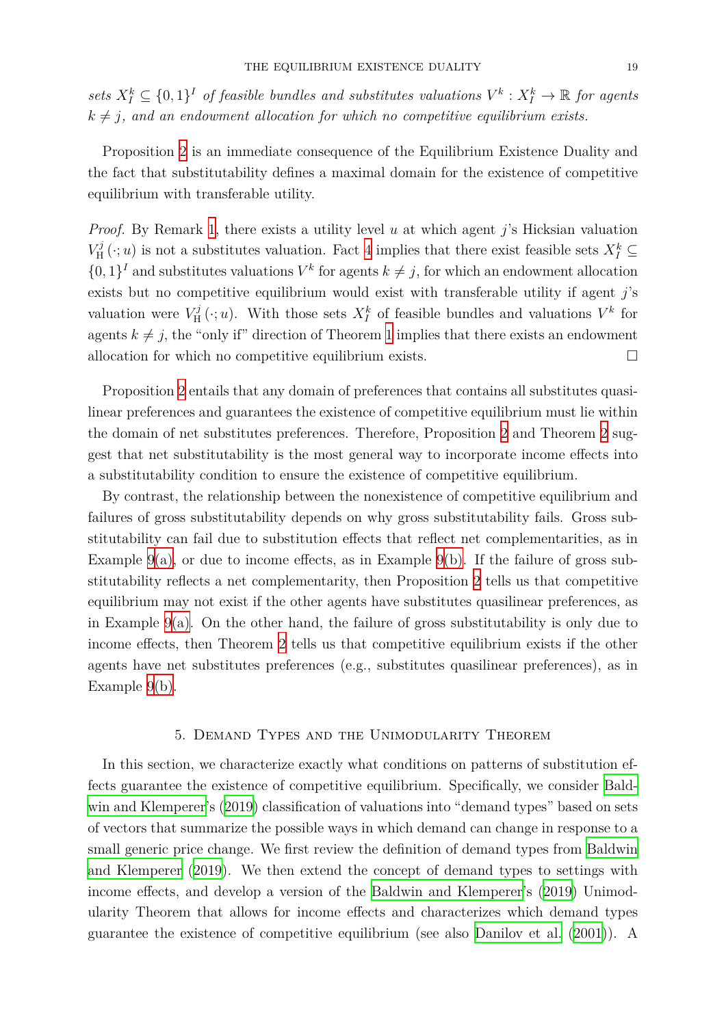$sets\ X_I^k \subseteq \{0,1\}^I$  *of feasible bundles and substitutes valuations*  $V^k: X_I^k \to \mathbb{R}$  *for agents*  $k \neq j$ , and an endowment allocation for which no competitive equilibrium exists.

Proposition 2 is an immediate consequence of the Equilibrium Existence Duality and the fact that substitutability defines a maximal domain for the existence of competitive equilibrium wi[th](#page-17-3) transferable utility.

*Proof.* By Remark 1, there exists a utility level *u* at which agent *j*'s Hicksian valuation  $V_{\rm H}^j$  $H^j$  ( $\cdot$ ; *u*) is not a substitutes valuation. Fact 4 implies that there exist feasible sets  $X_I^k \subseteq$  $\{0,1\}$ <sup>*I*</sup> and substitutes valuations  $V^k$  for agents  $k \neq j$ , for which an endowment allocation exists but no com[pe](#page-14-0)titive equilibrium would exist with transferable utility if agent *j*'s valuation were  $V_{\rm H}^j$  $V^j$ <sup>I</sup>( $\cdot$ ; *u*). With those sets  $X^k$  $X^k$  of feasible bundles and valuations  $V^k$  for agents  $k \neq j$ , the "only if" direction of Theorem 1 implies that there exists an endowment allocation for which no competitive equilibrium exists.  $\Box$ 

Proposition 2 entails that any domain of prefe[re](#page-9-1)nces that contains all substitutes quasilinear preferences and guarantees the existence of competitive equilibrium must lie within the domain of net substitutes preferences. Therefore, Proposition 2 and Theorem 2 suggest that net [su](#page-17-3)bstitutability is the most general way to incorporate income effects into a substitutability condition to ensure the existence of competitive equilibrium.

By contrast, the relationship between the nonexistence of comp[eti](#page-17-3)tive equilibriu[m](#page-15-2) and failures of gross substitutability depends on why gross substitutability fails. Gross substitutability can fail due to substitution effects that reflect net complementarities, as in Example  $9(a)$ , or due to income effects, as in Example  $9(b)$ . If the failure of gross substitutability reflects a net complementarity, then Proposition 2 tells us that competitive equilibrium may not exist if the other agents have substitutes quasilinear preferences, as in Exam[ple](#page-16-4) [9\(](#page-16-0)a). On the other hand, the failure of gro[ss](#page-16-4) [su](#page-16-1)bstitutability is only due to income effects, then Theorem 2 tells us that competitive equ[ili](#page-17-3)brium exists if the other agents have net substitutes preferences (e.g., substitutes quasilinear preferences), as in Example 9([b\)](#page-16-4)[.](#page-16-0)

#### 5. Demand Types and the Unimodularity Theorem

<span id="page-18-0"></span>In this section, we characterize exactly what conditions on patterns of substitution effects guarantee the existence of competitive equilibrium. Specifically, we consider Baldwin and Klemperer's (2019) classification of valuations into "demand types" based on sets of vectors that summarize the possible ways in which demand can change in response to a small generic price change. We first review the definition of demand types from B[aldwin](#page-37-4) [and Klemperer](#page-37-4) (2019[\). W](#page-37-4)e then extend the concept of demand types to settings with income effects, and develop a version of the Baldwin and Klemperer's (2019) Unimodularity Theorem that allows for income effects and characterizes which dema[nd types](#page-37-4) [guarantee the existen](#page-37-4)ce of competitive equil[ibrium \(see also](#page-37-4) Danilov et [al.](#page-37-4) (2001)). A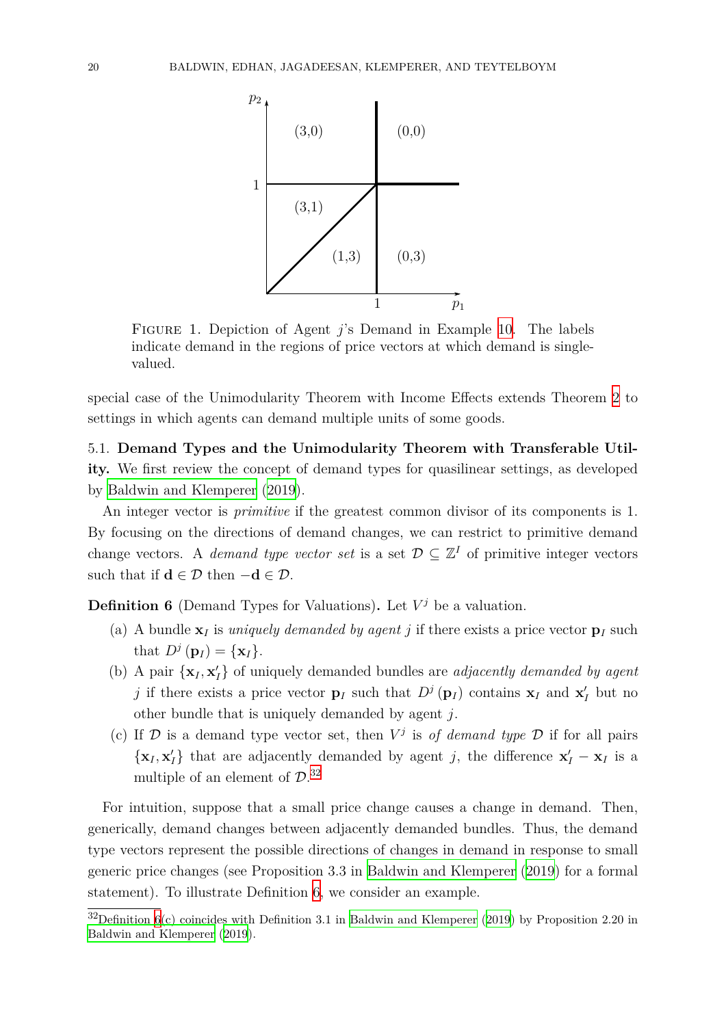<span id="page-19-1"></span>

Figure 1. Depiction of Agent *j*'s Demand in Example 10. The labels indicate demand in the regions of price vectors at which demand is singlevalued.

special case of the Unimodularity Theorem with Income Effects [ex](#page-20-0)tends Theorem 2 to settings in which agents can demand multiple units of some goods.

5.1. **Demand Types and the Unimodularity Theorem with Transferable [Ut](#page-15-2)ility.** We first review the concept of demand types for quasilinear settings, as developed by Baldwin and Klemperer (2019).

An integer vector is *primitive* if the greatest common divisor of its components is 1. By focusing on the directions of demand changes, we can restrict to primitive demand ch[ange vectors. A](#page-37-4) *demand* [type v](#page-37-4)ector set is a set  $D \subseteq \mathbb{Z}^I$  of primitive integer vectors such that if  $\mathbf{d} \in \mathcal{D}$  then  $-\mathbf{d} \in \mathcal{D}$ .

**Definition 6** (Demand Types for Valuations). Let  $V^j$  be a valuation.

- (a) A bundle  $\mathbf{x}_I$  is *uniquely demanded by agent j* if there exists a price vector  $\mathbf{p}_I$  such that  $D^j(\mathbf{p}_I) = {\mathbf{x}_I}.$
- <span id="page-19-2"></span>(b) A pair  $\{x_I, x_I'\}$  of uniquely demanded bundles are *adjacently demanded by agent j* if there exists a price vector  $\mathbf{p}_I$  such that  $D^j(\mathbf{p}_I)$  contains  $\mathbf{x}_I$  and  $\mathbf{x}'_I$  but no other bundle that is uniquely demanded by agent *j*.
- (c) If  $D$  is a demand type vector set, then  $V^j$  is of demand type  $D$  if for all pairs  $\{x_I, x_I'\}$  that are adjacently demanded by agent *j*, the difference  $x_I' - x_I$  is a multiple of an element of *D*. 32

For intuition, suppose that a small price change causes a change in demand. Then, generically, demand changes betwe[en](#page-19-0) adjacently demanded bundles. Thus, the demand type vectors represent the possible directions of changes in demand in response to small generic price changes (see Proposition 3.3 in Baldwin and Klemperer (2019) for a formal statement). To illustrate Definition 6, we consider an example.

<span id="page-19-0"></span> $32$ Definition 6(c) coincides with Definition 3.1 in Ba[ldwin and Klemperer](#page-37-4) (2019) [by Pro](#page-37-4)position 2.20 in Baldwin and Klemperer (2019).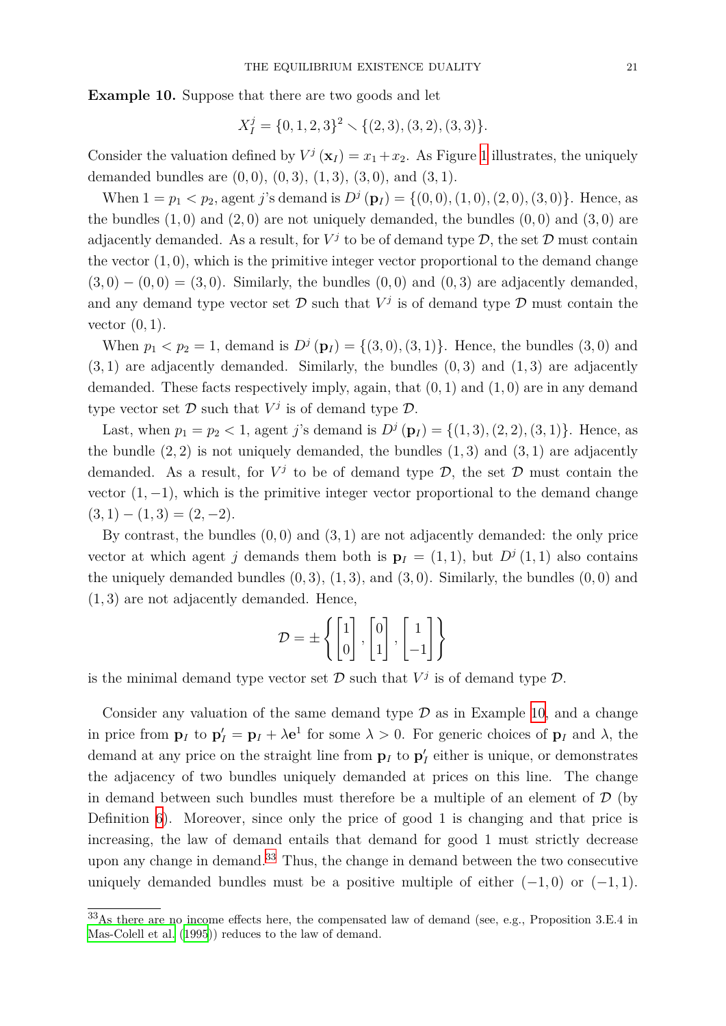**Example 10.** Suppose that there are two goods and let

$$
X_I^j = \{0, 1, 2, 3\}^2 \setminus \{(2, 3), (3, 2), (3, 3)\}.
$$

<span id="page-20-0"></span>Consider the valuation defined by  $V^j(\mathbf{x}_I) = x_1 + x_2$ . As Figure 1 illustrates, the uniquely demanded bundles are (0*,* 0), (0*,* 3)*,* (1*,* 3)*,* (3*,* 0), and (3*,* 1).

When  $1 = p_1 < p_2$ , agent *j*'s demand is  $D^j(\mathbf{p}_I) = \{(0,0), (1,0), (2,0), (3,0)\}.$  Hence, as the b[un](#page-19-1)dles  $(1,0)$  and  $(2,0)$  are not uniquely demanded, the bundles  $(0,0)$  and  $(3,0)$  are adjacently demanded. As a result, for  $V^j$  to be of demand type  $D$ , the set  $D$  must contain the vector  $(1, 0)$ , which is the primitive integer vector proportional to the demand change (3*,* 0) *−* (0*,* 0) = (3*,* 0). Similarly, the bundles (0*,* 0) and (0*,* 3) are adjacently demanded, and any demand type vector set  $D$  such that  $V^j$  is of demand type  $D$  must contain the vector (0*,* 1).

When  $p_1 < p_2 = 1$ , demand is  $D^j(p_I) = \{(3,0), (3,1)\}\.$  Hence, the bundles  $(3,0)$  and (3*,* 1) are adjacently demanded. Similarly, the bundles (0*,* 3) and (1*,* 3) are adjacently demanded. These facts respectively imply, again, that (0*,* 1) and (1*,* 0) are in any demand type vector set  $D$  such that  $V^j$  is of demand type  $D$ .

Last, when  $p_1 = p_2 < 1$ , agent *j*'s demand is  $D^j(\mathbf{p}_I) = \{(1,3), (2,2), (3,1)\}\.$  Hence, as the bundle  $(2, 2)$  is not uniquely demanded, the bundles  $(1, 3)$  and  $(3, 1)$  are adjacently demanded. As a result, for  $V^j$  to be of demand type  $D$ , the set  $D$  must contain the vector  $(1, -1)$ , which is the primitive integer vector proportional to the demand change  $(3, 1) - (1, 3) = (2, -2).$ 

By contrast, the bundles (0*,* 0) and (3*,* 1) are not adjacently demanded: the only price vector at which agent *j* demands them both is  $\mathbf{p}_I = (1,1)$ , but  $D^j(1,1)$  also contains the uniquely demanded bundles  $(0, 3)$ ,  $(1, 3)$ , and  $(3, 0)$ . Similarly, the bundles  $(0, 0)$  and (1*,* 3) are not adjacently demanded. Hence,

$$
\mathcal{D} = \pm \left\{ \begin{bmatrix} 1 \\ 0 \end{bmatrix}, \begin{bmatrix} 0 \\ 1 \end{bmatrix}, \begin{bmatrix} 1 \\ -1 \end{bmatrix} \right\}
$$

is the minimal demand type vector set  $D$  such that  $V^j$  is of demand type  $D$ .

Consider any valuation of the same demand type *D* as in Example 10, and a change in price from  $\mathbf{p}_I$  to  $\mathbf{p}'_I = \mathbf{p}_I + \lambda \mathbf{e}^1$  for some  $\lambda > 0$ . For generic choices of  $\mathbf{p}_I$  and  $\lambda$ , the demand at any price on the straight line from  $\mathbf{p}_I$  to  $\mathbf{p}'_I$  either is unique, or demonstrates the adjacency of two bundles uniquely demanded at prices on this l[ine](#page-20-0). The change in demand between such bundles must therefore be a multiple of an element of  $\mathcal D$  (by Definition 6). Moreover, since only the price of good 1 is changing and that price is increasing, the law of demand entails that demand for good 1 must strictly decrease upon any change in demand.<sup>33</sup> Thus, the change in demand between the two consecutive uniquely d[em](#page-19-2)anded bundles must be a positive multiple of either  $(-1,0)$  or  $(-1,1)$ .

<span id="page-20-1"></span><sup>33</sup>As there are no income effects [he](#page-20-1)re, the compensated law of demand (see, e.g., Proposition 3.E.4 in Mas-Colell et al.  $(1995)$  reduces to the law of demand.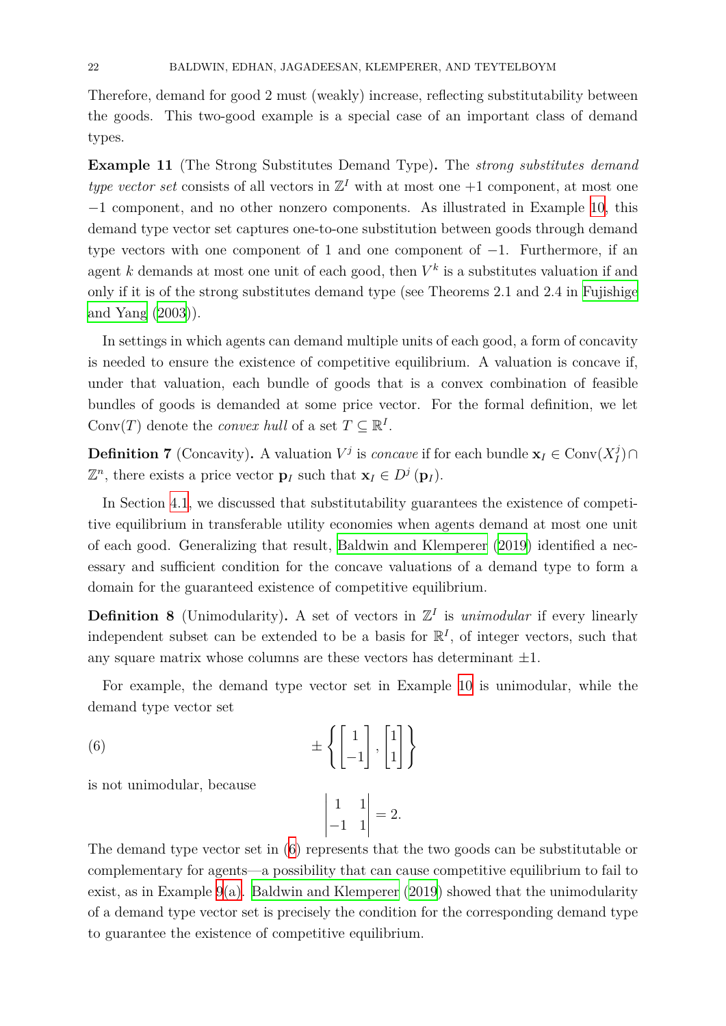Therefore, demand for good 2 must (weakly) increase, reflecting substitutability between the goods. This two-good example is a special case of an important class of demand types.

<span id="page-21-1"></span>**Example 11** (The Strong Substitutes Demand Type)**.** The *strong substitutes demand type vector set* consists of all vectors in  $\mathbb{Z}^I$  with at most one  $+1$  component, at most one *−*1 component, and no other nonzero components. As illustrated in Example 10, this demand type vector set captures one-to-one substitution between goods through demand type vectors with one component of 1 and one component of *−*1. Furthermore, if an agent  $k$  demands at most one unit of each good, then  $V^k$  is a substitutes valuati[on i](#page-20-0)f and only if it is of the strong substitutes demand type (see Theorems 2.1 and 2.4 in Fujishige and Yang (2003)).

In settings in which agents can demand multiple units of each good, a form of [concavity](#page-37-13) [is needed](#page-37-13) t[o ens](#page-37-13)ure the existence of competitive equilibrium. A valuation is concave if, under that valuation, each bundle of goods that is a convex combination of feasible bundles of goods is demanded at some price vector. For the formal definition, we let Conv $(T)$  denote the *convex hull* of a set  $T \subseteq \mathbb{R}^I$ .

**Definition 7** (Concavity). A valuation  $V^j$  is *concave* if for each bundle  $\mathbf{x}_I \in \text{Conv}(X_I^j)$ *I* )*∩*  $\mathbb{Z}^n$ , there exists a price vector **p**<sub>*I*</sub> such that  $\mathbf{x}_I \in D^j(\mathbf{p}_I)$ .

<span id="page-21-2"></span>In Section 4.1, we discussed that substitutability guarantees the existence of competitive equilibrium in transferable utility economies when agents demand at most one unit of each good. Generalizing that result, Baldwin and Klemperer (2019) identified a necessary and s[uffic](#page-12-4)ient condition for the concave valuations of a demand type to form a domain for the guaranteed existence of competitive equilibrium.

**Definition 8** (Unimodularity). A set [of vectors in](#page-37-4)  $\mathbb{Z}^I$  is *unim[odular](#page-37-4)* if every linearly independent subset can be extended to be a basis for  $\mathbb{R}^{I}$ , of integer vectors, such that any square matrix whose columns are these vectors has determinant *±*1.

For example, the demand type vector set in Example 10 is unimodular, while the demand type vector set

(6) 
$$
\pm \left\{ \begin{bmatrix} 1 \\ -1 \end{bmatrix}, \begin{bmatrix} 1 \\ 1 \end{bmatrix} \right\}
$$

is not unimodular, because

<span id="page-21-0"></span>
$$
\begin{vmatrix} 1 & 1 \\ -1 & 1 \end{vmatrix} = 2.
$$

The demand type vector set in (6) represents that the two goods can be substitutable or complementary for agents—a possibility that can cause competitive equilibrium to fail to exist, as in Example 9(a). Baldwin and Klemperer (2019) showed that the unimodularity of a demand type vector set is p[re](#page-21-0)cisely the condition for the corresponding demand type to guarantee the exi[st](#page-16-4)[enc](#page-16-0)[e of competitive equilibrium.](#page-37-4)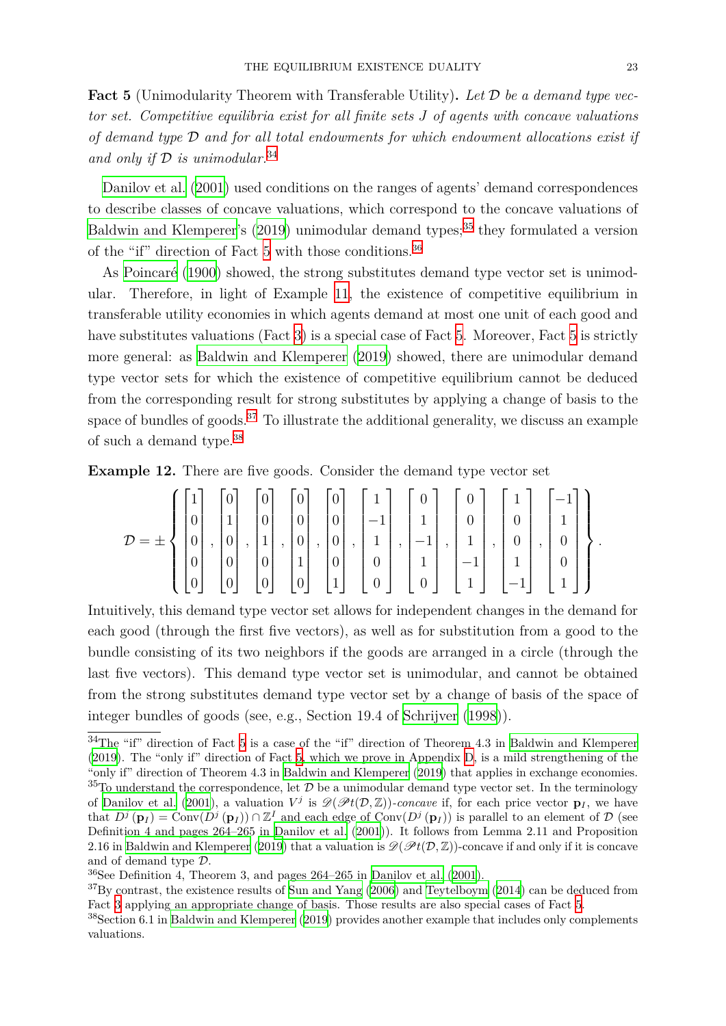**Fact 5** (Unimodularity Theorem with Transferable Utility)**.** *Let D be a demand type vector set. Competitive equilibria exist for all finite sets J of agents with concave valuations of demand type D and for all total endowments for which endowment allocations exist if and only if D is unimodular.*<sup>34</sup>

<span id="page-22-2"></span>Danilov et al. (2001) used conditions on the ranges of agents' demand correspondences to describe classes of concav[e v](#page-22-0)aluations, which correspond to the concave valuations of Baldwin and Klemperer's  $(2019)$  unimodular demand types;<sup>35</sup> they formulated a version of [the "if" direc](#page-37-8)t[ion of](#page-37-8) Fact 5 with those conditions.<sup>36</sup>

As Poincaré (1900) showed, the strong substitutes demand type vector set is unimod[ular. Therefore, in ligh](#page-37-4)t [of Ex](#page-37-4)ample 11, the existence of [c](#page-22-1)ompetitive equilibrium in transferable utility economi[es](#page-22-2) in which agents dema[nd](#page-22-3) at most one unit of each good and have [substitute](#page-38-16)s [valu](#page-38-16)ations (Fact 3) is a special case of Fact 5. Moreover, Fact 5 is strictly more general: as Baldwin and Klempe[rer](#page-21-1) (2019) showed, there are unimodular demand type vector sets for which the existence of competitive equilibrium cannot be deduced from the corresponding result for [s](#page-13-3)trong substitutes by ap[ply](#page-22-2)ing a change of [ba](#page-22-2)sis to the space of bundles of goods.<sup>37</sup> [To illustrate t](#page-37-4)h[e add](#page-37-4)itional generality, we discuss an example of such a demand type.<sup>38</sup>

**Example 12.** There are [fiv](#page-22-4)e goods. Consider the demand type vector set

<span id="page-22-6"></span>
$$
\mathcal{D} = \pm \left\{ \begin{bmatrix} 1 \\ 0 \\ 0 \\ 0 \\ 0 \\ 0 \\ 0 \end{bmatrix}, \begin{bmatrix} 0 \\ 1 \\ 0 \\ 0 \\ 0 \\ 0 \\ 0 \end{bmatrix}, \begin{bmatrix} 0 \\ 0 \\ 1 \\ 0 \\ 0 \\ 0 \\ 0 \end{bmatrix}, \begin{bmatrix} 0 \\ 0 \\ 0 \\ 1 \\ 0 \\ 0 \\ 0 \end{bmatrix}, \begin{bmatrix} 0 \\ 0 \\ 0 \\ 1 \\ 0 \\ 1 \\ 0 \end{bmatrix}, \begin{bmatrix} 1 \\ -1 \\ 1 \\ 0 \\ 0 \\ 0 \\ 0 \end{bmatrix}, \begin{bmatrix} 0 \\ 1 \\ -1 \\ 1 \\ 0 \\ 0 \\ 0 \end{bmatrix}, \begin{bmatrix} 0 \\ 0 \\ 1 \\ 1 \\ -1 \\ 1 \end{bmatrix}, \begin{bmatrix} 1 \\ 0 \\ 0 \\ 1 \\ 1 \\ -1 \\ 1 \end{bmatrix}, \begin{bmatrix} -1 \\ 1 \\ 0 \\ 0 \\ 1 \\ 1 \end{bmatrix} \right\}.
$$

Intuitively, this demand type vector set allows for independent changes in the demand for each good (through the first five vectors), as well as for substitution from a good to the bundle consisting of its two neighbors if the goods are arranged in a circle (through the last five vectors). This demand type vector set is unimodular, and cannot be obtained from the strong substitutes demand type vector set by a change of basis of the space of integer bundles of goods (see, e.g., Section 19.4 of Schrijver (1998)).

<span id="page-22-0"></span><sup>34</sup>The "if" direction of Fact 5 is a case of the "if" direction of Theorem 4.3 in Baldwin and Klemperer (2019). The "only if" direction of Fact 5, which we prove in Appendix D, is a mild strengthening of the "only if" direction of Theorem 4.3 in Baldwin and Klemperer [\(2019\) th](#page-38-17)a[t appl](#page-38-17)ies in exchange economies.  $35T<sub>O</sub>$  understand the correspondence, let  $D$  be a unimodular demand type vector set. In the terminology of Danilov et al. (2001), a [va](#page-22-2)luation  $V^j$  is  $\mathscr{D}(\mathscr{P}t(\mathcal{D},\mathbb{Z}))$ -concave if, for each [price vector](#page-37-4)  $\mathbf{p}_I$ , we have t[hat](#page-37-4)  $D^j(\mathbf{p}_I) = \text{Conv}(D^j(\mathbf{p}_I)) \cap \mathbb{Z}^I$  an[d](#page-22-2) each edge of  $\text{Conv}(D^j(\mathbf{p}_I))$  i[s p](#page-41-0)arallel to an element of  $\mathcal D$  (see Definition 4 and pages 264–265 in [Danilov et al.](#page-37-4) (2001)). It f[ollow](#page-37-4)s from Lemma 2.11 and Proposition 2.16 in Baldwin and Klemperer (2019) that a valuation is  $\mathscr{D}(\mathscr{P}t(\mathcal{D},\mathbb{Z}))$ -concave if and only if it is concave an[d of demand ty](#page-37-8)pe *[D](#page-37-8)*.

<span id="page-22-1"></span> $36$ See Definition 4, Theorem 3, and pages  $264-265$  in Danilov et al. (2001).

<sup>&</sup>lt;sup>37</sup>By contrast, the existence results of [Sun and Ya](#page-37-8)ng [\(20](#page-37-8)06) and Teytelboym (2014) can be deduced from Fact 3 [applying an appropriate chang](#page-37-4)e of basis. Those results are also special cases of Fact 5.

<span id="page-22-5"></span><span id="page-22-4"></span><span id="page-22-3"></span><sup>38</sup>Section 6.1 in Baldwin and Klemperer (2019) provides another example that includes only complements valuations.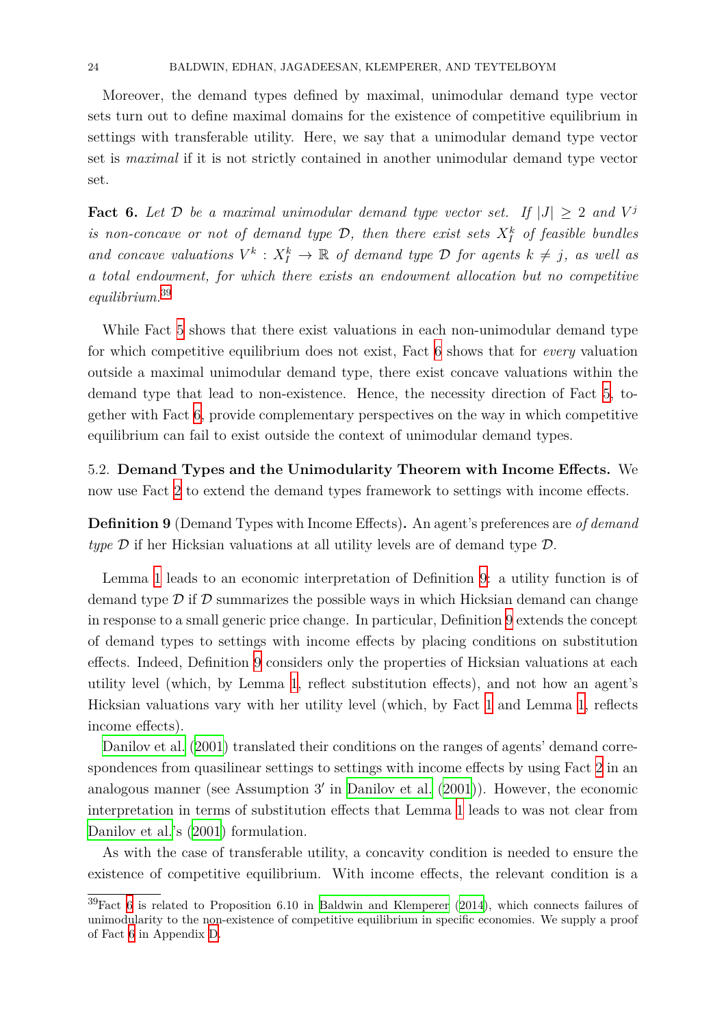Moreover, the demand types defined by maximal, unimodular demand type vector sets turn out to define maximal domains for the existence of competitive equilibrium in settings with transferable utility. Here, we say that a unimodular demand type vector set is *maximal* if it is not strictly contained in another unimodular demand type vector set.

<span id="page-23-1"></span>**Fact 6.** Let  $D$  be a maximal unimodular demand type vector set. If  $|J| \geq 2$  and  $V^j$ *is non-concave or not of demand type*  $D$ *, then there exist sets*  $X_I^k$  *of feasible bundles and concave valuations*  $V^k$  :  $X_I^k \to \mathbb{R}$  *of demand type*  $D$  *for agents*  $k \neq j$ *, as well as a total endowment, for which there exists an endowment allocation but no competitive equilibrium.*<sup>39</sup>

While Fact 5 shows that there exist valuations in each non-unimodular demand type for which c[om](#page-23-0)petitive equilibrium does not exist, Fact 6 shows that for *every* valuation outside a maximal unimodular demand type, there exist concave valuations within the demand type [th](#page-22-2)at lead to non-existence. Hence, the necessity direction of Fact 5, together with Fact 6, provide complementary perspectives [o](#page-23-1)n the way in which competitive equilibrium can fail to exist outside the context of unimodular demand types.

5.2. **Demand T[y](#page-23-1)pes and the Unimodularity Theorem with Income Effect[s.](#page-22-2)** We now use Fact 2 to extend the demand types framework to settings with income effects.

**Definition 9** (Demand Types with Income Effects)**.** An agent's preferences are *of demand type D* if her [H](#page-7-0)icksian valuations at all utility levels are of demand type *D*.

<span id="page-23-2"></span>Lemma 1 leads to an economic interpretation of Definition 9: a utility function is of demand type  $\mathcal D$  if  $\mathcal D$  summarizes the possible ways in which Hicksian demand can change in response to a small generic price change. In particular, Definition 9 extends the concept of deman[d t](#page-6-0)ypes to settings with income effects by placing c[on](#page-23-2)ditions on substitution effects. Indeed, Definition 9 considers only the properties of Hicksian valuations at each utility level (which, by Lemma 1, reflect substitution effects), an[d](#page-23-2) not how an agent's Hicksian valuations vary [wi](#page-23-2)th her utility level (which, by Fact 1 and Lemma 1, reflects income effects).

Danilov et al. (2001) translate[d](#page-6-0) their conditions on the ranges of agents' demand correspondences from quasilinear settings to settings with income eff[ec](#page-5-1)ts by using F[ac](#page-6-0)t 2 in an analogous manner (see Assumption 3*′* in Danilov et al. (2001)). However, the economic in[terpretation in term](#page-37-8)s of substitution effects that Lemma 1 leads to was not cle[ar](#page-7-0) from Danilov et al.'s (2001) formulation.

As with the case of transferable utility[, a concavity conditi](#page-37-8)on is needed to ensure the existence of competitive equilibrium. With income effect[s,](#page-6-0) the relevant condition is a

<span id="page-23-0"></span> ${}^{39}$ Fact 6 [is relat](#page-37-8)ed [to Pr](#page-37-8)oposition 6.10 in Baldwin and Klemperer (2014), which connects failures of unimodularity to the non-existence of competitive equilibrium in specific economies. We supply a proof of Fact 6 in Appendix D.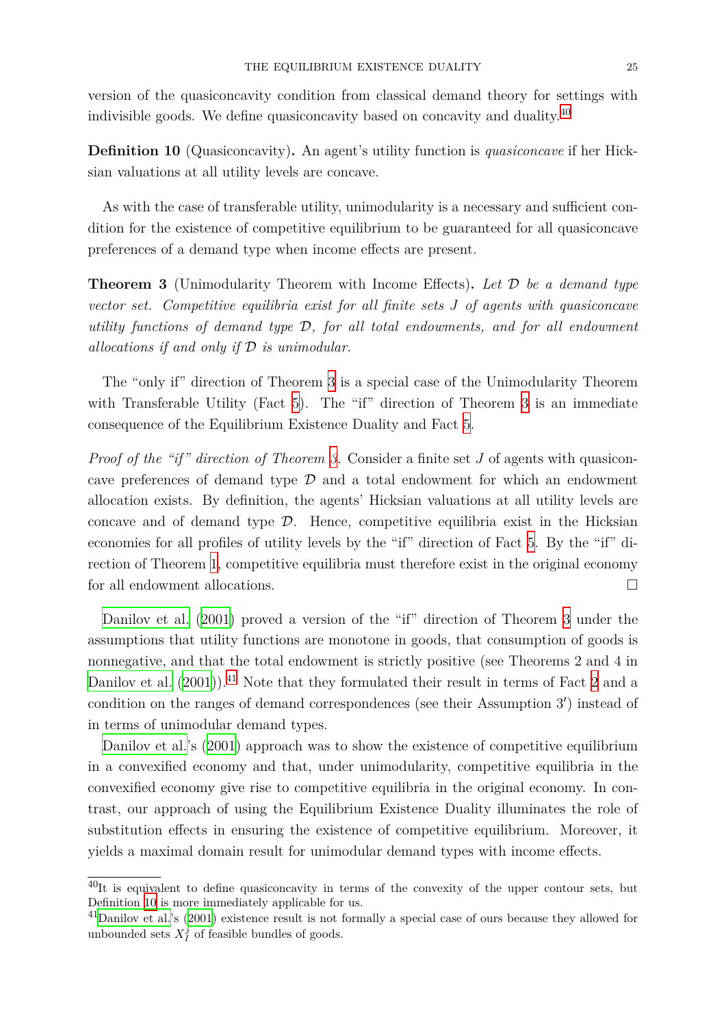version of the quasiconcavity condition from classical demand theory for settings with indivisible goods. We define quasiconcavity based on concavity and duality.<sup>40</sup>

**Definition 10** (Quasiconcavity)**.** An agent's utility function is *quasiconcave* if her Hicksian valuations at all utility levels are concave.

As with the case of transferable utility, unimodularity is a necessary and sufficient condition for the existence of competitive equilibrium to be guaranteed for all quasiconcave preferences of a demand type when income effects are present.

**Theorem 3** (Unimodularity Theorem with Income Effects)**.** *Let D be a demand type vector set. Competitive equilibria exist for all finite sets J of agents with quasiconcave utility functions of demand type D, for all total endowments, and for all endowment allocations if and only if D is unimodular.*

<span id="page-24-0"></span>The "only if" direction of Theorem 3 is a special case of the Unimodularity Theorem with Transferable Utility (Fact 5). The "if" direction of Theorem 3 is an immediate consequence of the Equilibrium Existe[nc](#page-24-0)e Duality and Fact 5.

*Proof of the "if" direction of Th[eo](#page-22-2)rem 3.* Consider a finite set *J* of ag[en](#page-24-0)ts with quasiconcave preferences of demand type *D* and a total endowme[nt](#page-22-2) for which an endowment allocation exists. By definition, the agents' Hicksian valuations at all utility levels are co[nc](#page-24-0)ave and of demand type  $D$ . Hence, competitive equilibria exist in the Hicksian economies for all profiles of utility levels by the "if" direction of Fact 5. By the "if" direction of Theorem 1, competitive equilibria must therefore exist in the original economy for all endowment allocations. □

Danilov et al. (2[00](#page-9-1)1) proved a version of the "if" direction of The[or](#page-22-2)em 3 under the assumptions that utility functions are monotone in goods, that consumption of goods is nonnegative, and that the total endowment is strictly positive (see Theorems 2 and 4 in D[anilov et al.](#page-37-8)  $(2001)$ .<sup>41</sup> Note that they formulated their result in terms of [Fa](#page-24-0)ct 2 and a condition on the ranges of demand correspondences (see their Assumption 3*′* ) instead of in terms of unimodular demand types.

[Danilov et](#page-37-8) a[l.'s \(2](#page-37-8)0[01\)](#page-24-1) approach was to show the existence of competitive equ[ili](#page-7-0)brium in a convexified economy and that, under unimodularity, competitive equilibria in the convexified economy give rise to competitive equilibria in the original economy. In contr[ast, our appro](#page-37-8)ac[h of u](#page-37-8)sing the Equilibrium Existence Duality illuminates the role of substitution effects in ensuring the existence of competitive equilibrium. Moreover, it yields a maximal domain result for unimodular demand types with income effects.

 $^{40}$ It is equivalent to define quasiconcavity in terms of the convexity of the upper contour sets, but Definition 10 is more immediately applicable for us.

<span id="page-24-1"></span> $^{41}$ Danilov et al.'s (2001) existence result is not formally a special case of ours because they allowed for unbounded sets  $X_I^j$  of feasible bundles of goods.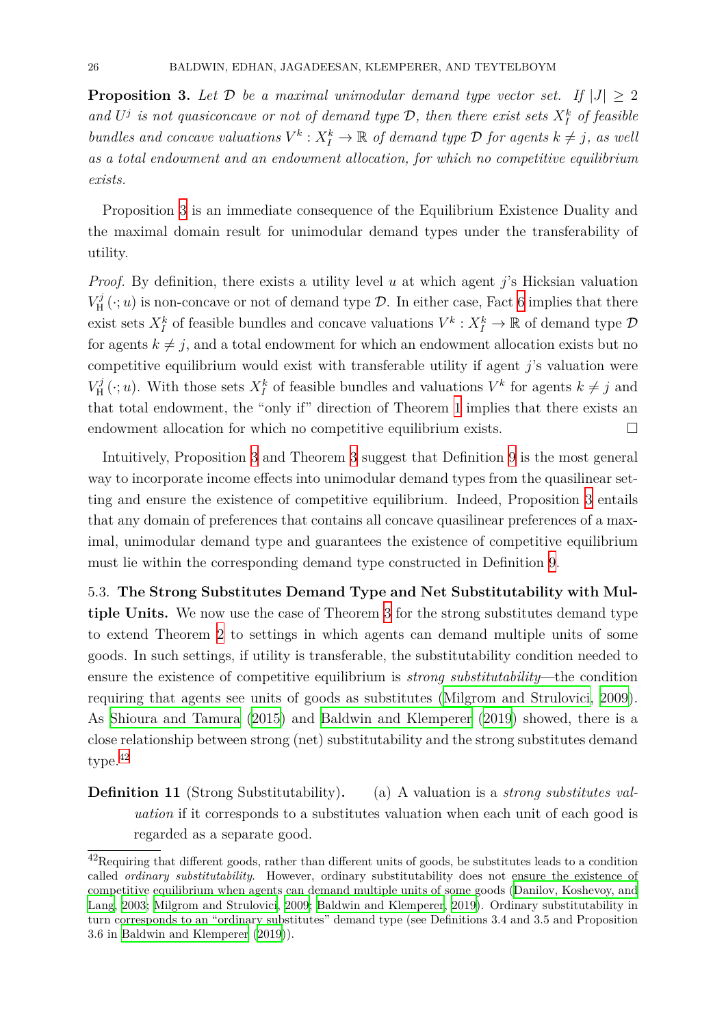<span id="page-25-1"></span>**Proposition 3.** Let  $D$  be a maximal unimodular demand type vector set. If  $|J| \geq 2$ and  $U^j$  is not quasiconcave or not of demand type  $\mathcal{D}$ , then there exist sets  $X_I^k$  of feasible *bundles and concave valuations*  $V^k$  :  $X_I^k \to \mathbb{R}$  *of demand type*  $D$  *for agents*  $k \neq j$ *, as well as a total endowment and an endowment allocation, for which no competitive equilibrium exists.*

Proposition 3 is an immediate consequence of the Equilibrium Existence Duality and the maximal domain result for unimodular demand types under the transferability of utility.

*Proof.* By defi[ni](#page-25-1)tion, there exists a utility level *u* at which agent *j*'s Hicksian valuation  $V^j_{\rm H}$  $H^{\jmath}(\cdot; u)$  is non-concave or not of demand type  $\mathcal{D}$ . In either case, Fact 6 implies that there exist sets  $X_I^k$  of feasible bundles and concave valuations  $V^k: X_I^k \to \mathbb{R}$  of demand type  $\mathcal D$ for agents  $k \neq j$ , and a total endowment for which an endowment allocation exists but no competitive equilibrium would exist with transferable utility if agen[t](#page-23-1) *j*'s valuation were  $V_{\rm H}^j$  $K_H^j(\cdot; u)$ . With those sets  $X_I^k$  of feasible bundles and valuations  $V^k$  for agents  $k \neq j$  and that total endowment, the "only if" direction of Theorem 1 implies that there exists an endowment allocation for which no competitive equilibrium exists.  $\Box$ 

Intuitively, Proposition 3 and Theorem 3 suggest that D[efi](#page-9-1)nition 9 is the most general way to incorporate income effects into unimodular demand types from the quasilinear setting and ensure the existence of competitive equilibrium. Indeed, Proposition 3 entails that any domain of prefer[en](#page-25-1)ces that contai[ns](#page-24-0) all concave quasilinear [p](#page-23-2)references of a maximal, unimodular demand type and guarantees the existence of competitive eq[ui](#page-25-1)librium must lie within the corresponding demand type constructed in Definition 9.

<span id="page-25-0"></span>5.3. **The Strong Substitutes Demand Type and Net Substitutability with Multiple Units.** We now use the case of Theorem 3 for the strong substitute[s](#page-23-2) demand type to extend Theorem 2 to settings in which agents can demand multiple units of some goods. In such settings, if utility is transferable, the substitutability condition needed to ensure the existence of competitive equilibriu[m i](#page-24-0)s *strong substitutability*—the condition requiring that agent[s](#page-15-2) see units of goods as substitutes (Milgrom and Strulovici, 2009). As Shioura and Tamura (2015) and Baldwin and Klemperer (2019) showed, there is a close relationship between strong (net) substitutability an[d the strong substitutes deman](#page-38-12)d type.<sup>42</sup>

**De[finition 11](#page-39-7)** (Strong S[ubstit](#page-39-7)utability)**.** (a) [A valuation](#page-37-4) i[s a](#page-37-4) *strong substitutes valuation* if it corresponds to a substitutes valuation when each unit of each good is regarded as a separate good.

 $^{42}$ Requiring that different goods, rather than different units of goods, be substitutes leads to a condition called *ordinary substitutability*. However, ordinary substitutability does not ensure the existence of competitive equilibrium when agents can demand multiple units of some goods (Danilov, Koshevoy, and Lang, 2003; Milgrom and Strulovici, 2009; Baldwin and Klemperer, 2019). Ordinary substitutability in turn corresponds to an "ordinary substitutes" demand type (see Definitions 3.4 and 3.5 and Proposition 3.6 in Baldwin and Klemperer (2019)).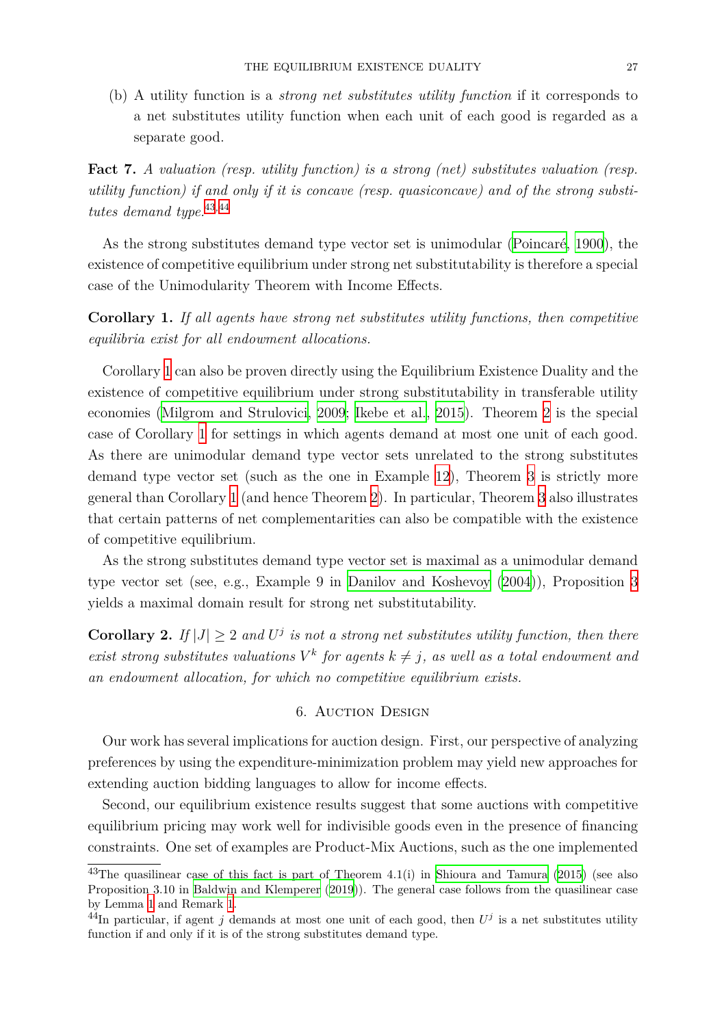(b) A utility function is a *strong net substitutes utility function* if it corresponds to a net substitutes utility function when each unit of each good is regarded as a separate good.

**Fact 7.** *A valuation (resp. utility function) is a strong (net) substitutes valuation (resp. utility function) if and only if it is concave (resp. quasiconcave) and of the strong substitutes demand type.*<sup>43</sup>*,*<sup>44</sup>

As the strong substitutes demand type vector set is unimodular (Poincaré, 1900), the existence of compe[tit](#page-26-1)[ive](#page-26-2) equilibrium under strong net substitutability is therefore a special case of the Unimodularity Theorem with Income Effects.

**Corollary 1.** If all agents have strong net substitutes utility functi[ons, then](#page-38-16) c[ompe](#page-38-16)titive *equilibria exist for all endowment allocations.*

<span id="page-26-3"></span>Corollary 1 can also be proven directly using the Equilibrium Existence Duality and the existence of competitive equilibrium under strong substitutability in transferable utility economies (Milgrom and Strulovici, 2009; Ikebe et al., 2015). Theorem 2 is the special case of Cor[oll](#page-26-3)ary 1 for settings in which agents demand at most one unit of each good. As there are unimodular demand type vector sets unrelated to the strong substitutes demand ty[pe vector set \(such as t](#page-38-12)h[e one](#page-38-12) [in Example](#page-38-4) [12\),](#page-38-4) Theorem 3 [is](#page-15-2) strictly more general than Coro[ll](#page-26-3)ary 1 (and hence Theorem 2). In particular, Theorem 3 also illustrates that certain patterns of net complementarities can also [be](#page-22-6) compatible [w](#page-24-0)ith the existence of competitive equilibrium.

As the strong substi[tu](#page-26-3)tes demand type vec[to](#page-15-2)r set is maximal as a uni[mo](#page-24-0)dular demand type vector set (see, e.g., Example 9 in Danilov and Koshevoy (2004)), Proposition 3 yields a maximal domain result for strong net substitutability.

**Corollary 2.** If  $|J| \geq 2$  and  $U^j$  is not a s[trong net substitutes uti](#page-37-14)li[ty fun](#page-37-14)ction, then the[re](#page-25-1) *exist strong substitutes valuations*  $V^k$  *for agents*  $k \neq j$ *, as well as a total endowment and an endowment allocation, for which no competitive equilibrium exists.*

## 6. Auction Design

<span id="page-26-0"></span>Our work has several implications for auction design. First, our perspective of analyzing preferences by using the expenditure-minimization problem may yield new approaches for extending auction bidding languages to allow for income effects.

Second, our equilibrium existence results suggest that some auctions with competitive equilibrium pricing may work well for indivisible goods even in the presence of financing constraints. One set of examples are Product-Mix Auctions, such as the one implemented

 $^{43}$ The quasilinear case of this fact is part of Theorem 4.1(i) in Shioura and Tamura (2015) (see also Proposition 3.10 in Baldwin and Klemperer (2019)). The general case follows from the quasilinear case by Lemma 1 and Remark 1.

<span id="page-26-2"></span><span id="page-26-1"></span> $^{44}$ In particular, if agent *j* demands at most one unit of each good, then  $U^j$  is a net substitutes utility function if and only if it is of the strong substitutes demand type[.](#page-39-7)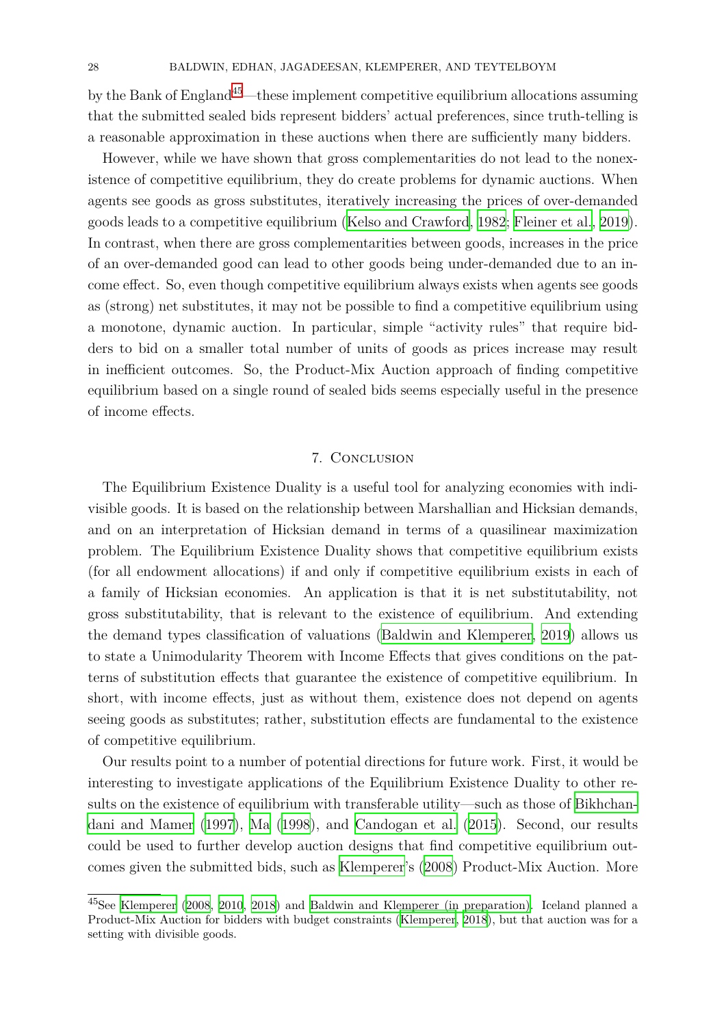by the Bank of England<sup>45</sup>—these implement competitive equilibrium allocations assuming that the submitted sealed bids represent bidders' actual preferences, since truth-telling is a reasonable approximation in these auctions when there are sufficiently many bidders.

However, while we h[av](#page-27-1)e shown that gross complementarities do not lead to the nonexistence of competitive equilibrium, they do create problems for dynamic auctions. When agents see goods as gross substitutes, iteratively increasing the prices of over-demanded goods leads to a competitive equilibrium (Kelso and Crawford, 1982; Fleiner et al., 2019). In contrast, when there are gross complementarities between goods, increases in the price of an over-demanded good can lead to other goods being under-demanded due to an income effect. So, even though competitive [equilibrium always exists w](#page-38-5)[hen agents see good](#page-37-6)s as (strong) net substitutes, it may not be possible to find a competitive equilibrium using a monotone, dynamic auction. In particular, simple "activity rules" that require bidders to bid on a smaller total number of units of goods as prices increase may result in inefficient outcomes. So, the Product-Mix Auction approach of finding competitive equilibrium based on a single round of sealed bids seems especially useful in the presence of income effects.

### 7. Conclusion

<span id="page-27-0"></span>The Equilibrium Existence Duality is a useful tool for analyzing economies with indivisible goods. It is based on the relationship between Marshallian and Hicksian demands, and on an interpretation of Hicksian demand in terms of a quasilinear maximization problem. The Equilibrium Existence Duality shows that competitive equilibrium exists (for all endowment allocations) if and only if competitive equilibrium exists in each of a family of Hicksian economies. An application is that it is net substitutability, not gross substitutability, that is relevant to the existence of equilibrium. And extending the demand types classification of valuations (Baldwin and Klemperer, 2019) allows us to state a Unimodularity Theorem with Income Effects that gives conditions on the patterns of substitution effects that guarantee the existence of competitive equilibrium. In short, with income effects, just as without th[em, existence does not d](#page-37-4)e[pend](#page-37-4) on agents seeing goods as substitutes; rather, substitution effects are fundamental to the existence of competitive equilibrium.

Our results point to a number of potential directions for future work. First, it would be interesting to investigate applications of the Equilibrium Existence Duality to other results on the existence of equilibrium with transferable utility—such as those of Bikhchandani and Mamer (1997), Ma (1998), and Candogan et al. (2015). Second, our results could be used to further develop auction designs that find competitive equilibrium out[comes given the s](#page-37-0)u[bmitt](#page-37-0)e[d bids, suc](#page-38-2)h as Kl[emperer's \(2008\)](#page-37-1) [Produ](#page-37-1)ct-Mix Auc[tion. More](#page-37-0)

<span id="page-27-1"></span><sup>45</sup>See Klemperer (2008, 2010, 2018) and Baldwin and Klemperer (in preparation). Iceland planned a Product-Mix Auction for bidders with budget [constraints \(K](#page-38-7)le[mperer](#page-38-7), 2018), but that auction was for a setting with divisible goods.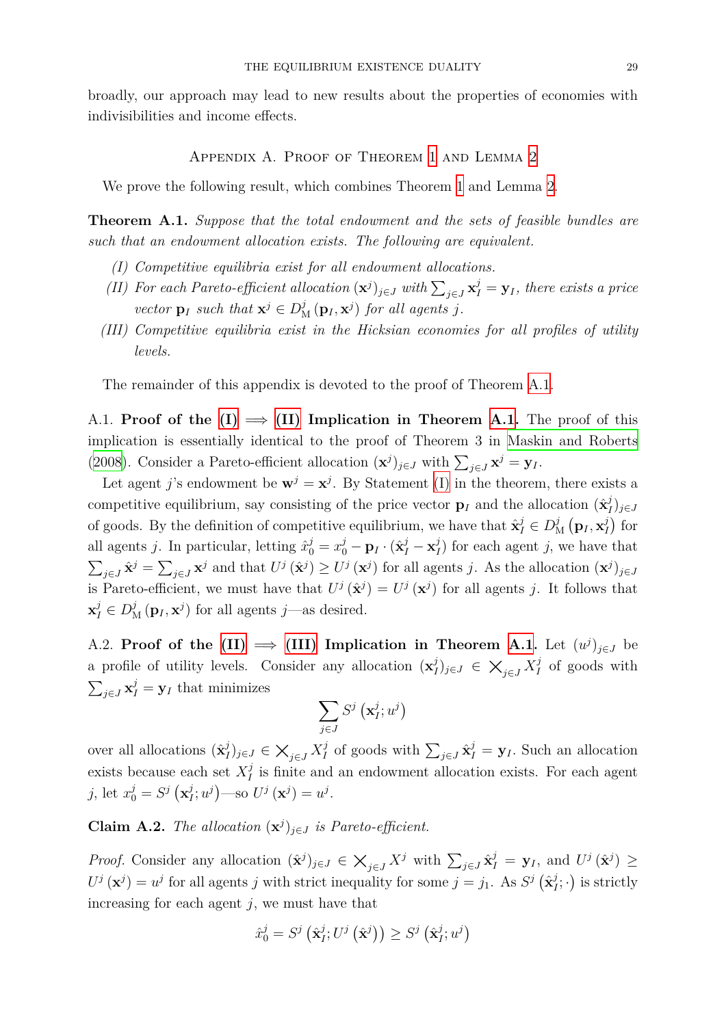broadly, our approach may lead to new results about the properties of economies with indivisibilities and income effects.

Appendix A. Proof of Theorem 1 and Lemma 2

We prove the following result, which combines Theorem 1 and Lemma 2.

<span id="page-28-0"></span>**Theorem A.1.** *Suppose that the total endowment a[nd](#page-9-1) the sets of fe[as](#page-10-1)ible bundles are such that an endowment allocation exists. The following a[re](#page-9-1) equivalent.*

- <span id="page-28-1"></span>*(I) Competitive equilibria exist for all endowment allocations.*
- *(II)* For each Pareto-efficient allocation  $(\mathbf{x}^j)_{j \in J}$  with  $\sum_{j \in J} \mathbf{x}^j_I = \mathbf{y}_I$ , there exists a price *vector*  $\mathbf{p}_I$  *such that*  $\mathbf{x}^j \in D^j$   $(\mathbf{p}_I, \mathbf{x}^j)$  *for all agents j*.
- <span id="page-28-3"></span><span id="page-28-2"></span>*(III) Competitive equilibria exist in the Hicksian economies for all profiles of utility levels.*

<span id="page-28-5"></span>The remainder of this appendix is devoted to the proof of Theorem A.1.

A.1. **Proof of the**  $(I) \implies (II)$  **Implication in Theorem A.1.** The proof of this implication is essentially identical to the proof of Theorem 3 in Ma[skin](#page-28-1) and Roberts (2008). Consider a Pareto-efficient allocation  $(\mathbf{x}^j)_{j \in J}$  with  $\sum_{j \in J} \mathbf{x}^j = \mathbf{y}_I$ .

Let agent *j*'s endo[wm](#page-28-2)ent be  $\mathbf{w}^j = \mathbf{x}^j$  $\mathbf{w}^j = \mathbf{x}^j$  $\mathbf{w}^j = \mathbf{x}^j$ . By Statement (I) in th[e the](#page-28-1)orem, there exists a competitive equilibrium, say consisting of the price vector  $\mathbf{p}_I$  and [the allocation](#page-38-11)  $(\hat{\mathbf{x}}_I^j)$ *I* )*<sup>j</sup>∈<sup>J</sup>* [of goo](#page-38-11)ds. By the definition of competitive equilibrium, we have that  $\hat{\mathbf{x}}_I^j \in D_N^j$  $_{\rm M}^j$   $\left( {{{\bf{p}}_I},{{\bf{x}}_I^j}} \right)$  $\binom{j}{I}$  for all agents *j*. In particular, letting  $\hat{x}_0^j = x_0^j - \mathbf{p}_I \cdot (\hat{\mathbf{x}}_I^j - \mathbf{x}_I^j)$  $I_I^j$  for each agent *j*, we have that  $\sum_{j\in J}\hat{\mathbf{x}}^j = \sum_{j\in J}\mathbf{x}^j$  and that  $U^j(\hat{\mathbf{x}}^j) \geq U^j(\mathbf{x}^j)$  for all agents j. As the allocation  $(\mathbf{x}^j)_{j\in J}$ is Pareto-efficient, we must have that  $U^j(\hat{\mathbf{x}}^j) = U^j(\mathbf{x}^j)$  for all agents *j*. It follows that  $\mathbf{x}_I^j \in D^j_{\mathcal{M}}(\mathbf{p}_I, \mathbf{x}^j)$  for all agents *j*—as desired.

A.2. **Proof of the (II)**  $\implies$  (III) Implication in Theorem A.1. Let  $(u^j)_{j \in J}$  be a profile of utility levels. Consider any allocation  $(\mathbf{x}_i^j)$ *I* )*<sup>j</sup>∈<sup>J</sup> <sup>∈</sup> ×<sup>j</sup>∈<sup>J</sup> <sup>X</sup> j I* of goods with  $\sum_{j \in J} \mathbf{x}_I^j = \mathbf{y}_I$  that m[inim](#page-28-3)izes

$$
\sum_{j\in J}S^j\left(\mathbf{x}_I^j;u^j\right)
$$

over all allocations  $(\hat{\mathbf{x}}_l^j)$ *I*<sup>*j*</sup><sub>*J*</sub>  $\in$   $\bigtimes_{j \in J} X_I^j$ *I*<sup>*j*</sup> of goods with ∑<sub>*j*∈*J*</sub>  $\hat{\mathbf{x}}_I^j = \mathbf{y}_I$ . Such an allocation exists because each set *X j*  $I_I^j$  is finite and an endowment allocation exists. For each agent *j*, let  $x_0^j = S^j$   $(\mathbf{x}_I^j)$  $J^{j}_{I}$ ;  $u^{j}$ ) —so  $U^{j}$  (**x**<sup>*j*</sup>) =  $u^{j}$ .

**Claim A.2.** *The allocation*  $(\mathbf{x}^j)_{j \in J}$  *is Pareto-efficient.* 

<span id="page-28-4"></span>*Proof.* Consider any allocation  $(\hat{\mathbf{x}}^j)_{j \in J} \in \mathsf{X}_{j \in J} X^j$  with  $\sum_{j \in J} \hat{\mathbf{x}}_I^j = \mathbf{y}_I$ , and  $U^j(\hat{\mathbf{x}}^j) \geq$  $U^j(\mathbf{x}^j) = u^j$  for all agents *j* with strict inequality for some  $j = j_1$ . As  $S^j(\hat{\mathbf{x}}_I^j)$  $\left(\frac{j}{I}; \cdot\right)$  is strictly increasing for each agent *j*, we must have that

$$
\hat{x}_0^j = S^j\left(\hat{\mathbf{x}}_I^j; U^j\left(\hat{\mathbf{x}}^j\right)\right) \geq S^j\left(\hat{\mathbf{x}}_I^j; u^j\right)
$$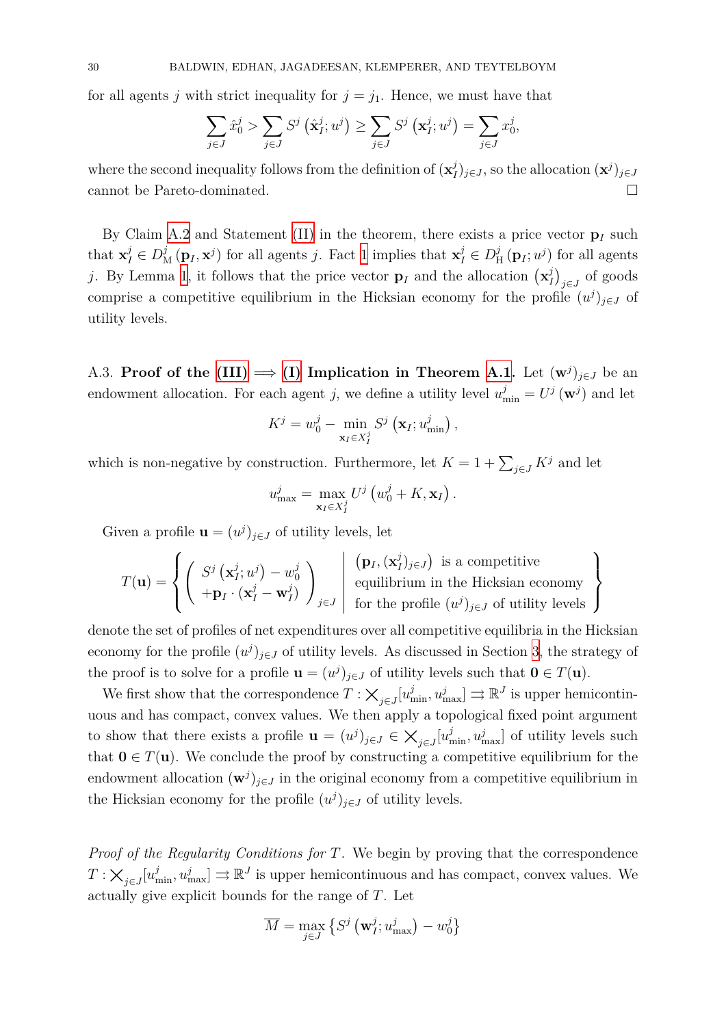for all agents *j* with strict inequality for  $j = j_1$ . Hence, we must have that

$$
\sum_{j\in J} \hat{x}_0^j > \sum_{j\in J} S^j \left( \hat{\mathbf{x}}_I^j; u^j \right) \ge \sum_{j\in J} S^j \left( \mathbf{x}_I^j; u^j \right) = \sum_{j\in J} x_0^j,
$$

where the second inequality follows from the definition of  $(\mathbf{x}_i^j)$  $\int_{I}^{j}$ <sub>*j*</sub> $\in$ *J*, so the allocation  $(\mathbf{x}^{j})_{j\in J}$ cannot be Pareto-dominated.  $\hfill \square$ 

By Claim A.2 and Statement (II) in the theorem, there exists a price vector  $\mathbf{p}_I$  such that  $\mathbf{x}_I^j \in D^j_{\mathbf{M}}(\mathbf{p}_I, \mathbf{x}^j)$  for all agents *j*. Fact 1 implies that  $\mathbf{x}_I^j \in D^j_{\mathbf{P}_I}$  $\frac{j}{H}(\mathbf{p}_I; u^j)$  for all agents *j*. By Lemma 1, it follows that the price vector  $\mathbf{p}_I$  and the allocation  $(\mathbf{x}_I^j)$ *I*<sup> $j$ </sup><sub>*j*∈*J*</sub> of goods [comp](#page-28-4)rise a competitive equilibri[um](#page-28-3) in the [H](#page-5-1)icksian economy for the profile  $(u^j)_{j \in J}$  of utility levels.

A.3. **Proof of the (III)**  $\implies$  (I) Implication in Theorem A.1. Let  $(w<sup>j</sup>)<sub>j\in J</sub>$  be an endowment allocation. For each agent *j*, we define a utility level  $u_{\min}^j = U^j(\mathbf{w}^j)$  and let

$$
K^{j} = w_0^{j} - \min_{\mathbf{x}_{I} \in X_{I}^{j}} S^{j} (\mathbf{x}_{I}; w_{\min}^{j}),
$$

which is non-negative by construction. Furthermore, let  $K = 1 + \sum_{j \in J} K^j$  and let

$$
u_{\max}^j = \max_{\mathbf{x}_I \in X_I^j} U^j \left( w_0^j + K, \mathbf{x}_I \right).
$$

Given a profile  $\mathbf{u} = (u^j)_{j \in J}$  of utility levels, let

$$
T(\mathbf{u}) = \left\{ \left( \begin{array}{c} S^j\left( \mathbf{x}_I^j; u^j \right) - w_0^j \\ + \mathbf{p}_I \cdot (\mathbf{x}_I^j - \mathbf{w}_I^j) \end{array} \right)_{j \in J} \middle| \begin{array}{c} \left( \mathbf{p}_I, (\mathbf{x}_I^j)_{j \in J} \right) \text{ is a competitive equilibrium in the Hicksian economy} \\ \text{equilibrium in the Hicksian economy} \\ \text{for the profile } (u^j)_{j \in J} \text{ of utility levels} \end{array} \right\}
$$

denote the set of profiles of net expenditures over all competitive equilibria in the Hicksian economy for the profile  $(u^j)_{j \in J}$  of utility levels. As discussed in Section 3, the strategy of the proof is to solve for a profile  $\mathbf{u} = (u^j)_{j \in J}$  of utility levels such that  $\mathbf{0} \in T(\mathbf{u})$ .

We first show that the correspondence  $T : \times_{j \in J}[u^j_{\min}, u^j_{\max}] \rightrightarrows \mathbb{R}^J$  is upper hemicontinuous and has compact, convex values. We then apply a topological fixe[d](#page-8-0) point argument to show that there exists a profile  $\mathbf{u} = (u^j)_{j \in J} \in \mathsf{X}_{j \in J}[u^j_{\min}, u^j_{\max}]$  of utility levels such that  $0 \in T(u)$ . We conclude the proof by constructing a competitive equilibrium for the endowment allocation  $(\mathbf{w}^j)_{j \in J}$  in the original economy from a competitive equilibrium in the Hicksian economy for the profile  $(u^j)_{j \in J}$  of utility levels.

*Proof of the Regularity Conditions for T.* We begin by proving that the correspondence  $T: \times_{j \in J} [u^j_{\min}, u^j_{\max}] \rightrightarrows \mathbb{R}^J$  is upper hemicontinuous and has compact, convex values. We actually give explicit bounds for the range of *T*. Let

$$
\overline{M} = \max_{j \in J} \left\{ S^j \left( \mathbf{w}_I^j; u_{\text{max}}^j \right) - w_0^j \right\}
$$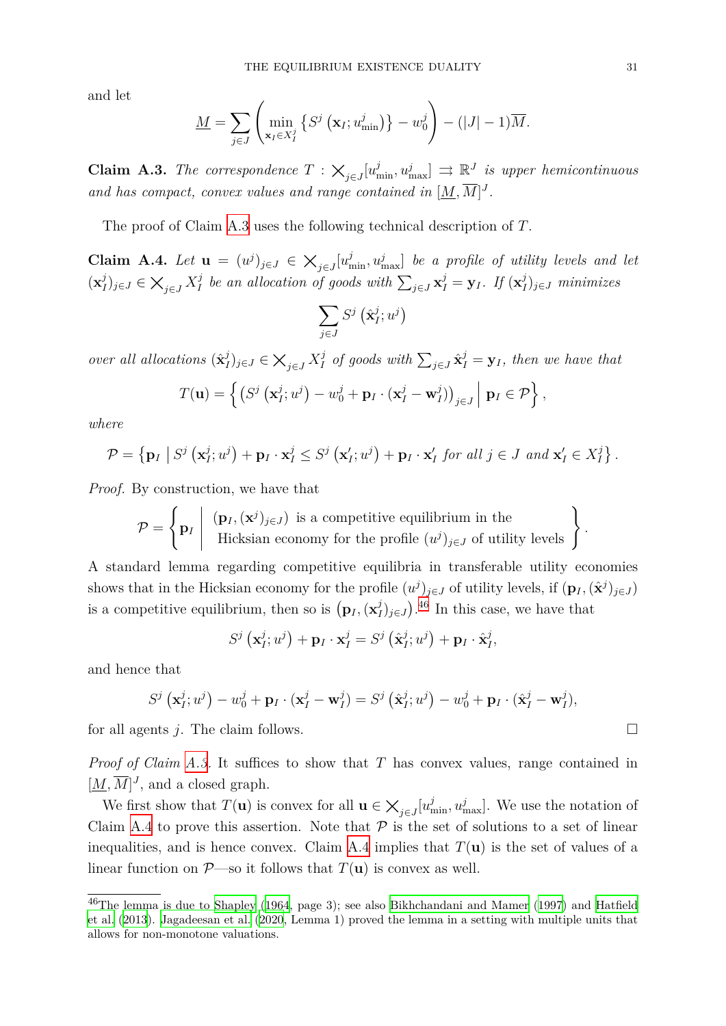and let

$$
\underline{M} = \sum_{j \in J} \left( \min_{\mathbf{x}_I \in X_I^j} \left\{ S^j \left( \mathbf{x}_I; u_{\min}^j \right) \right\} - w_0^j \right) - (|J| - 1) \overline{M}.
$$

**Claim A.3.** *The correspondence*  $T : \times_{j \in J}[u^j_{\min}, u^j_{\max}] \Rightarrow \mathbb{R}^J$  *is upper hemicontinuous* and has compact, convex values and range contained in  $[\underline{M}, \overline{M}]^J$ .

<span id="page-30-0"></span>The proof of Claim A.3 uses the following technical description of *T*.

**Claim A.4.** Let  $\mathbf{u} = (u^j)_{j \in J} \in \mathbb{X}_{j \in J}[u^j_{\min}, u^j_{\max}]$  be a profile of utility levels and let  $(\mathbf{x}_I^j)$ *I*<sup>*j*</sup><sub>*J*</sub>  $\in$   $\bigtimes_{j \in J} X_I^j$ *I*<sup>*j*</sup> be [an a](#page-30-0)llocation of goods with  $\sum_{j \in J} \mathbf{x}_I^j = \mathbf{y}_I$ . If  $(\mathbf{x}_I^j$ *I* )*<sup>j</sup>∈<sup>J</sup> minimizes*

$$
\sum_{j\in J}S^j\left(\hat{\mathbf{x}}^j_I;u^j\right)
$$

<span id="page-30-1"></span>*over all allocations*  $(\hat{\mathbf{x}}_l^j)$ *I*<sup>*j*</sup><sub>*J*</sub>  $\in$   $\bigtimes_{j \in J} X_I^j$  $\sum_{j \in J} \hat{\mathbf{x}}_I^j = \mathbf{y}_I$ , then we have that

$$
T(\mathbf{u}) = \left\{ \left( S^j \left( \mathbf{x}_I^j; u^j \right) - w_0^j + \mathbf{p}_I \cdot (\mathbf{x}_I^j - \mathbf{w}_I^j) \right)_{j \in J} \middle| \mathbf{p}_I \in \mathcal{P} \right\},\
$$

*where*

$$
\mathcal{P} = \left\{ \mathbf{p}_I \middle| S^j \left( \mathbf{x}_I^j; u^j \right) + \mathbf{p}_I \cdot \mathbf{x}_I^j \leq S^j \left( \mathbf{x}_I^{\prime}; u^j \right) + \mathbf{p}_I \cdot \mathbf{x}_I^{\prime} \text{ for all } j \in J \text{ and } \mathbf{x}_I^{\prime} \in X_I^j \right\}.
$$

*Proof.* By construction, we have that

$$
\mathcal{P} = \left\{ \mathbf{p}_I \middle| \begin{array}{c} (\mathbf{p}_I, (\mathbf{x}^j)_{j \in J}) \text{ is a competitive equilibrium in the} \\ \text{Hicksian economy for the profile } (u^j)_{j \in J} \text{ of utility levels} \end{array} \right\}
$$

A standard lemma regarding competitive equilibria in transferable utility economies shows that in the Hicksian economy for the profile  $(u^j)_{j \in J}$  of utility levels, if  $(\mathbf{p}_I, (\hat{\mathbf{x}}^j)_{j \in J})$ is a competitive equilibrium, then so is  $(\mathbf{p}_I, (\mathbf{x}_I^j))$  $J_I^j$ <sub>*J*</sub> $_j \in J$ </sub>).<sup>46</sup> In this case, we have that

$$
S^{j}\left(\mathbf{x}_{I}^{j};u^{j}\right)+\mathbf{p}_{I}\cdot\mathbf{x}_{I}^{j}=S^{j}\left(\hat{\mathbf{x}}_{I}^{j};u^{j}\right)+\mathbf{p}_{I}\cdot\hat{\mathbf{x}}_{I}^{j},
$$

and hence that

$$
S^j\left(\mathbf{x}_I^j;u^j\right)-w_0^j+\mathbf{p}_I\cdot(\mathbf{x}_I^j-\mathbf{w}_I^j)=S^j\left(\hat{\mathbf{x}}_I^j;u^j\right)-w_0^j+\mathbf{p}_I\cdot(\hat{\mathbf{x}}_I^j-\mathbf{w}_I^j),
$$

for all agents *j*. The claim follows.  $\Box$ 

*Proof of Claim A.3.* It suffices to show that *T* has convex values, range contained in  $[M, \overline{M}]$ <sup>*J*</sup>, and a closed graph.

We first show that  $T(\mathbf{u})$  is convex for all  $\mathbf{u} \in \mathsf{X}_{j \in J}[u^j_{\min}, u^j_{\max}]$ . We use the notation of Claim A.4 to p[rove](#page-30-0) this assertion. Note that  $P$  is the set of solutions to a set of linear inequalities, and is hence convex. Claim A.4 implies that  $T(\mathbf{u})$  is the set of values of a linear [func](#page-30-1)tion on  $P$ —so it follows that  $T(\mathbf{u})$  is convex as well.

*.*

 $^{46}$ The lemma is due to Shapley (1964, page 3); [see a](#page-30-1)lso Bikhchandani and Mamer (1997) and Hatfield et al. (2013). Jagadeesan et al. (2020, Lemma 1) proved the lemma in a setting with multiple units that allows for non-monotone valuations.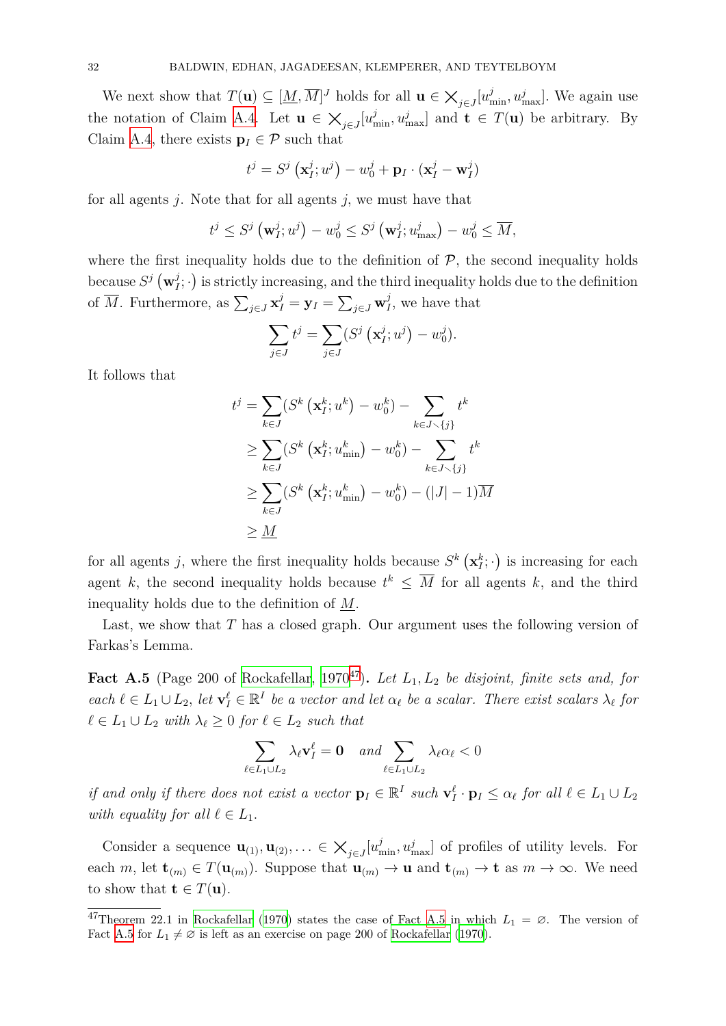We next show that  $T(\mathbf{u}) \subseteq [\underline{M}, \overline{M}]^J$  holds for all  $\mathbf{u} \in \times_{j \in J} [u^j_{\min}, u^j_{\max}]$ . We again use the notation of Claim A.4. Let  $\mathbf{u} \in \mathsf{X}_{j \in J}[u^j_{\min}, u^j_{\max}]$  and  $\mathbf{t} \in T(\mathbf{u})$  be arbitrary. By Claim A.4, there exists  $\mathbf{p}_I \in \mathcal{P}$  such that

$$
t^{j} = S^{j}(\mathbf{x}_{I}^{j}; u^{j}) - w_{0}^{j} + \mathbf{p}_{I} \cdot (\mathbf{x}_{I}^{j} - \mathbf{w}_{I}^{j})
$$

for all [agen](#page-30-1)ts *j*. Note that for all agents *j,* we must have that

$$
t^j \leq S^j \left( \mathbf{w}_I^j; u^j \right) - w_0^j \leq S^j \left( \mathbf{w}_I^j; u_{\text{max}}^j \right) - w_0^j \leq \overline{M},
$$

where the first inequality holds due to the definition of  $P$ , the second inequality holds because  $S^j$   $(\mathbf{w}_I^j)$  $\mathcal{I}_I^j$ ;  $\cdot$  ) is strictly increasing, and the third inequality holds due to the definition of  $\overline{M}$ . Furthermore, as  $\sum_{j \in J} \mathbf{x}_I^j = \mathbf{y}_I = \sum_{j \in J} \mathbf{w}_I^j$  $I<sub>I</sub>$ , we have that

$$
\sum_{j\in J} t^j = \sum_{j\in J} (S^j \left( \mathbf{x}_I^j; u^j \right) - w_0^j).
$$

It follows that

$$
t^{j} = \sum_{k \in J} (S^{k} (\mathbf{x}_{I}^{k}; u^{k}) - w_{0}^{k}) - \sum_{k \in J \setminus \{j\}} t^{k}
$$
  
\n
$$
\geq \sum_{k \in J} (S^{k} (\mathbf{x}_{I}^{k}; u_{\min}^{k}) - w_{0}^{k}) - \sum_{k \in J \setminus \{j\}} t^{k}
$$
  
\n
$$
\geq \sum_{k \in J} (S^{k} (\mathbf{x}_{I}^{k}; u_{\min}^{k}) - w_{0}^{k}) - (|J| - 1)\overline{M}
$$
  
\n
$$
\geq \underline{M}
$$

for all agents *j*, where the first inequality holds because  $S^k(\mathbf{x}_I^k; \cdot)$  is increasing for each agent *k*, the second inequality holds because  $t^k \leq \overline{M}$  for all agents *k*, and the third inequality holds due to the definition of *M*.

Last, we show that *T* has a closed graph. Our argument uses the following version of Farkas's Lemma.

<span id="page-31-1"></span>**Fact A.5** (Page 200 of Rockafellar, 1970<sup>47</sup>). Let  $L_1, L_2$  be disjoint, finite sets and, for each  $\ell \in L_1 \cup L_2$ , let  $\mathbf{v}_I^{\ell} \in \mathbb{R}^I$  be a vector and let  $\alpha_{\ell}$  be a scalar. There exist scalars  $\lambda_{\ell}$  for  $ℓ ∈ L_1 ∪ L_2$  *with*  $λ_ℓ ≥ 0$  *for*  $ℓ ∈ L_2$  *such t[hat](#page-31-0)* 

$$
\sum_{\ell \in L_1 \cup L_2} \lambda_\ell \mathbf{v}_I^{\ell} = \mathbf{0} \quad \text{and} \sum_{\ell \in L_1 \cup L_2} \lambda_\ell \alpha_\ell < 0
$$

if and only if there does not exist a vector  $\mathbf{p}_I \in \mathbb{R}^I$  such  $\mathbf{v}_I^{\ell} \cdot \mathbf{p}_I \leq \alpha_{\ell}$  for all  $\ell \in L_1 \cup L_2$ *with equality for all*  $\ell \in L_1$ *.* 

Consider a sequence  $\mathbf{u}_{(1)}, \mathbf{u}_{(2)}, \ldots \in \mathsf{X}_{j \in J}[u^j_{\min}, u^j_{\max}]$  of profiles of utility levels. For each *m*, let  $\mathbf{t}_{(m)} \in T(\mathbf{u}_{(m)})$ . Suppose that  $\mathbf{u}_{(m)} \to \mathbf{u}$  and  $\mathbf{t}_{(m)} \to \mathbf{t}$  as  $m \to \infty$ . We need to show that  $\mathbf{t} \in T(\mathbf{u})$ .

<span id="page-31-0"></span> $\sqrt[47]{\text{Theorem 22.1}}$  in Rockafellar (1970) states the case of Fact A.5 in which  $L_1 = \emptyset$ . The version of Fact A.5 for  $L_1 \neq \emptyset$  is left as an exercise on page 200 of Rockafellar (1970).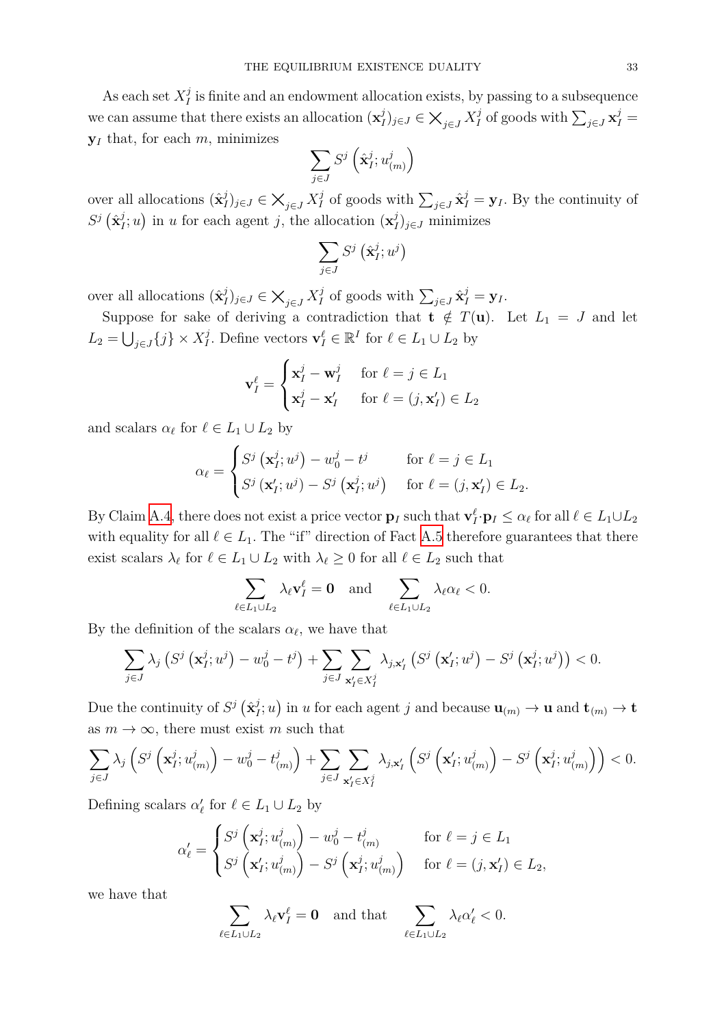As each set  $X_I^j$  $I_I^j$  is finite and an endowment allocation exists, by passing to a subsequence we can assume that there exists an allocation  $(\mathbf{x}_l^j)$ *I*<sup>*j*</sup><sub>*J*</sub>  $\in$   $\bigtimes_{j \in J} X_I^j$  $\sum_{j \in J} \mathbf{x}_I^j =$ **y***<sup>I</sup>* that, for each *m,* minimizes

$$
\sum_{j\in J}S^j\left(\hat{\mathbf{x}}^j_{I};u^j_{(m)}\right)
$$

over all allocations  $(\hat{\mathbf{x}}_l^j)$ *I*<sup>*j*</sup><sub>*J*</sub>  $\in$   $\bigtimes_{j \in J} X_I^j$ *I*<sup>*j*</sup> of goods with  $\sum_{j \in J} \hat{\mathbf{x}}_I^j = \mathbf{y}_I$ . By the continuity of  $S^j$   $(\hat{\mathbf{x}}_I^j)$  $I_j$ ; *u*) in *u* for each agent *j*, the allocation  $(\mathbf{x}_I^j)$ *I* )*<sup>j</sup>∈<sup>J</sup>* minimizes

$$
\sum_{j\in J}S^j\left(\hat{\mathbf{x}}^j_I;u^j\right)
$$

over all allocations  $(\hat{\mathbf{x}}_l^j)$ *I*<sup>*j*</sup><sub>*J*</sub>  $\in$   $\bigtimes_{j \in J} X_I^j$  $\sum_{j \in J} \hat{\mathbf{x}}_I^j = \mathbf{y}_I$ .

Suppose for sake of deriving a contradiction that  $\mathbf{t} \notin T(\mathbf{u})$ . Let  $L_1 = J$  and let  $L_2 = \bigcup_{j \in J} \{j\} \times X_I^j$ *I*<sup>*I*</sup>. Define vectors  $\mathbf{v}_I^{\ell} \in \mathbb{R}^I$  for  $\ell \in L_1 \cup L_2$  by

$$
\mathbf{v}_I^{\ell} = \begin{cases} \mathbf{x}_I^j - \mathbf{w}_I^j & \text{for } \ell = j \in L_1 \\ \mathbf{x}_I^j - \mathbf{x}_I' & \text{for } \ell = (j, \mathbf{x}_I') \in L_2 \end{cases}
$$

and scalars  $\alpha_{\ell}$  for  $\ell \in L_1 \cup L_2$  by

$$
\alpha_{\ell} = \begin{cases} S^{j} \left( \mathbf{x}_{I}^{j}; u^{j} \right) - w_{0}^{j} - t^{j} & \text{for } \ell = j \in L_{1} \\ S^{j} \left( \mathbf{x}_{I}^{i}; u^{j} \right) - S^{j} \left( \mathbf{x}_{I}^{j}; u^{j} \right) & \text{for } \ell = (j, \mathbf{x}_{I}^{i}) \in L_{2} . \end{cases}
$$

By Claim A.4, there does not exist a price vector  $\mathbf{p}_I$  such that  $\mathbf{v}_I^{\ell} \cdot \mathbf{p}_I \leq \alpha_{\ell}$  for all  $\ell \in L_1 \cup L_2$ with equality for all  $\ell \in L_1$ . The "if" direction of Fact A.5 therefore guarantees that there exist scal[ars](#page-30-1)  $\lambda_{\ell}$  for  $\ell \in L_1 \cup L_2$  with  $\lambda_{\ell} \geq 0$  for all  $\ell \in L_2$  such that

$$
\sum_{\ell \in L_1 \cup L_2} \lambda_\ell \mathbf{v}_I^{\ell} = \mathbf{0} \quad \text{and} \quad \sum_{\ell \in L_1 \cup L_2} \lambda_\ell \alpha_\ell < 0.
$$

By the definition of the scalars  $\alpha_{\ell}$ , we have that

$$
\sum_{j\in J}\lambda_j\left(S^j\left(\mathbf{x}_I^j;u^j\right)-w_0^j-t^j\right)+\sum_{j\in J}\sum_{\mathbf{x}_I'\in X_I^j}\lambda_{j,\mathbf{x}_I'}\left(S^j\left(\mathbf{x}_I';u^j\right)-S^j\left(\mathbf{x}_I^j;u^j\right)\right)<0.
$$

Due the continuity of  $S^j$   $(\hat{\mathbf{x}}_j^j)$  $I_j^j$ ; *u*) in *u* for each agent *j* and because  $\mathbf{u}_{(m)} \to \mathbf{u}$  and  $\mathbf{t}_{(m)} \to \mathbf{t}$ as  $m \to \infty$ , there must exist *m* such that

$$
\sum_{j\in J}\lambda_j\left(S^j\left(\mathbf{x}_I^j;u_{(m)}^j\right)-w_0^j-t_{(m)}^j\right)+\sum_{j\in J}\sum_{\mathbf{x}_I'\in X_I^j}\lambda_{j,\mathbf{x}_I'}\left(S^j\left(\mathbf{x}_I';u_{(m)}^j\right)-S^j\left(\mathbf{x}_I^j;u_{(m)}^j\right)\right)<0.
$$

Defining scalars  $\alpha'_{\ell}$  for  $\ell \in L_1 \cup L_2$  by

$$
\alpha'_{\ell} = \begin{cases}\nS^j \left( \mathbf{x}_I^j; u_{(m)}^j \right) - w_0^j - t_{(m)}^j & \text{for } \ell = j \in L_1 \\
S^j \left( \mathbf{x}_I^j; u_{(m)}^j \right) - S^j \left( \mathbf{x}_I^j; u_{(m)}^j \right) & \text{for } \ell = (j, \mathbf{x}_I^j) \in L_2,\n\end{cases}
$$

we have that

$$
\sum_{\ell \in L_1 \cup L_2} \lambda_\ell \mathbf{v}_I^{\ell} = \mathbf{0} \quad \text{and that} \quad \sum_{\ell \in L_1 \cup L_2} \lambda_\ell \alpha_\ell' < 0.
$$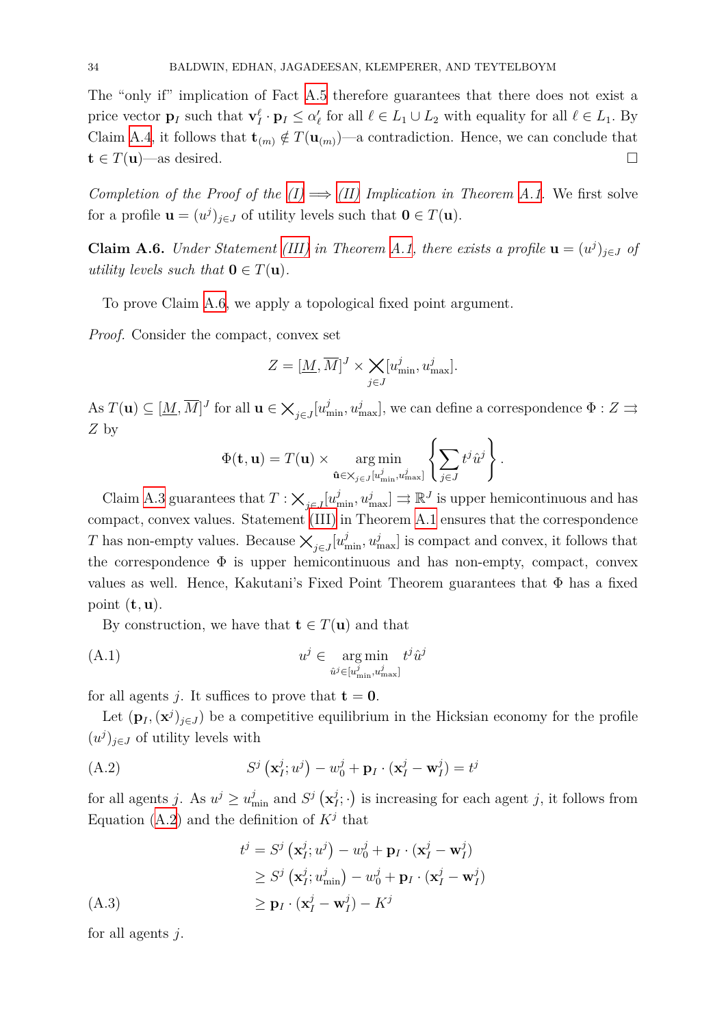The "only if" implication of Fact A.5 therefore guarantees that there does not exist a price vector  $\mathbf{p}_I$  such that  $\mathbf{v}_I^{\ell} \cdot \mathbf{p}_I \leq \alpha_{\ell}^{\prime}$  for all  $\ell \in L_1 \cup L_2$  with equality for all  $\ell \in L_1$ . By Claim A.4, it follows that  $\mathbf{t}_{(m)} \notin T(\mathbf{u}_{(m)})$  $\mathbf{t}_{(m)} \notin T(\mathbf{u}_{(m)})$  $\mathbf{t}_{(m)} \notin T(\mathbf{u}_{(m)})$ —a contradiction. Hence, we can conclude that  $\mathbf{t} \in T(\mathbf{u})$ —as desired. □

*Compl[etion](#page-30-1) of the Proof of the*  $(I) \implies (II)$  *Implication in Theorem A.1.* We first solve for a profile  $\mathbf{u} = (u^j)_{j \in J}$  of utility levels such that  $\mathbf{0} \in T(\mathbf{u})$ .

**Claim A.6.** *Under Statement [\(III\)](#page-28-2) in [Theo](#page-28-3)rem A.1, there exists a p[rofile](#page-28-1)*  $\mathbf{u} = (u^j)_{j \in J}$  *of utility levels such that*  $\mathbf{0} \in T(\mathbf{u})$ *.* 

To prove Claim A.6, we app[ly a t](#page-28-5)opological fi[xed](#page-28-1) point argument.

*Proof.* Consider the compact, convex set

$$
Z = [\underline{M}, \overline{M}]^J \times \underset{j \in J}{\times} [u^j_{\min}, u^j_{\max}].
$$

 $\mathbf{A} \mathbf{s} \ T(\mathbf{u}) \subseteq [\underline{M}, \overline{M}]^J$  for all  $\mathbf{u} \in \mathsf{X}_{j \in J}[u^j_{\min}, u^j_{\max}]$ , we can define a correspondence  $\Phi : Z \rightrightarrows$ *Z* by

$$
\Phi(\mathbf{t}, \mathbf{u}) = T(\mathbf{u}) \times \underset{\hat{\mathbf{u}} \in \mathsf{X}_{j \in J}[u_{\min}^j, u_{\max}^j]}{\arg \min} \left\{ \sum_{j \in J} t^j \hat{u}^j \right\}.
$$

Claim A.3 guarantees that  $T : \times_{j \in J} [u^j_{\min}, u^j_{\max}] \Rightarrow \mathbb{R}^J$  is upper hemicontinuous and has compact, convex values. Statement (III) in Theorem A.1 ensures that the correspondence *T* has non-empty values. Because  $\times_{j \in J}[u^j_{\min}, u^j_{\max}]$  is compact and convex, it follows that the corr[espo](#page-30-0)ndence  $\Phi$  is upper hemicontinuous and has non-empty, compact, convex values as well. Hence, Kakutani's [Fixed](#page-28-5) Point The[orem](#page-28-1) guarantees that  $\Phi$  has a fixed point (**t***,* **u**).

By construction, we have that  $\mathbf{t} \in T(\mathbf{u})$  and that

$$
(A.1) \t\t u^j \in \underset{\hat{u}^j \in [u^j_{\min}, u^j_{\max}]}{\arg \min} t^j \hat{u}^j
$$

for all agents *j*. It suffices to prove that  $t = 0$ .

<span id="page-33-0"></span>Let  $(\mathbf{p}_I, (\mathbf{x}^j)_{j \in J})$  be a competitive equilibrium in the Hicksian economy for the profile  $(u<sup>j</sup>)<sub>j∈J</sub>$  of utility levels with

$$
(A.2) \tSj (\mathbf{x}_I^j; u^j) - w_0^j + \mathbf{p}_I \cdot (\mathbf{x}_I^j - \mathbf{w}_I^j) = t^j
$$

<span id="page-33-2"></span>for all agents *j*. As  $u^j \ge u^j_{\min}$  and  $S^j$   $(\mathbf{x}_l^j)$  $\left( \frac{j}{I}; \cdot \right)$  is increasing for each agent *j*, it follows from Equation (A.2) and the definition of  $K^j$  that

$$
t^{j} = S^{j}(\mathbf{x}_{I}^{j}; u^{j}) - w_{0}^{j} + \mathbf{p}_{I} \cdot (\mathbf{x}_{I}^{j} - \mathbf{w}_{I}^{j})
$$
  
\n
$$
\geq S^{j}(\mathbf{x}_{I}^{j}; u_{\min}^{j}) - w_{0}^{j} + \mathbf{p}_{I} \cdot (\mathbf{x}_{I}^{j} - \mathbf{w}_{I}^{j})
$$
  
\n
$$
\geq \mathbf{p}_{I} \cdot (\mathbf{x}_{I}^{j} - \mathbf{w}_{I}^{j}) - K^{j}
$$

<span id="page-33-1"></span>for all agents *j*.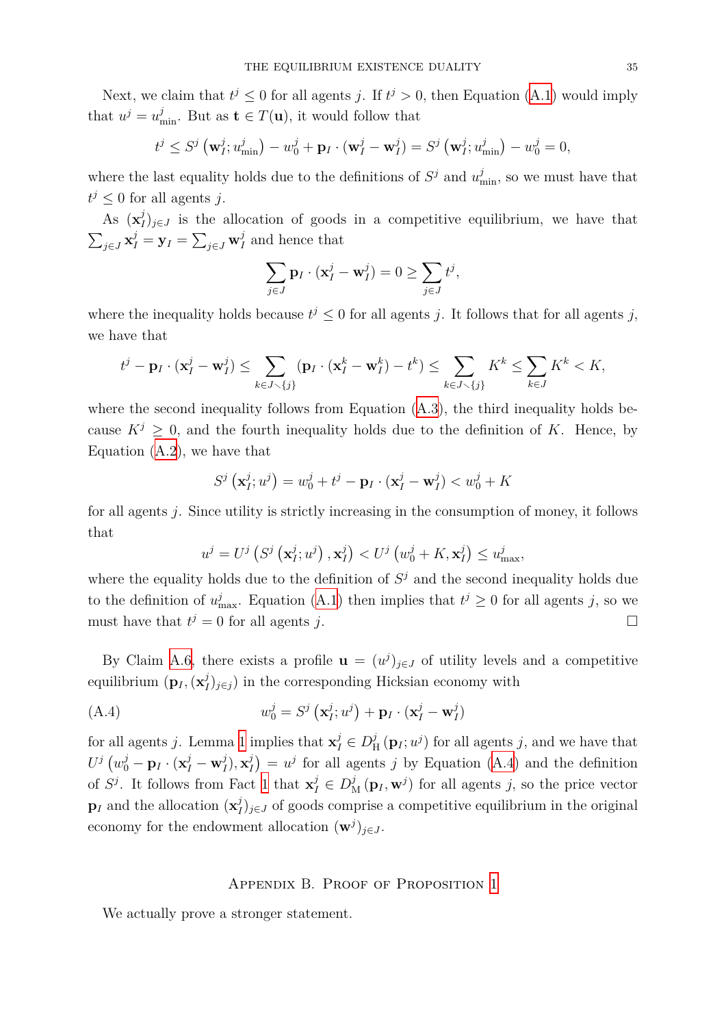Next, we claim that  $t^j \leq 0$  for all agents *j*. If  $t^j > 0$ , then Equation (A.1) would imply that  $u^j = u^j_{\text{min}}$ . But as  $\mathbf{t} \in T(\mathbf{u})$ , it would follow that

$$
t^j \leq S^j \left( \mathbf{w}_I^j; u_{\min}^j \right) - w_0^j + \mathbf{p}_I \cdot (\mathbf{w}_I^j - \mathbf{w}_I^j) = S^j \left( \mathbf{w}_I^j; u_{\min}^j \right) - w_0^j = 0,
$$

where the last equality holds due to the definitions of  $S^j$  and  $u^j_{\text{min}}$ , so we must have that  $t^j \leq 0$  for all agents *j*.

As  $(\mathbf{x}_l^j)$  $I_{I}^{j}$ <sub>*j*∈*J*</sub> is the allocation of goods in a competitive equilibrium, we have that  $\sum_{j \in J} \mathbf{x}_I^j = \mathbf{y}_I = \sum_{j \in J} \mathbf{w}_I^j$  $I_I$  and hence that

$$
\sum_{j\in J} \mathbf{p}_I \cdot (\mathbf{x}_I^j - \mathbf{w}_I^j) = 0 \ge \sum_{j\in J} t^j,
$$

where the inequality holds because  $t^j \leq 0$  for all agents *j*. It follows that for all agents *j*, we have that

$$
t^j - \mathbf{p}_I \cdot (\mathbf{x}_I^j - \mathbf{w}_I^j) \le \sum_{k \in J \smallsetminus \{j\}} (\mathbf{p}_I \cdot (\mathbf{x}_I^k - \mathbf{w}_I^k) - t^k) \le \sum_{k \in J \smallsetminus \{j\}} K^k \le \sum_{k \in J} K^k < K,
$$

where the second inequality follows from Equation  $(A.3)$ , the third inequality holds because  $K^j \geq 0$ , and the fourth inequality holds due to the definition of K. Hence, by Equation (A.2), we have that

$$
S^j\left(\mathbf{x}_I^j;u^j\right) = w_0^j + t^j - \mathbf{p}_I \cdot (\mathbf{x}_I^j - \mathbf{w}_I^j) < w_0^j + K
$$

for all age[nts](#page-33-2) *j*. Since utility is strictly increasing in the consumption of money, it follows that

$$
u^{j} = U^{j} \left( S^{j} \left( \mathbf{x}_{I}^{j} ; u^{j} \right), \mathbf{x}_{I}^{j} \right) < U^{j} \left( w_{0}^{j} + K, \mathbf{x}_{I}^{j} \right) \leq u_{\max}^{j},
$$

where the equality holds due to the definition of  $S<sup>j</sup>$  and the second inequality holds due to the definition of  $u_{\text{max}}^j$ . Equation (A.1) then implies that  $t^j \geq 0$  for all agents *j*, so we must have that  $t^j = 0$  for all agents *j*.

By Claim A.6, there exists a pro[file](#page-33-0)  $\mathbf{u} = (u^j)_{j \in J}$  of utility levels and a competitive equilibrium (**p***<sup>I</sup> ,*(**x** *j*  $I_{I}^{j}$ <sub>*j*∈*j*</sub> ) in the corresponding Hicksian economy with

$$
(A.4) \t\t w_0^j = S^j \left( \mathbf{x}_I^j; u^j \right) + \mathbf{p}_I \cdot (\mathbf{x}_I^j - \mathbf{w}_I^j)
$$

for all agents *j*. Lemma 1 implies that  $\mathbf{x}_I^j \in D_I^j$  $\frac{j}{H}(\mathbf{p}_I; u^j)$  for all agents *j*, and we have that  $U^j\left(w^j_0 - \mathbf{p}_I\cdot(\mathbf{x}^j_I - \mathbf{w}^j_I\right)$  $j_I^j), \mathbf{x}_I^j$  $\binom{1}{I} = u^j$  for all agents *j* by Equation (A.4) and the definition of  $S^j$ . It follows from Fact 1 that  $\mathbf{x}_I^j \in D^j$  ( $\mathbf{p}_I, \mathbf{w}^j$ ) for all agents *j*, so the price vector  $\mathbf{p}_I$  and the allocation  $(\mathbf{x}_I^j)$  $I_{I}^{j}$ <sub>*j*∈*J*</sub> of goods comprise a competitive eq[uilib](#page-34-0)rium in the original economy for the endowmen[t a](#page-5-1)llocation  $(\mathbf{w}^j)_{j \in J}$ .

## <span id="page-34-0"></span>Appendix B. Proof of Proposition 1

We actually prove a stronger statement.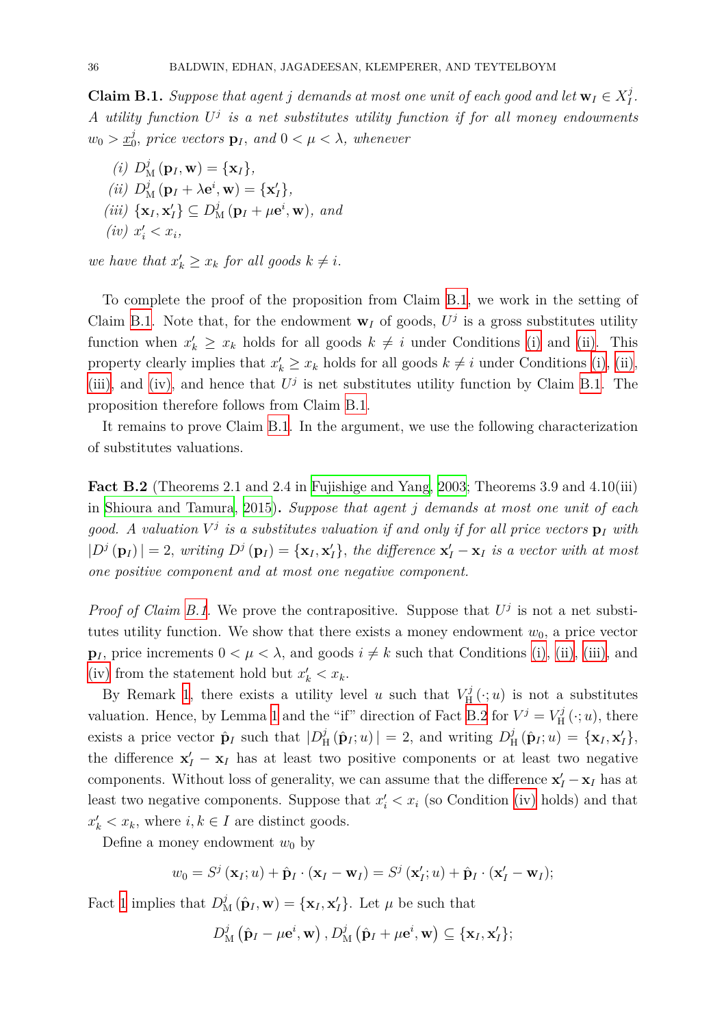**Claim B.1.** *Suppose that agent j demands at most one unit of each good and let*  $\mathbf{w}_I \in X_I^j$ *I . A utility function U j is a net substitutes utility function if for all money endowments*  $w_0 > \underline{x}_0^j$ , price vectors  $\mathbf{p}_I$ , and  $0 < \mu < \lambda$ , whenever

<span id="page-35-0"></span> $(i)$   $D_M^j(\mathbf{p}_I, \mathbf{w}) = {\mathbf{x}_I}$  $(iii)$   $D_M^j(\mathbf{p}_I + \lambda \mathbf{e}^i, \mathbf{w}) = {\mathbf{x}'_I}$ ,  $(iii) \{ {\bf x}_I, {\bf x}_I' \} \subseteq D^j_{\rm M} ({\bf p}_I + \mu {\bf e}^i, {\bf w}), \text{ and}$  $(iv)$   $x'_i < x_i$ ,

<span id="page-35-3"></span><span id="page-35-2"></span><span id="page-35-1"></span>*we have that*  $x'_{k} \geq x_{k}$  *for all goods*  $k \neq i$ .

<span id="page-35-4"></span>To complete the proof of the proposition from Claim B.1, we work in the setting of Claim B.1. Note that, for the endowment  $\mathbf{w}_I$  of goods,  $U^j$  is a gross substitutes utility function when  $x'_k \geq x_k$  holds for all goods  $k \neq i$  under Conditions (i) and (ii). This property clearly implies that  $x'_k \geq x_k$  holds for all goods  $k \neq i$  under Conditions (i), (ii), (iii), a[nd](#page-35-0) (iv), and hence that  $U^j$  is net substitutes utility function b[y C](#page-35-1)laim [B.1](#page-35-2). The proposition therefore follows from Claim B.1.

It remains to prove Claim B.1. In the argument, we use the following charac[te](#page-35-0)[riz](#page-35-1)a[tion](#page-35-2) [of su](#page-35-3)bstit[utes](#page-35-4) valuations.

<span id="page-35-5"></span>**Fact B.2** (Theorems 2.1 an[d 2.4](#page-35-0) in Fujishige and Yang, 2003; Theorems 3.9 and 4.10(iii) in Shioura and Tamura, 2015)**.** *Suppose that agent j demands at most one unit of each* good. A valuation  $V^j$  is a substitutes valuation if and only if for all price vectors  $p_I$  with  $|D^j(\mathbf{p}_I)| = 2$ , writing  $D^j(\mathbf{p}_I) = {\mathbf{x}_I, \mathbf{x}'_I}$ , [the difference](#page-37-13)  $\mathbf{x}'_I - \mathbf{x}_I$  is a vector with at most *on[e positive component](#page-39-7) [and a](#page-39-7)t most one negative component.*

*Proof of Claim B.1.* We prove the contrapositive. Suppose that  $U^j$  is not a net substitutes utility function. We show that there exists a money endowment  $w_0$ , a price vector **p**<sub>*I*</sub>, price increments  $0 < \mu < \lambda$ , and goods  $i \neq k$  such that Conditions (i), (ii), (iii), and (iv) from the st[atem](#page-35-0)ent hold but  $x'_{k} < x_{k}$ .

By Remark 1, there exists a utility level *u* such that  $V_{\rm H}^{j}$  $L_H^{\prime\prime}(\cdot; u)$  is not a substitutes valuation. Hence, by Lemma 1 and the "if" direction of Fact B.2 for  $V^j = V^j_{\text{H}}$  $V^j = V^j_{\text{H}}$  $V^j = V^j_{\text{H}}$  $U_{\text{H}}^{J}(\cdot; u)$  $U_{\text{H}}^{J}(\cdot; u)$  $U_{\text{H}}^{J}(\cdot; u)$ [,](#page-35-3) there [exis](#page-35-4)ts a price vector  $\hat{\mathbf{p}}_I$  such that  $|D^j_I|$  $\int_{H}^{j} (\hat{\mathbf{p}}_I; u) \, | = 2$ , and writing  $D_{\text{H}}^{j}$  $\hat{\mathbf{H}}_H(\hat{\mathbf{p}}_I; u) = {\mathbf{x}_I, \mathbf{x}'_I},$ the difference  $\mathbf{x}'_I - \mathbf{x}_I$  $\mathbf{x}'_I - \mathbf{x}_I$  $\mathbf{x}'_I - \mathbf{x}_I$  has at least two positive components or at least two negative components. Without loss of [g](#page-6-0)enerality, we can assume that [the](#page-35-5) difference  $\mathbf{x}'_I - \mathbf{x}_I$  has at least two negative components. Suppose that  $x_i' < x_i$  (so Condition (iv) holds) and that  $x'_{k} < x_{k}$ , where  $i, k \in I$  are distinct goods.

Define a money endowment  $w_0$  by

$$
w_0 = S^j(\mathbf{x}_I; u) + \hat{\mathbf{p}}_I \cdot (\mathbf{x}_I - \mathbf{w}_I) = S^j(\mathbf{x}'_I; u) + \hat{\mathbf{p}}_I \cdot (\mathbf{x}'_I - \mathbf{w}_I);
$$

Fact 1 implies that  $D_M^j(\hat{\mathbf{p}}_I, \mathbf{w}) = {\mathbf{x}_I, \mathbf{x}'_I}$ . Let  $\mu$  be such that

$$
D_{\mathrm{M}}^{j}(\hat{\mathbf{p}}_{I} - \mu \mathbf{e}^{i}, \mathbf{w}), D_{\mathrm{M}}^{j}(\hat{\mathbf{p}}_{I} + \mu \mathbf{e}^{i}, \mathbf{w}) \subseteq {\mathbf{x}}_{I}, {\mathbf{x}}'_{I} \};
$$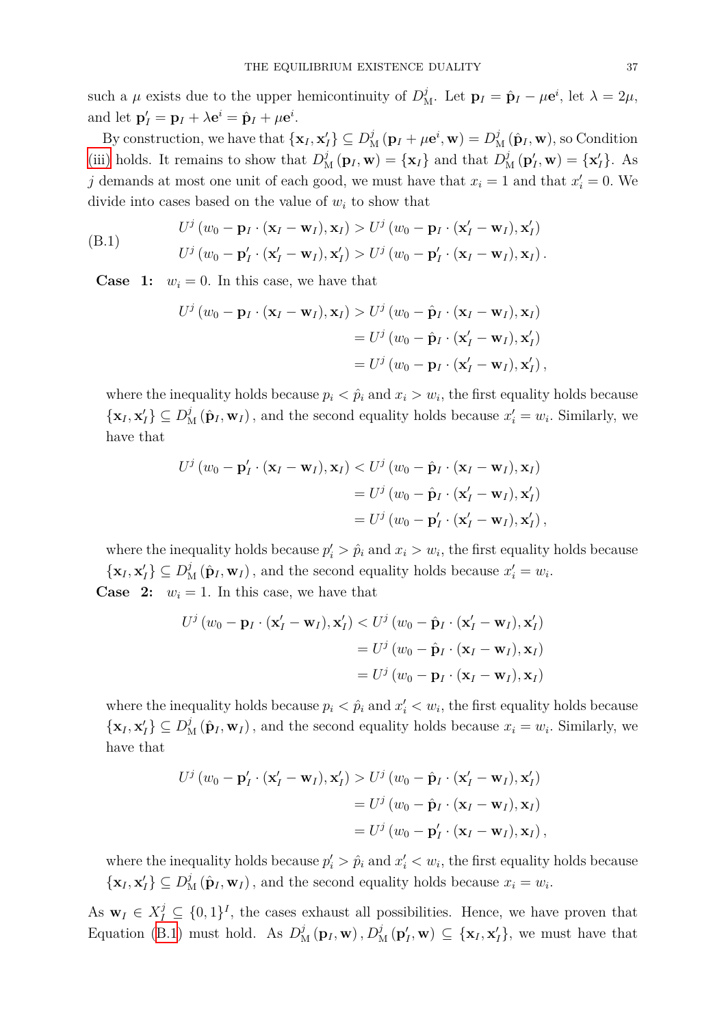such a  $\mu$  exists due to the upper hemicontinuity of  $D_M^j$ . Let  $\mathbf{p}_I = \hat{\mathbf{p}}_I - \mu \mathbf{e}^i$ , let  $\lambda = 2\mu$ , and let  $\mathbf{p}'_I = \mathbf{p}_I + \lambda \mathbf{e}^i = \hat{\mathbf{p}}_I + \mu \mathbf{e}^i$ .

By construction, we have that  $\{x_I, x_I'\} \subseteq D^j_M(p_I + \mu \mathbf{e}^i, \mathbf{w}) = D^j_M(\hat{\mathbf{p}}_I, \mathbf{w})$ , so Condition (iii) holds. It remains to show that  $D_M^j(\mathbf{p}_I, \mathbf{w}) = {\mathbf{x}_I}$  and that  $D_M^j(\mathbf{p}'_I, \mathbf{w}) = {\mathbf{x}'_I}$ . As *j* demands at most one unit of each good, we must have that  $x_i = 1$  and that  $x'_i = 0$ . We divide into cases based on the value of  $w_i$  to show that

(B.1) 
$$
U^j (w_0 - \mathbf{p}_I \cdot (\mathbf{x}_I - \mathbf{w}_I), \mathbf{x}_I) > U^j (w_0 - \mathbf{p}_I \cdot (\mathbf{x}'_I - \mathbf{w}_I), \mathbf{x}'_I) U^j (w_0 - \mathbf{p}'_I \cdot (\mathbf{x}'_I - \mathbf{w}_I), \mathbf{x}'_I) > U^j (w_0 - \mathbf{p}'_I \cdot (\mathbf{x}_I - \mathbf{w}_I), \mathbf{x}_I).
$$

**Case** 1:  $w_i = 0$ . In this case, we have that

$$
U^j (w_0 - \mathbf{p}_I \cdot (\mathbf{x}_I - \mathbf{w}_I), \mathbf{x}_I) > U^j (w_0 - \hat{\mathbf{p}}_I \cdot (\mathbf{x}_I - \mathbf{w}_I), \mathbf{x}_I)
$$
  
= 
$$
U^j (w_0 - \hat{\mathbf{p}}_I \cdot (\mathbf{x}'_I - \mathbf{w}_I), \mathbf{x}'_I)
$$
  
= 
$$
U^j (w_0 - \mathbf{p}_I \cdot (\mathbf{x}'_I - \mathbf{w}_I), \mathbf{x}'_I),
$$

where the inequality holds because  $p_i < \hat{p}_i$  and  $x_i > w_i$ , the first equality holds because  $\{\mathbf x_I, \mathbf x_I'\}\subseteq D^j_{\mathcal{M}}(\hat{\mathbf p}_I, \mathbf w_I)$ , and the second equality holds because  $x_i'=w_i$ . Similarly, we have that

$$
U^j (w_0 - \mathbf{p}'_I \cdot (\mathbf{x}_I - \mathbf{w}_I), \mathbf{x}_I) < U^j (w_0 - \hat{\mathbf{p}}_I \cdot (\mathbf{x}_I - \mathbf{w}_I), \mathbf{x}_I) \\
= U^j (w_0 - \hat{\mathbf{p}}_I \cdot (\mathbf{x}'_I - \mathbf{w}_I), \mathbf{x}'_I) \\
= U^j (w_0 - \mathbf{p}'_I \cdot (\mathbf{x}'_I - \mathbf{w}_I), \mathbf{x}'_I),
$$

where the inequality holds because  $p'_i > \hat{p}_i$  and  $x_i > w_i$ , the first equality holds because  $\{\mathbf x_I, \mathbf x_I'\} \subseteq D^j_{\mathcal{M}}(\hat{\mathbf p}_I, \mathbf w_I)$ , and the second equality holds because  $x_i' = w_i$ . **Case** 2:  $w_i = 1$ . In this case, we have that

$$
U^j (w_0 - \mathbf{p}_I \cdot (\mathbf{x}'_I - \mathbf{w}_I), \mathbf{x}'_I) < U^j (w_0 - \hat{\mathbf{p}}_I \cdot (\mathbf{x}'_I - \mathbf{w}_I), \mathbf{x}'_I)
$$
\n
$$
= U^j (w_0 - \hat{\mathbf{p}}_I \cdot (\mathbf{x}_I - \mathbf{w}_I), \mathbf{x}_I)
$$
\n
$$
= U^j (w_0 - \mathbf{p}_I \cdot (\mathbf{x}_I - \mathbf{w}_I), \mathbf{x}_I)
$$

where the inequality holds because  $p_i < \hat{p}_i$  and  $x'_i < w_i$ , the first equality holds because  $\{\mathbf x_I, \mathbf x_I'\}\subseteq D^j_{\mathcal{M}}(\hat{\mathbf p}_I, \mathbf w_I)$ , and the second equality holds because  $x_i = w_i$ . Similarly, we have that

$$
U^j (w_0 - \mathbf{p}'_I \cdot (\mathbf{x}'_I - \mathbf{w}_I), \mathbf{x}'_I) > U^j (w_0 - \hat{\mathbf{p}}_I \cdot (\mathbf{x}'_I - \mathbf{w}_I), \mathbf{x}'_I)
$$
  
= 
$$
U^j (w_0 - \hat{\mathbf{p}}_I \cdot (\mathbf{x}_I - \mathbf{w}_I), \mathbf{x}_I)
$$
  
= 
$$
U^j (w_0 - \mathbf{p}'_I \cdot (\mathbf{x}_I - \mathbf{w}_I), \mathbf{x}_I),
$$

where the inequality holds because  $p'_i > \hat{p}_i$  and  $x'_i < w_i$ , the first equality holds because  $\{\mathbf x_I, \mathbf x_I'\} \subseteq D^j_{\mathbf M}(\hat{\mathbf p}_I, \mathbf w_I)$ , and the second equality holds because  $x_i = w_i$ .

As  $\mathbf{w}_I \in X_I^j \subseteq \{0,1\}^I$ , the cases exhaust all possibilities. Hence, we have proven that Equation (B.1) must hold. As  $D_M^j(\mathbf{p}_I, \mathbf{w}), D_M^j(\mathbf{p}'_I, \mathbf{w}) \subseteq {\mathbf{x}_I, \mathbf{x}'_I}$ , we must have that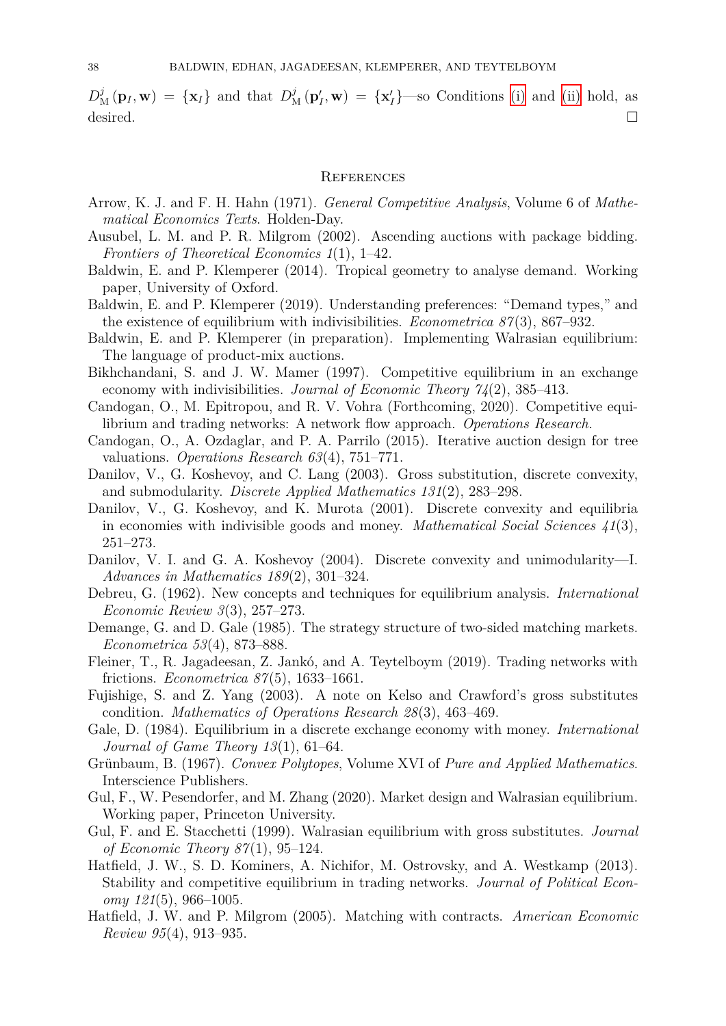$D_M^j(\mathbf{p}_I, \mathbf{w}) = {\mathbf{x}_I}$  and that  $D_M^j(\mathbf{p}'_I, \mathbf{w}) = {\mathbf{x}'_I}$  -so Conditions (i) and (ii) hold, as desired.  $\Box$ 

#### **REFERENCES**

- Arrow, K. J. and F. H. Hahn (1971). *General Competitive Analysis*, Volume 6 of *Mathematical Economics Texts*. Holden-Day.
- Ausubel, L. M. and P. R. Milgrom (2002). Ascending auctions with package bidding. *Frontiers of Theoretical Economics 1*(1), 1–42.
- Baldwin, E. and P. Klemperer (2014). Tropical geometry to analyse demand. Working paper, University of Oxford.
- <span id="page-37-11"></span>Baldwin, E. and P. Klemperer (2019). Understanding preferences: "Demand types," and the existence of equilibrium with indivisibilities. *Econometrica 87*(3), 867–932.
- <span id="page-37-3"></span>Baldwin, E. and P. Klemperer (in preparation). Implementing Walrasian equilibrium: The language of product-mix auctions.
- <span id="page-37-4"></span>Bikhchandani, S. and J. W. Mamer (1997). Competitive equilibrium in an exchange economy with indivisibilities. *Journal of Economic Theory 74*(2), 385–413.
- Candogan, O., M. Epitropou, and R. V. Vohra (Forthcoming, 2020). Competitive equilibrium and trading networks: A network flow approach. *Operations Research*.
- <span id="page-37-0"></span>Candogan, O., A. Ozdaglar, and P. A. Parrilo (2015). Iterative auction design for tree valuations. *Operations Research 63*(4), 751–771.
- <span id="page-37-2"></span>Danilov, V., G. Koshevoy, and C. Lang (2003). Gross substitution, discrete convexity, and submodularity. *Discrete Applied Mathematics 131*(2), 283–298.
- <span id="page-37-1"></span>Danilov, V., G. Koshevoy, and K. Murota (2001). Discrete convexity and equilibria in economies with indivisible goods and money. *Mathematical Social Sciences 41*(3), 251–273.
- <span id="page-37-8"></span>Danilov, V. I. and G. A. Koshevoy (2004). Discrete convexity and unimodularity—I. *Advances in Mathematics 189*(2), 301–324.
- Debreu, G. (1962). New concepts and techniques for equilibrium analysis. *International Economic Review 3*(3), 257–273.
- <span id="page-37-14"></span>Demange, G. and D. Gale (1985). The strategy structure of two-sided matching markets. *Econometrica 53*(4), 873–888.
- Fleiner, T., R. Jagadeesan, Z. Jankó, and A. Teytelboym (2019). Trading networks with frictions. *Econometrica 87*(5), 1633–1661.
- <span id="page-37-10"></span>Fujishige, S. and Z. Yang (2003). A note on Kelso and Crawford's gross substitutes condition. *Mathematics of Operations Research 28*(3), 463–469.
- <span id="page-37-6"></span>Gale, D. (1984). Equilibrium in a discrete exchange economy with money. *International Journal of Game Theory 13*(1), 61–64.
- <span id="page-37-13"></span>Grünbaum, B. (1967). *Convex Polytopes*, Volume XVI of *Pure and Applied Mathematics*. Interscience Publishers.
- <span id="page-37-7"></span>Gul, F., W. Pesendorfer, and M. Zhang (2020). Market design and Walrasian equilibrium. Working paper, Princeton University.
- <span id="page-37-15"></span>Gul, F. and E. Stacchetti (1999). Walrasian equilibrium with gross substitutes. *Journal of Economic Theory 87*(1), 95–124.
- <span id="page-37-5"></span>Hatfield, J. W., S. D. Kominers, A. Nichifor, M. Ostrovsky, and A. Westkamp (2013). Stability and competitive equilibrium in trading networks. *Journal of Political Economy 121*(5), 966–1005.
- <span id="page-37-12"></span><span id="page-37-9"></span>Hatfield, J. W. and P. Milgrom (2005). Matching with contracts. *American Economic Review 95*(4), 913–935.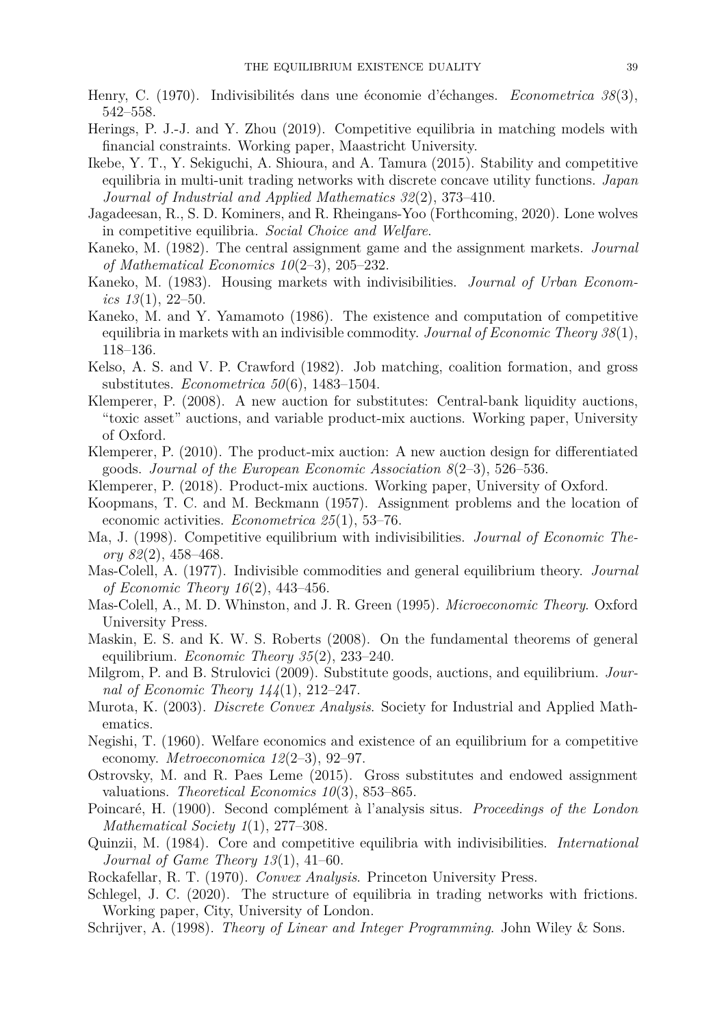- <span id="page-38-0"></span>Henry, C. (1970). Indivisibilités dans une économie d'échanges. *Econometrica 38*(3), 542–558.
- Herings, P. J.-J. and Y. Zhou (2019). Competitive equilibria in matching models with financial constraints. Working paper, Maastricht University.
- <span id="page-38-4"></span>Ikebe, Y. T., Y. Sekiguchi, A. Shioura, and A. Tamura (2015). Stability and competitive equilibria in multi-unit trading networks with discrete concave utility functions. *Japan Journal of Industrial and Applied Mathematics 32*(2), 373–410.
- Jagadeesan, R., S. D. Kominers, and R. Rheingans-Yoo (Forthcoming, 2020). Lone wolves in competitive equilibria. *Social Choice and Welfare*.
- <span id="page-38-14"></span>Kaneko, M. (1982). The central assignment game and the assignment markets. *Journal of Mathematical Economics 10*(2–3), 205–232.
- <span id="page-38-15"></span>Kaneko, M. (1983). Housing markets with indivisibilities. *Journal of Urban Economics 13*(1), 22–50.
- <span id="page-38-8"></span>Kaneko, M. and Y. Yamamoto (1986). The existence and computation of competitive equilibria in markets with an indivisible commodity. *Journal of Economic Theory 38*(1), 118–136.
- <span id="page-38-5"></span>Kelso, A. S. and V. P. Crawford (1982). Job matching, coalition formation, and gross substitutes. *Econometrica 50*(6), 1483–1504.
- <span id="page-38-7"></span>Klemperer, P. (2008). A new auction for substitutes: Central-bank liquidity auctions, "toxic asset" auctions, and variable product-mix auctions. Working paper, University of Oxford.
- Klemperer, P. (2010). The product-mix auction: A new auction design for differentiated goods. *Journal of the European Economic Association 8*(2–3), 526–536.
- Klemperer, P. (2018). Product-mix auctions. Working paper, University of Oxford.
- <span id="page-38-1"></span>Koopmans, T. C. and M. Beckmann (1957). Assignment problems and the location of economic activities. *Econometrica 25*(1), 53–76.
- <span id="page-38-2"></span>Ma, J. (1998). Competitive equilibrium with indivisibilities. *Journal of Economic Theory 82*(2), 458–468.
- <span id="page-38-9"></span>Mas-Colell, A. (1977). Indivisible commodities and general equilibrium theory. *Journal of Economic Theory 16*(2), 443–456.
- <span id="page-38-10"></span>Mas-Colell, A., M. D. Whinston, and J. R. Green (1995). *Microeconomic Theory*. Oxford University Press.
- <span id="page-38-11"></span>Maskin, E. S. and K. W. S. Roberts (2008). On the fundamental theorems of general equilibrium. *Economic Theory 35*(2), 233–240.
- <span id="page-38-12"></span>Milgrom, P. and B. Strulovici (2009). Substitute goods, auctions, and equilibrium. *Journal of Economic Theory 144*(1), 212–247.
- <span id="page-38-3"></span>Murota, K. (2003). *Discrete Convex Analysis*. Society for Industrial and Applied Mathematics.
- Negishi, T. (1960). Welfare economics and existence of an equilibrium for a competitive economy. *Metroeconomica 12*(2–3), 92–97.
- <span id="page-38-13"></span>Ostrovsky, M. and R. Paes Leme (2015). Gross substitutes and endowed assignment valuations. *Theoretical Economics 10*(3), 853–865.
- <span id="page-38-16"></span>Poincaré, H. (1900). Second complément à l'analysis situs. *Proceedings of the London Mathematical Society 1*(1), 277–308.
- <span id="page-38-6"></span>Quinzii, M. (1984). Core and competitive equilibria with indivisibilities. *International Journal of Game Theory 13*(1), 41–60.
- <span id="page-38-18"></span>Rockafellar, R. T. (1970). *Convex Analysis*. Princeton University Press.
- Schlegel, J. C. (2020). The structure of equilibria in trading networks with frictions. Working paper, City, University of London.
- <span id="page-38-17"></span>Schrijver, A. (1998). *Theory of Linear and Integer Programming*. John Wiley & Sons.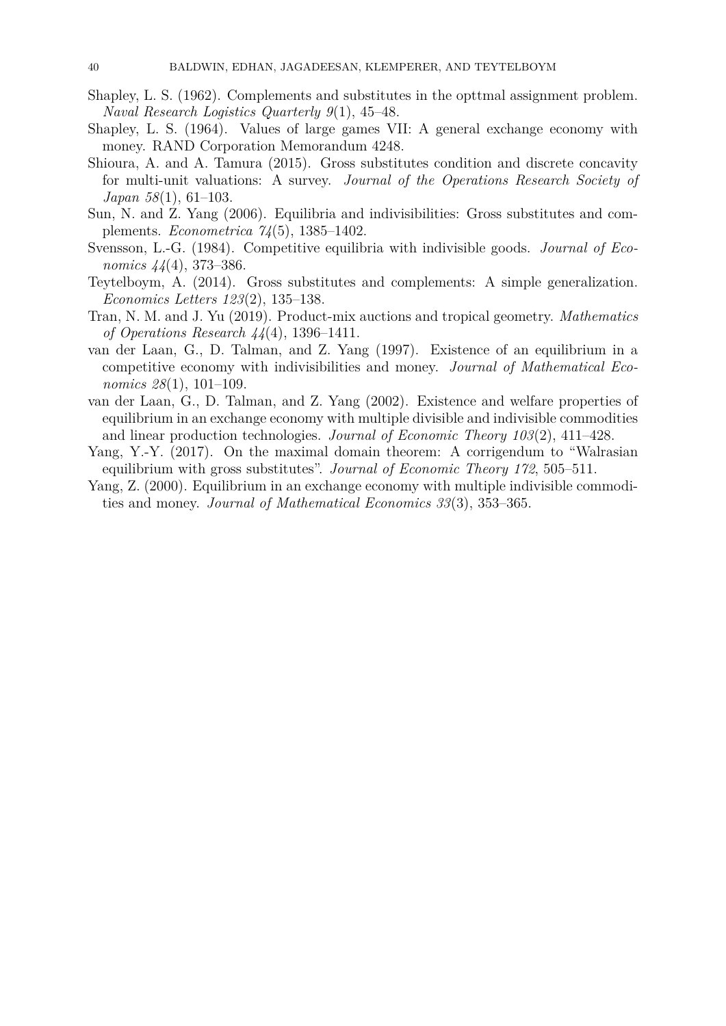- <span id="page-39-8"></span>Shapley, L. S. (1962). Complements and substitutes in the opttmal assignment problem. *Naval Research Logistics Quarterly 9*(1), 45–48.
- Shapley, L. S. (1964). Values of large games VII: A general exchange economy with money. RAND Corporation Memorandum 4248.
- <span id="page-39-7"></span>Shioura, A. and A. Tamura (2015). Gross substitutes condition and discrete concavity for multi-unit valuations: A survey. *Journal of the Operations Research Society of Japan 58*(1), 61–103.
- <span id="page-39-5"></span>Sun, N. and Z. Yang (2006). Equilibria and indivisibilities: Gross substitutes and complements. *Econometrica 74*(5), 1385–1402.
- <span id="page-39-1"></span>Svensson, L.-G. (1984). Competitive equilibria with indivisible goods. *Journal of Economics 44*(4), 373–386.
- Teytelboym, A. (2014). Gross substitutes and complements: A simple generalization. *Economics Letters 123*(2), 135–138.
- <span id="page-39-0"></span>Tran, N. M. and J. Yu (2019). Product-mix auctions and tropical geometry. *Mathematics of Operations Research 44*(4), 1396–1411.
- <span id="page-39-2"></span>van der Laan, G., D. Talman, and Z. Yang (1997). Existence of an equilibrium in a competitive economy with indivisibilities and money. *Journal of Mathematical Economics 28*(1), 101–109.
- <span id="page-39-3"></span>van der Laan, G., D. Talman, and Z. Yang (2002). Existence and welfare properties of equilibrium in an exchange economy with multiple divisible and indivisible commodities and linear production technologies. *Journal of Economic Theory 103*(2), 411–428.
- <span id="page-39-6"></span>Yang, Y.-Y. (2017). On the maximal domain theorem: A corrigendum to "Walrasian equilibrium with gross substitutes". *Journal of Economic Theory 172*, 505–511.
- <span id="page-39-4"></span>Yang, Z. (2000). Equilibrium in an exchange economy with multiple indivisible commodities and money. *Journal of Mathematical Economics 33*(3), 353–365.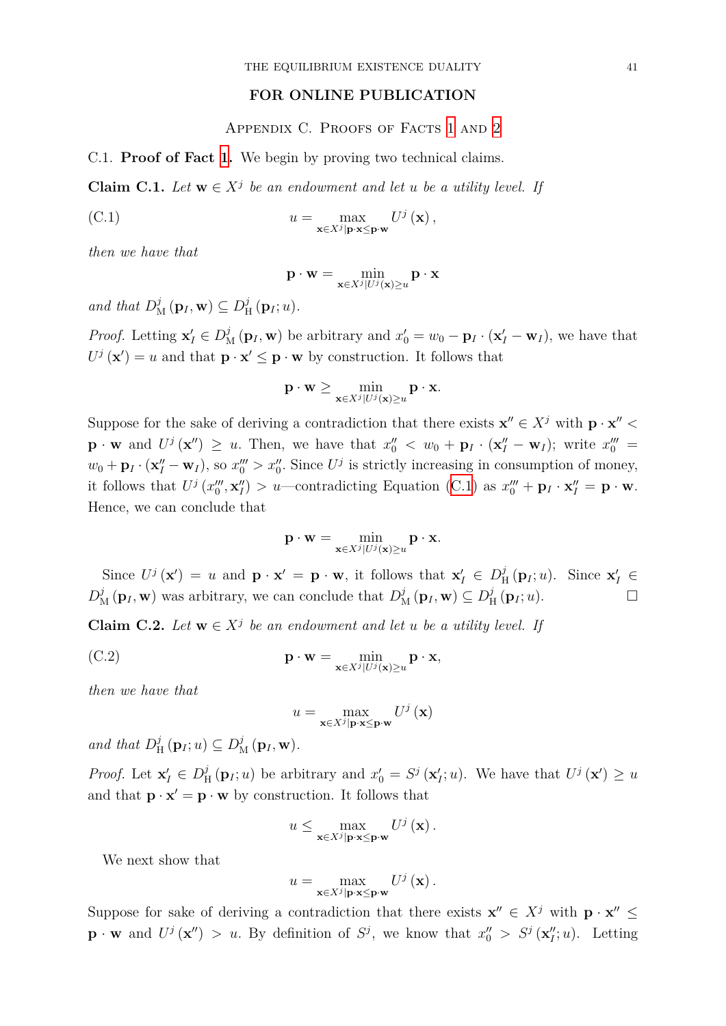## **FOR ONLINE PUBLICATION**

Appendix C. Proofs of Facts 1 and 2

C.1. **Proof of Fact 1.** We begin by proving two technical claims.

**Claim C.1.** *Let*  $\mathbf{w} \in X^j$  *be an endowment and let u be [a u](#page-5-1)tility [le](#page-7-0)vel. If* 

(C.1) 
$$
u = \max_{\mathbf{x} \in X^j | \mathbf{p} \cdot \mathbf{x} \leq \mathbf{p} \cdot \mathbf{w}} U^j(\mathbf{x}),
$$

<span id="page-40-0"></span>*then we have that*

<span id="page-40-2"></span>
$$
\mathbf{p} \cdot \mathbf{w} = \min_{\mathbf{x} \in X^j | U^j(\mathbf{x}) \ge u} \mathbf{p} \cdot \mathbf{x}
$$

 $\text{and that } D_M^j(\mathbf{p}_I, \mathbf{w}) \subseteq D_H^j$  $_{\textrm{H}}^{j}\left(\mathbf{p}_{I};u\right)$ .

*Proof.* Letting  $\mathbf{x}'_I \in D^j$  ( $\mathbf{p}_I$ ,  $\mathbf{w}$ ) be arbitrary and  $x'_0 = w_0 - \mathbf{p}_I \cdot (\mathbf{x}'_I - \mathbf{w}_I)$ , we have that  $U^j(\mathbf{x}') = u$  and that  $\mathbf{p} \cdot \mathbf{x}' \leq \mathbf{p} \cdot \mathbf{w}$  by construction. It follows that

$$
\mathbf{p} \cdot \mathbf{w} \ge \min_{\mathbf{x} \in X^j | U^j(\mathbf{x}) \ge u} \mathbf{p} \cdot \mathbf{x}.
$$

Suppose for the sake of deriving a contradiction that there exists  $\mathbf{x}'' \in X^j$  with  $\mathbf{p} \cdot \mathbf{x}'' <$  $\mathbf{p} \cdot \mathbf{w}$  and  $U^j(\mathbf{x}'') \geq u$ . Then, we have that  $x_0'' < w_0 + \mathbf{p}_I \cdot (\mathbf{x}_I'' - \mathbf{w}_I)$ ; write  $x_0''' =$  $w_0 + \mathbf{p}_I \cdot (\mathbf{x}_I'' - \mathbf{w}_I)$ , so  $x_0''' > x_0''$ . Since  $U^j$  is strictly increasing in consumption of money, it follows that  $U^j(x_0^{\prime\prime\prime}, \mathbf{x}_I^{\prime\prime}) > u$ —contradicting Equation (C.1) as  $x_0^{\prime\prime\prime} + \mathbf{p}_I \cdot \mathbf{x}_I^{\prime\prime} = \mathbf{p} \cdot \mathbf{w}$ . Hence, we can conclude that

$$
\mathbf{p} \cdot \mathbf{w} = \min_{\mathbf{x} \in X^j | U^j(\mathbf{x}) \ge u} \mathbf{p} \cdot \mathbf{x}.
$$

Since  $U^j(\mathbf{x}') = u$  and  $\mathbf{p} \cdot \mathbf{x}' = \mathbf{p} \cdot \mathbf{w}$ , it follows that  $\mathbf{x}'_I \in D^j_{\mathbf{p}'}$  $\sum_{H}^{j} (\mathbf{p}_I; u)$ . Since  $\mathbf{x}'_I \in$  $D_M^j(\mathbf{p}_I, \mathbf{w})$  was arbitrary, we can conclude that  $D_M^j(\mathbf{p}_I, \mathbf{w}) \subseteq D_\mathrm{P}^j$  $\prod_{H}^{J}(\mathbf{p}_I; u).$ 

**Claim C.2.** *Let*  $\mathbf{w} \in X^j$  *be an endowment and let u be a utility level. If* 

(C.2) 
$$
\mathbf{p} \cdot \mathbf{w} = \min_{\mathbf{x} \in X^j | U^j(\mathbf{x}) \ge u} \mathbf{p} \cdot \mathbf{x},
$$

<span id="page-40-1"></span>*then we have that*

<span id="page-40-3"></span>
$$
u = \max_{\mathbf{x} \in X^j | \mathbf{p} \cdot \mathbf{x} \le \mathbf{p} \cdot \mathbf{w}} U^j \left( \mathbf{x} \right)
$$

and that  $D^j_{\text{F}}$  $\frac{j}{H}(\mathbf{p}_I; u) \subseteq D^j_{\mathbf{M}}(\mathbf{p}_I, \mathbf{w}).$ 

*Proof.* Let  $\mathbf{x}'_I \in D^j_{\mathbf{H}}$  $\frac{d}{dt}$  (**p**<sub>*I*</sub>; *u*) be arbitrary and  $x'_0 = S^j$  (**x**<sup>*i*</sup><sub>*i*</sub>; *u*). We have that  $U^j$  (**x**<sup>*i*</sup>)  $\geq u$ and that  $\mathbf{p} \cdot \mathbf{x}' = \mathbf{p} \cdot \mathbf{w}$  by construction. It follows that

$$
u \leq \max_{\mathbf{x} \in X^j | \mathbf{p} \cdot \mathbf{x} \leq \mathbf{p} \cdot \mathbf{w}} U^j(\mathbf{x}).
$$

We next show that

$$
u = \max_{\mathbf{x} \in X^j | \mathbf{p} \cdot \mathbf{x} \leq \mathbf{p} \cdot \mathbf{w}} U^j (\mathbf{x}).
$$

Suppose for sake of deriving a contradiction that there exists  $\mathbf{x}'' \in X^j$  with  $\mathbf{p} \cdot \mathbf{x}'' \leq$  $\mathbf{p} \cdot \mathbf{w}$  and  $U^j(\mathbf{x}'') > u$ . By definition of  $S^j$ , we know that  $x''_0 > S^j(\mathbf{x}''_i; u)$ . Letting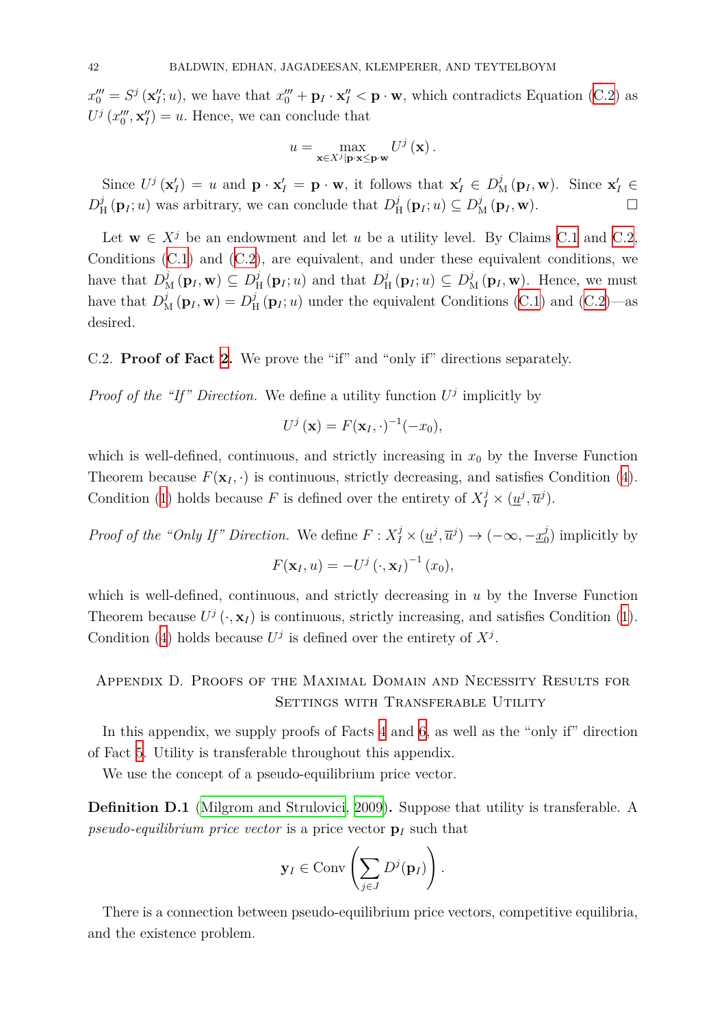$x_0''' = S^j(\mathbf{x}_I''; u)$ , we have that  $x_0''' + \mathbf{p}_I \cdot \mathbf{x}_I'' < \mathbf{p} \cdot \mathbf{w}$ , which contradicts Equation (C.2) as  $U^j(x_0^{\prime\prime\prime}, \mathbf{x}_I^{\prime\prime}) = u$ . Hence, we can conclude that

$$
u = \max_{\mathbf{x} \in X^j | \mathbf{p} \cdot \mathbf{x} \leq \mathbf{p} \cdot \mathbf{w}} U^j(\mathbf{x}).
$$

Since  $U^j(\mathbf{x}'_I) = u$  and  $\mathbf{p} \cdot \mathbf{x}'_I = \mathbf{p} \cdot \mathbf{w}$ , it follows that  $\mathbf{x}'_I \in D^j_{\mathcal{M}}(\mathbf{p}_I, \mathbf{w})$ . Since  $\mathbf{x}'_I \in D^j_{\mathcal{M}}(\mathbf{p}_I, \mathbf{w})$ .  $D_{\rm F}^j$  $\frac{f}{H}(\mathbf{p}_I; u)$  was arbitrary, we can conclude that  $D^j_{\rm P}$  $\mathcal{D}_{\text{M}}^{j}(\mathbf{p}_{I}; u) \subseteq D_{\text{M}}^{j}(\mathbf{p}_{I}, \mathbf{w}).$ 

Let  $\mathbf{w} \in X^j$  be an endowment and let *u* be a utility level. By Claims C.1 and C.2, Conditions (C.1) and (C.2), are equivalent, and under these equivalent conditions, we have that  $D_M^j(\mathbf{p}_I, \mathbf{w}) \subseteq D_\mathrm{F}^j$  $\frac{j}{H}(\mathbf{p}_I; u)$  and that  $D^j_{\mathbf{H}}$  $D_{\text{H}}^{j}(\mathbf{p}_{I}; u) \subseteq D_{\text{M}}^{j}(\mathbf{p}_{I}, \mathbf{w})$ . Hence, we must have that  $D_M^j(\mathbf{p}_I, \mathbf{w}) = D_\mathrm{F}^j$  $D_M^j(\mathbf{p}_I, \mathbf{w}) = D_\mathrm{F}^j$  $D_M^j(\mathbf{p}_I, \mathbf{w}) = D_\mathrm{F}^j$  $_{\text{H}}^{j}$  $_{\text{H}}^{j}$  $_{\text{H}}^{j}$  ( $\mathbf{p}_{I}$ ; *u*) under the equivalent Conditions (C.1) [and](#page-40-0) (C.2)[—as](#page-40-1) desired.

## C.2. **Proof of Fact 2.** We prove the "if" and "only if" directions se[para](#page-40-2)tely.

*Proof of the "If" Direction.* We define a utility function  $U^j$  implicitly by

$$
U^j(\mathbf{x}) = F(\mathbf{x}_I, \cdot)^{-1}(-x_0),
$$

which is well-defined, continuous, and strictly increasing in  $x_0$  by the Inverse Function Theorem because  $F(\mathbf{x}_I, \cdot)$  is continuous, strictly decreasing, and satisfies Condition (4). Condition (1) holds because *F* is defined over the entirety of  $X_I^j \times (\underline{u}^j, \overline{u}^j)$ .

*Proof of the "Only If" Direction.* We define  $F: X_I^j \times (\underline{u}^j, \overline{u}^j) \to (-\infty, -\underline{x}_0^j)$  $_0^j$ ) implicitly [b](#page-8-3)y  $F(\mathbf{x}_I, u) = -U^j(\cdot, \mathbf{x}_I)^{-1}(x_0),$ 

which is well-defined, continuous, and strictly decreasing in *u* by the Inverse Function Theorem because  $U^j$   $(\cdot, \mathbf{x}_I)$  is continuous, strictly increasing, and satisfies Condition (1). Condition (4) holds because  $U^j$  is defined over the entirety of  $X^j$ .

# Appendi[x](#page-8-3) D. Proofs of the Maximal Domain and Necessity Results fo[r](#page-4-3) SETTINGS WITH TRANSFERABLE UTILITY

<span id="page-41-0"></span>In this appendix, we supply proofs of Facts 4 and 6, as well as the "only if" direction of Fact 5. Utility is transferable throughout this appendix.

We use the concept of a pseudo-equilibrium price vector.

**Defini[tio](#page-22-2)n D.1** (Milgrom and Strulovici, 200[9\)](#page-13-2)**.** Su[pp](#page-23-1)ose that utility is transferable. A *pseudo-equilibrium price vector* is a price vector **p***<sup>I</sup>* such that

$$
\mathbf{y}_I \in \text{Conv}\left(\sum_{j\in J} D^j(\mathbf{p}_I)\right).
$$

There is a connection between pseudo-equilibrium price vectors, competitive equilibria, and the existence problem.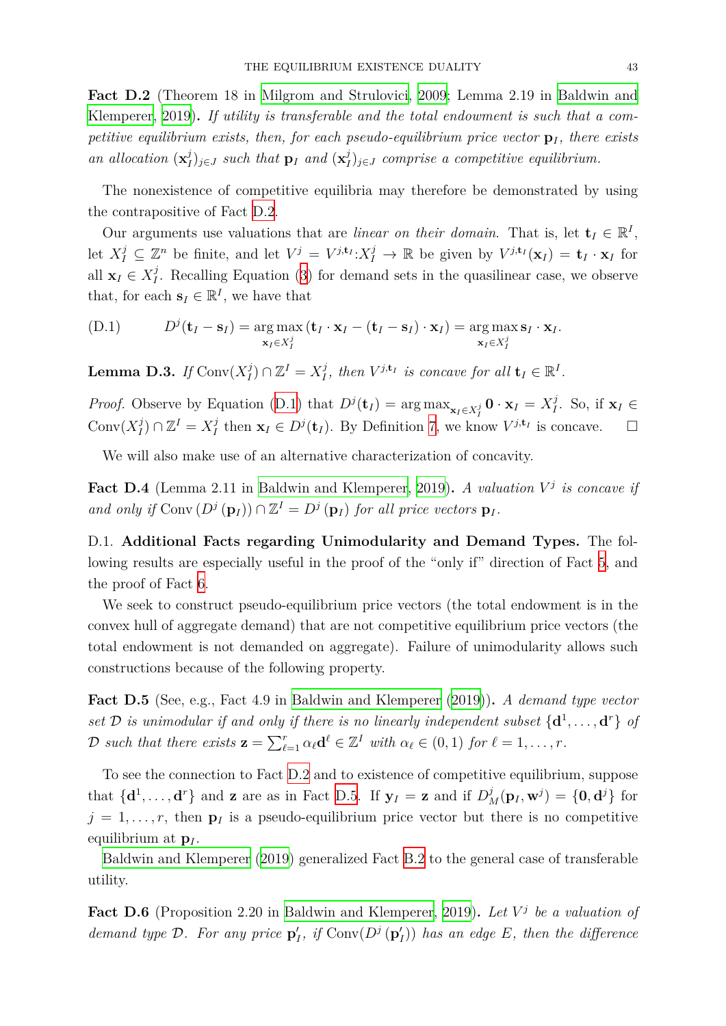**Fact D.2** (Theorem 18 in Milgrom and Strulovici, 2009; Lemma 2.19 in Baldwin and Klemperer, 2019)**.** *If utility is transferable and the total endowment is such that a competitive equilibrium exists, then, for each pseudo-equilibrium price vector*  $p_I$ , there exists *an allocation* (**x** *j I*<sup> $j$ </sup><sub>*I*</sub>)<sub>*j*∈*J such that* **p**<sub>*I*</sub> *and* ( $\mathbf{x}_I^j$ </sub> *I* )*<sup>j</sup>∈<sup>J</sup> [comprise a](#page-38-12) competitive equil[ibrium.](#page-37-4)*

<span id="page-42-0"></span>[The nonexisten](#page-37-4)ce of competitive equilibria may therefore be demonstrated by using the contrapositive of Fact D.2.

Our arguments use valuations that are *linear on their domain*. That is, let  $\mathbf{t}_I \in \mathbb{R}^I$ , let  $X_I^j \subseteq \mathbb{Z}^n$  be finite, and let  $V^j = V^{j, \mathbf{t}_I} : X_I^j \to \mathbb{R}$  be given by  $V^{j, \mathbf{t}_I}(\mathbf{x}_I) = \mathbf{t}_I \cdot \mathbf{x}_I$  for all  $\mathbf{x}_I \in X_I^j$  $I_I^{\jmath}$ . Recalling Eq[uati](#page-42-0)on (3) for demand sets in the quasilinear case, we observe that, for each  $\mathbf{s}_I \in \mathbb{R}^I$ , we have that

(D.1) 
$$
D^{j}(\mathbf{t}_{I} - \mathbf{s}_{I}) = \underset{\mathbf{x}_{I} \in X_{I}^{j}}{\arg \max} (\mathbf{t}_{I} \cdot \mathbf{x}_{I} - (\mathbf{t}_{I} - \mathbf{s}_{I}) \cdot \mathbf{x}_{I}) = \underset{\mathbf{x}_{I} \in X_{I}^{j}}{\arg \max} \mathbf{s}_{I} \cdot \mathbf{x}_{I}.
$$

<span id="page-42-1"></span>Lemma D.3. *If*  $Conv(X_I^j)$  $\binom{j}{I}$  ∩  $\mathbb{Z}^I = X_I^j$ *I*<sup>*j*</sup>, then  $V^{j,\mathbf{t}_I}$  *is concave for all*  $\mathbf{t}_I \in \mathbb{R}^I$ *.* 

<span id="page-42-4"></span>*Proof.* Observe by Equation (D.1) that  $D^j(\mathbf{t}_I) = \arg \max_{\mathbf{x}_I \in X_I^j} \mathbf{0} \cdot \mathbf{x}_I = X_I^j$ *I* . So, if **x***<sup>I</sup> ∈*  $Conv(X_I^j)$  $\chi_I^j$ ) ∩  $\mathbb{Z}^I = X_I^j$ *I*<sup>*j*</sup>
then **x**<sub>*I*</sub> ∈ *D*<sup>*j*</sup>(**t**<sub>*I*</sub>). By Definition 7, we know  $V^{j,t}$ <sup>*I*</sup> is concave. □

We will also make use of a[n alt](#page-42-1)ernative characterization of concavity.

Fact D.4 (Lemma 2.11 in Baldwin and Klemperer, 2[01](#page-21-2)9). A valuation  $V^j$  is concave if *and only if*  $\text{Conv}(D^j(\mathbf{p}_I)) \cap \mathbb{Z}^I = D^j(\mathbf{p}_I)$  *for all price vectors*  $\mathbf{p}_I$ *.* 

D.1. **Additional Facts r[egarding Unimodular](#page-37-4)i[ty an](#page-37-4)d Demand Types.** The following results are especially useful in the proof of the "only if" direction of Fact 5, and the proof of Fact 6.

We seek to construct pseudo-equilibrium price vectors (the total endowment is in the convex hull of aggregate demand) that are not competitive equilibrium price vecto[rs](#page-22-2) (the total endowment [is](#page-23-1) not demanded on aggregate). Failure of unimodularity allows such constructions because of the following property.

**Fact D.5** (See, e.g., Fact 4.9 in Baldwin and Klemperer (2019))**.** *A demand type vector set*  $\mathcal{D}$  *is unimodular if and only if there is no linearly independent subset*  $\{d^1, \ldots, d^r\}$  *of* D such that there exists  $\mathbf{z} = \sum_{\ell=1}^r \alpha_\ell \mathbf{d}^\ell \in \mathbb{Z}^I$  with  $\alpha_\ell \in (0,1)$  for  $\ell = 1,\ldots,r$ .

<span id="page-42-2"></span>To see the connection to Fact D.2 [and to existence of competi](#page-37-4)tive equilibrium, suppose that  $\{d^1,\ldots,d^r\}$  and **z** are as in Fact D.5. If  $y_I = z$  and if  $D^j_M(p_I, w^j) = \{0, d^j\}$  for  $j = 1, \ldots, r$ , then  $p_I$  is a pseu[do-e](#page-42-0)quilibrium price vector but there is no competitive equilibrium at **p***<sup>I</sup>* .

Baldwin and Klemperer (2019) gener[alize](#page-42-2)d Fact B.2 to the general case of transferable utility.

<span id="page-42-3"></span>Fact D.6 [\(Proposition 2.20 in](#page-37-4) Baldwin and Klem[pere](#page-35-5)r, 2019). Let  $V^j$  be a valuation of *demand type*  $\mathcal{D}$ *. For any price*  $\mathbf{p}'_I$ *, if* Conv $(D^j(\mathbf{p}'_I))$  *has an edge*  $E$ *, then the difference*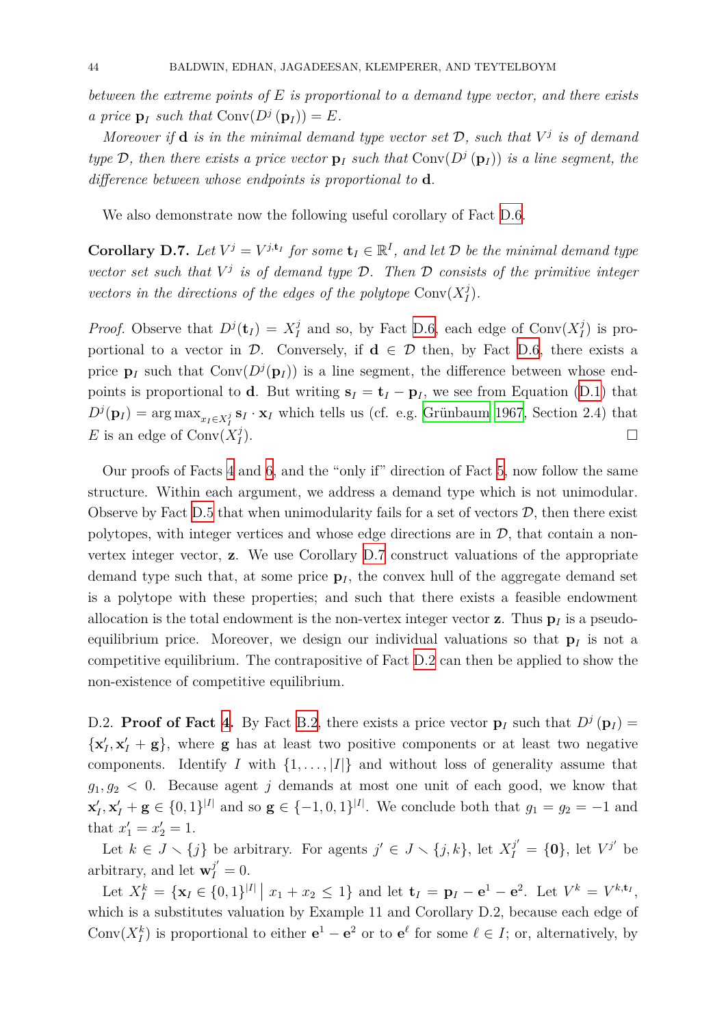*between the extreme points of E is proportional to a demand type vector, and there exists a price*  $\mathbf{p}_I$  *such that*  $Conv(D^j(\mathbf{p}_I)) = E$ *.* 

*Moreover* if **d** is in the minimal demand type vector set  $D$ , such that  $V^j$  is of demand *type*  $D$ *, then there exists a price vector*  $p_I$  *such that*  $Conv(D^j(p_I))$  *is a line segment, the difference between whose endpoints is proportional to* **d***.*

We also demonstrate now the following useful corollary of Fact D.6.

**Corollary D.7.** Let  $V^j = V^{j, \mathbf{t}_I}$  for some  $\mathbf{t}_I \in \mathbb{R}^I$ , and let  $D$  be the minimal demand type *vector set such that V j is of demand type D. Then D consists o[f the](#page-42-3) primitive integer vectors in the directions of the edges of the polytope*  $Conv(X_I^j)$ *I* )*.*

<span id="page-43-0"></span>*Proof.* Observe that  $D^{j}(\mathbf{t}_{I}) = X_{I}^{j}$  $I$ <sup>*j*</sup> and so, by Fact D.6, each edge of Conv $(X_I^j)$  $\binom{J}{I}$  is proportional to a vector in *D*. Conversely, if  $\mathbf{d} \in \mathcal{D}$  then, by Fact D.6, there exists a price  $\mathbf{p}_I$  such that  $Conv(D^j(\mathbf{p}_I))$  is a line segment, the difference between whose endpoints is proportional to **d**. But writing  $\mathbf{s}_I = \mathbf{t}_I - \mathbf{p}_I$ [, w](#page-42-3)e see from Equation (D.1) that  $D^{j}(\mathbf{p}_{I}) = \arg \max_{x_{I} \in X_{I}^{j}} \mathbf{s}_{I} \cdot \mathbf{x}_{I}$  which tells us (cf. e.g. Grünbaum 196[7, S](#page-42-3)ection 2.4) that E is an edge of  $Conv(X_I^j)$ *I* ).  $\Box$ 

Our proofs of Facts 4 and 6, and the "only if" direc[tion of Fact](#page-37-15) [5, no](#page-37-15)w follow the same structure. Within each argument, we address a demand type which is not unimodular. Observe by Fact D.5 that when unimodularity fails for a set of vectors  $D$ , then there exist polytopes, with intege[r](#page-13-2) verti[ce](#page-23-1)s and whose edge directions are in  $D$ , that contain a nonvertex integer vector, **z**. We use Corollary D.7 construct valuations of the appropriate demand type su[ch th](#page-42-2)at, at some price  $\mathbf{p}_I$ , the convex hull of the aggregate demand set is a polytope with these properties; and such that there exists a feasible endowment allocation is the total endowment is the non-[vert](#page-43-0)ex integer vector **z**. Thus  $\mathbf{p}_I$  is a pseudoequilibrium price. Moreover, we design our individual valuations so that  $p_I$  is not a competitive equilibrium. The contrapositive of Fact D.2 can then be applied to show the non-existence of competitive equilibrium.

D.2. **Proof of Fact 4.** By Fact B.2, there exists a [pric](#page-42-0)e vector  $\mathbf{p}_I$  such that  $D^j(\mathbf{p}_I) =$  $\{x'_{I}, x'_{I} + g\}$ , where **g** has at least two positive components or at least two negative components. Identify *I* with  $\{1, \ldots, |I|\}$  and without loss of generality assume that  $g_1, g_2 < 0$ . Because [a](#page-13-2)gent *j* de[man](#page-35-5)ds at most one unit of each good, we know that  $\mathbf{x}'_I, \mathbf{x}'_I + \mathbf{g} \in \{0,1\}^{|I|}$  and so  $\mathbf{g} \in \{-1,0,1\}^{|I|}$ . We conclude both that  $g_1 = g_2 = -1$  and that  $x'_1 = x'_2 = 1$ .

Let  $k \in J \setminus \{j\}$  be arbitrary. For agents  $j' \in J \setminus \{j,k\}$ , let  $X_I^{j'} = \{0\}$ , let  $V^{j'}$  be arbitrary, and let  $\mathbf{w}_{I}^{j'} = 0$ .

Let  $X_I^k = {\mathbf{x}_I \in \{0,1\}^{|I|} | x_1 + x_2 \le 1}$  and let  $\mathbf{t}_I = \mathbf{p}_I - \mathbf{e}^1 - \mathbf{e}^2$ . Let  $V^k = V^{k,\mathbf{t}_I}$ , which is a substitutes valuation by Example 11 and Corollary D.2, because each edge of Conv $(X_I^k)$  is proportional to either  $e^1 - e^2$  or to  $e^{\ell}$  for some  $\ell \in I$ ; or, alternatively, by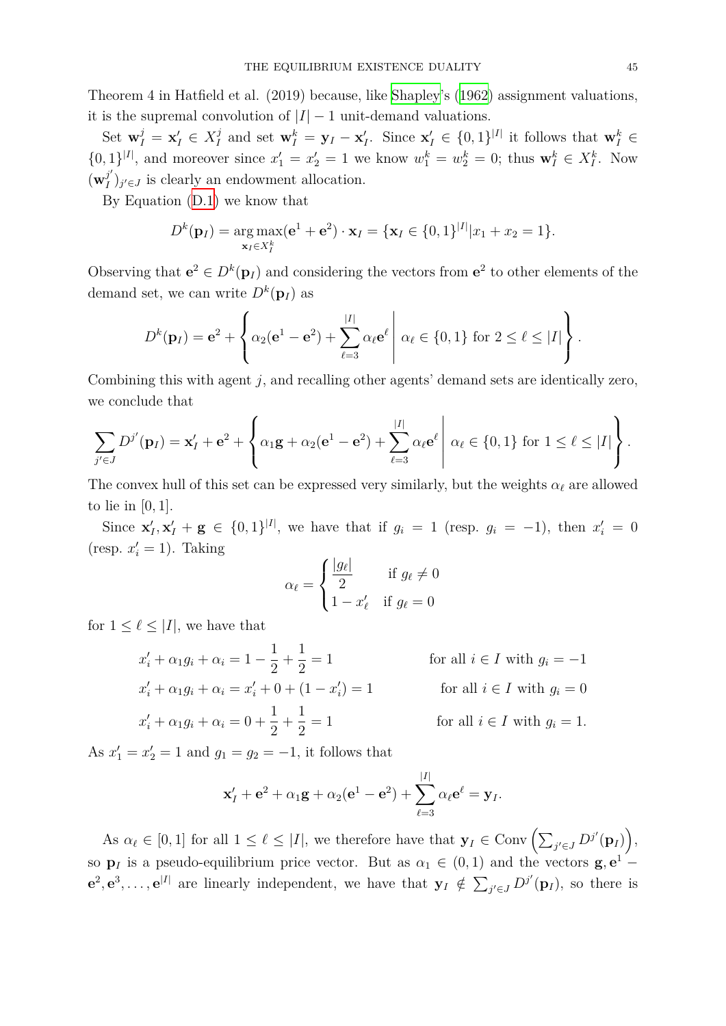Theorem 4 in Hatfield et al. (2019) because, like Shapley's (1962) assignment valuations, it is the supremal convolution of  $|I| - 1$  unit-demand valuations.

Set  $\mathbf{w}_I^j = \mathbf{x}_I' \in X_I^j$  $J_I^j$  and set  $\mathbf{w}_I^k = \mathbf{y}_I - \mathbf{x}_I'$ . Since  $\mathbf{x}_I' \in \{0,1\}^{|I|}$  it follows that  $\mathbf{w}_I^k \in$  $\{0,1\}^{|I|}$ , and moreover since  $x'_1 = x'_2 = 1$  $x'_1 = x'_2 = 1$  $x'_1 = x'_2 = 1$  we k[now](#page-39-8)  $w_1^k = w_2^k = 0$ ; thus  $\mathbf{w}_I^k \in X_I^k$ . Now  $(\mathbf{w}_I^{j'}$  $J'(j)_{j' \in J}$  is clearly an endowment allocation.

By Equation (D.1) we know that

$$
D^{k}(\mathbf{p}_{I}) = \underset{\mathbf{x}_{I} \in X_{I}^{k}}{\arg \max} (\mathbf{e}^{1} + \mathbf{e}^{2}) \cdot \mathbf{x}_{I} = \{\mathbf{x}_{I} \in \{0,1\}^{|I|} | x_{1} + x_{2} = 1 \}.
$$

Observing that  $e^2 \in D^k(\mathbf{p}_I)$  and considering the vectors from  $e^2$  to other elements of the demand set, we can write  $D^k(\mathbf{p}_I)$  as

$$
D^{k}(\mathbf{p}_{I}) = \mathbf{e}^{2} + \left\{\alpha_{2}(\mathbf{e}^{1} - \mathbf{e}^{2}) + \sum_{\ell=3}^{|I|} \alpha_{\ell} \mathbf{e}^{\ell} \middle| \alpha_{\ell} \in \{0, 1\} \text{ for } 2 \leq \ell \leq |I| \right\}.
$$

Combining this with agent *j*, and recalling other agents' demand sets are identically zero, we conclude that

$$
\sum_{j'\in J} D^{j'}(\mathbf{p}_I) = \mathbf{x}'_I + \mathbf{e}^2 + \left\{ \alpha_1 \mathbf{g} + \alpha_2 (\mathbf{e}^1 - \mathbf{e}^2) + \sum_{\ell=3}^{|I|} \alpha_\ell \mathbf{e}^\ell \middle| \alpha_\ell \in \{0,1\} \text{ for } 1 \leq \ell \leq |I| \right\}.
$$

The convex hull of this set can be expressed very similarly, but the weights  $\alpha_{\ell}$  are allowed to lie in [0*,* 1].

Since  $\mathbf{x}'_I, \mathbf{x}'_I + \mathbf{g} \in \{0, 1\}^{|I|}$ , we have that if  $g_i = 1$  (resp.  $g_i = -1$ ), then  $x'_i = 0$ (resp.  $x'_i = 1$ ). Taking

$$
\alpha_{\ell} = \begin{cases} \frac{|g_{\ell}|}{2} & \text{if } g_{\ell} \neq 0\\ 1 - x_{\ell}' & \text{if } g_{\ell} = 0 \end{cases}
$$

for  $1 \leq \ell \leq |I|$ , we have that

$$
x'_{i} + \alpha_{1}g_{i} + \alpha_{i} = 1 - \frac{1}{2} + \frac{1}{2} = 1 \qquad \text{for all } i \in I \text{ with } g_{i} = -1
$$
  
\n
$$
x'_{i} + \alpha_{1}g_{i} + \alpha_{i} = x'_{i} + 0 + (1 - x'_{i}) = 1 \qquad \text{for all } i \in I \text{ with } g_{i} = 0
$$
  
\n
$$
x'_{i} + \alpha_{1}g_{i} + \alpha_{i} = 0 + \frac{1}{2} + \frac{1}{2} = 1 \qquad \text{for all } i \in I \text{ with } g_{i} = 1.
$$

As  $x'_1 = x'_2 = 1$  and  $g_1 = g_2 = -1$ , it follows that

$$
\mathbf{x}'_I + \mathbf{e}^2 + \alpha_1 \mathbf{g} + \alpha_2 (\mathbf{e}^1 - \mathbf{e}^2) + \sum_{\ell=3}^{|I|} \alpha_\ell \mathbf{e}^\ell = \mathbf{y}_I.
$$

As  $\alpha_{\ell} \in [0,1]$  for all  $1 \leq \ell \leq |I|$ , we therefore have that  $\mathbf{y}_{I} \in \text{Conv}\left(\sum_{j' \in J} D^{j'}(\mathbf{p}_{I})\right)$ , so **p**<sub>*I*</sub> is a pseudo-equilibrium price vector. But as  $\alpha_1 \in (0,1)$  and the vectors  $\mathbf{g}, \mathbf{e}^1$  –  $e^2, e^3, \ldots, e^{|I|}$  are linearly independent, we have that  $y_I \notin \sum_{j' \in J} D^{j'}(p_I)$ , so there is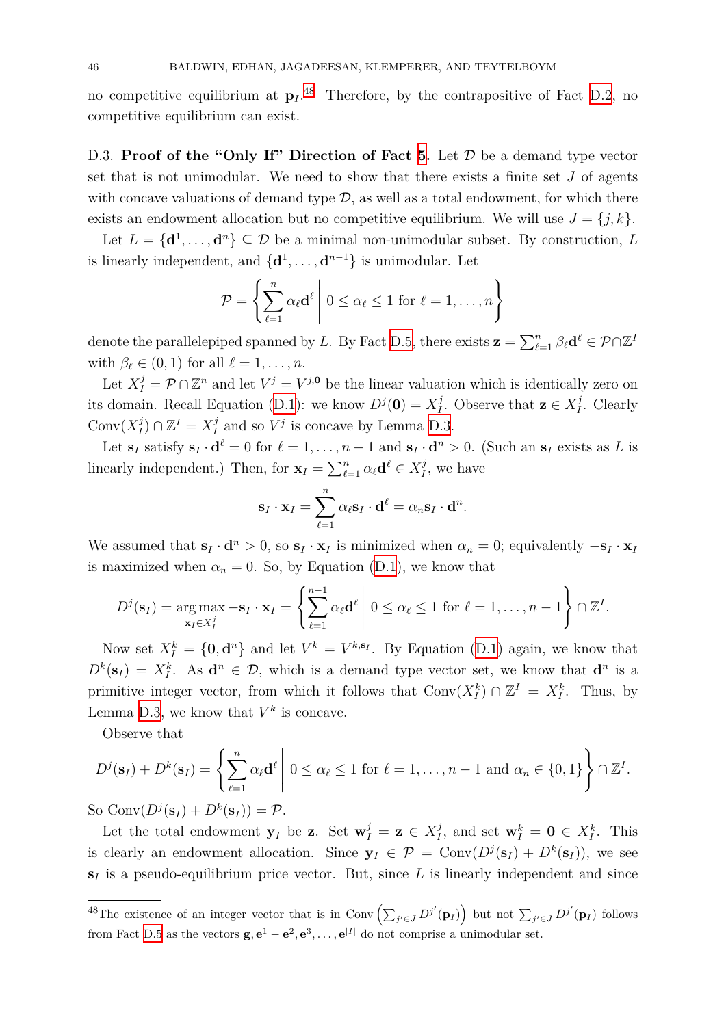no competitive equilibrium at  $p_I$ .<sup>48</sup> Therefore, by the contrapositive of Fact D.2, no competitive equilibrium can exist.

D.3. **Proof of the "Only If" D[ire](#page-45-0)ction of Fact 5.** Let  $\mathcal{D}$  be a demand typ[e ve](#page-42-0)ctor set that is not unimodular. We need to show that there exists a finite set *J* of agents with concave valuations of demand type  $D$ , as well as a total endowment, for which there exists an endowment allocation but no competitive e[qu](#page-22-2)ilibrium. We will use  $J = \{j, k\}$ .

Let  $L = {\bf{d}}^1, \ldots, {\bf{d}}^n$   $\subseteq \mathcal{D}$  be a minimal non-unimodular subset. By construction, *L* is linearly independent, and  $\{d^1, \ldots, d^{n-1}\}\$ is unimodular. Let

$$
\mathcal{P} = \left\{ \sum_{\ell=1}^{n} \alpha_{\ell} \mathbf{d}^{\ell} \middle| 0 \leq \alpha_{\ell} \leq 1 \text{ for } \ell = 1, \ldots, n \right\}
$$

denote the parallelepiped spanned by *L*. By Fact D.5, there exists  $\mathbf{z} = \sum_{\ell=1}^n \beta_\ell \mathbf{d}^\ell \in \mathcal{P} \cap \mathbb{Z}^I$ with  $\beta_{\ell} \in (0,1)$  for all  $\ell = 1, \ldots, n$ .

Let  $X_I^j = \mathcal{P} \cap \mathbb{Z}^n$  and let  $V^j = V^{j,0}$  be the linear valuation which is identically zero on its domain. Recall Equation (D.1): we know  $D^{j}(\mathbf{0}) = X_I^{j}$  $D^{j}(\mathbf{0}) = X_I^{j}$  $D^{j}(\mathbf{0}) = X_I^{j}$ *I*<sup>*j*</sup>. Observe that **z** ∈  $X_I^j$ *I* . Clearly  $Conv(X_I^j)$  $\binom{j}{I}$  ∩  $\mathbb{Z}^I = X_I^j$  $I_I^j$  and so  $V^j$  is concave by Lemma D.3.

Let  $\mathbf{s}_I$  satisfy  $\mathbf{s}_I \cdot \mathbf{d}^\ell = 0$  for  $\ell = 1, \ldots, n-1$  and  $\mathbf{s}_I \cdot \mathbf{d}^n > 0$ . (Such an  $\mathbf{s}_I$  exists as L is linearly independent.) Then, [for](#page-42-1)  $\mathbf{x}_I = \sum_{\ell=1}^n \alpha_\ell \mathbf{d}^\ell \in X_I^j$  $I$ <sup>*I*</sup>[, we](#page-42-4) have

$$
\mathbf{s}_I \cdot \mathbf{x}_I = \sum_{\ell=1}^n \alpha_\ell \mathbf{s}_I \cdot \mathbf{d}^\ell = \alpha_n \mathbf{s}_I \cdot \mathbf{d}^n.
$$

We assumed that  $\mathbf{s}_I \cdot \mathbf{d}^n > 0$ , so  $\mathbf{s}_I \cdot \mathbf{x}_I$  is minimized when  $\alpha_n = 0$ ; equivalently  $-\mathbf{s}_I \cdot \mathbf{x}_I$ is maximized when  $\alpha_n = 0$ . So, by Equation (D.1), we know that

$$
D^{j}(\mathbf{s}_{I}) = \arg \max_{\mathbf{x}_{I} \in X_{I}^{j}} -\mathbf{s}_{I} \cdot \mathbf{x}_{I} = \left\{ \sum_{\ell=1}^{n-1} \alpha_{\ell} \mathbf{d}^{\ell} \middle| 0 \leq \alpha_{\ell} \leq 1 \text{ for } \ell = 1, \ldots, n-1 \right\} \cap \mathbb{Z}^{I}.
$$

Now set  $X_I^k = \{0, \mathbf{d}^n\}$  and let  $V^k = V^{k,s_I}$ . By Equation (D.1) again, we know that  $D^k(\mathbf{s}_I) = X_I^k$ . As  $\mathbf{d}^n \in \mathcal{D}$ , which is a demand type vector set, we know that  $\mathbf{d}^n$  is a primitive integer vector, from which it follows that  $Conv(X_I^k) \cap \mathbb{Z}^I = X_I^k$  $Conv(X_I^k) \cap \mathbb{Z}^I = X_I^k$  $Conv(X_I^k) \cap \mathbb{Z}^I = X_I^k$ . Thus, by Lemma D.3, we know that  $V^k$  is concave.

Observe that

$$
D^{j}(\mathbf{s}_{I})+D^{k}(\mathbf{s}_{I})=\left\{\sum_{\ell=1}^{n}\alpha_{\ell}\mathbf{d}^{\ell}\middle|\ 0\leq\alpha_{\ell}\leq1\ \text{for }\ell=1,\ldots,n-1\ \text{and}\ \alpha_{n}\in\{0,1\}\right\}\cap\mathbb{Z}^{I}.
$$

So Conv $(D^{j}(s_{I}) + D^{k}(s_{I})) = P$ .

Let the total endowment  $\mathbf{y}_I$  be **z**. Set  $\mathbf{w}_I^j = \mathbf{z} \in X_I^j$  $I_I^j$ , and set  $\mathbf{w}_I^k = \mathbf{0} \in X_I^k$ . This is clearly an endowment allocation. Since  $y_I \in \mathcal{P} = \text{Conv}(D^j(\mathbf{s}_I) + D^k(\mathbf{s}_I))$ , we see  $s_I$  is a pseudo-equilibrium price vector. But, since  $L$  is linearly independent and since

<span id="page-45-0"></span><sup>&</sup>lt;sup>48</sup>The existence of an integer vector that is in Conv  $\left(\sum_{j'\in J} D^{j'}(\mathbf{p}_I)\right)$  but not  $\sum_{j'\in J} D^{j'}(\mathbf{p}_I)$  follows from Fact D.5 as the vectors  $\mathbf{g}, \mathbf{e}^1 - \mathbf{e}^2, \mathbf{e}^3, \dots, \mathbf{e}^{|I|}$  do not comprise a unimodular set.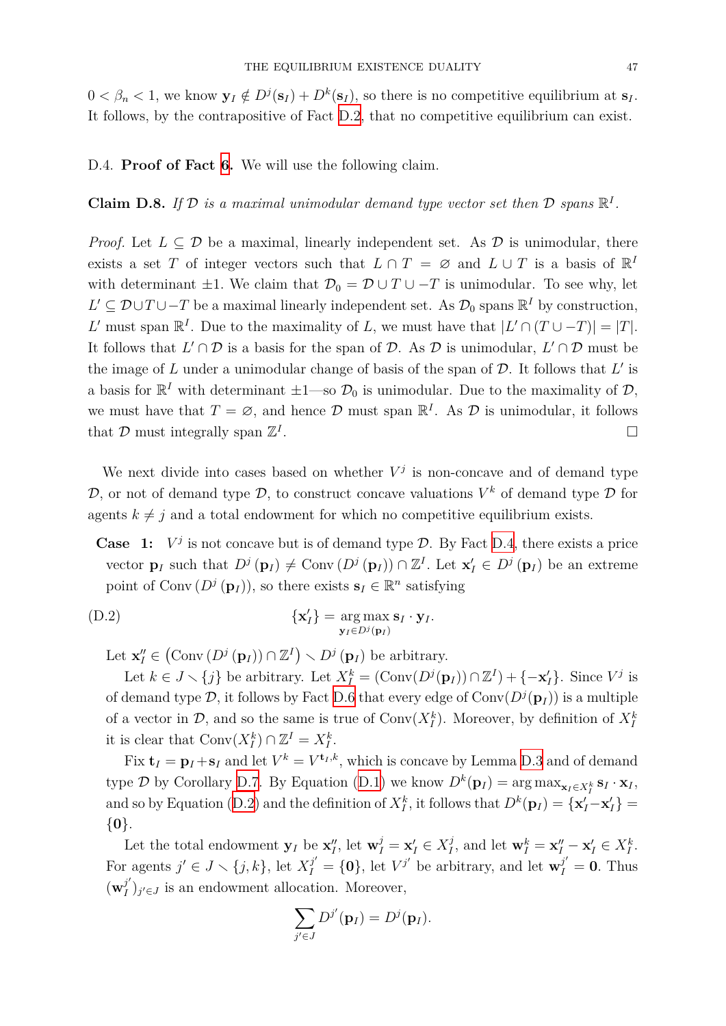$0 < \beta_n < 1$ , we know  $\mathbf{y}_I \notin D^j(\mathbf{s}_I) + D^k(\mathbf{s}_I)$ , so there is no competitive equilibrium at  $\mathbf{s}_I$ . It follows, by the contrapositive of Fact D.2, that no competitive equilibrium can exist.

D.4. **Proof of Fact 6.** We will use the [foll](#page-42-0)owing claim.

# **Claim D.8.** If  $D$  is a maximal unimodular demand type vector set then  $D$  spans  $\mathbb{R}^I$ .

*Proof.* Let  $L \subseteq \mathcal{D}$  be a maximal, linearly independent set. As  $\mathcal{D}$  is unimodular, there exists a set *T* of integer vectors such that  $L \cap T = \emptyset$  and  $L \cup T$  is a basis of  $\mathbb{R}^I$ with determinant  $\pm 1$ . We claim that  $\mathcal{D}_0 = \mathcal{D} \cup T \cup -T$  is unimodular. To see why, let *L*' ⊆  $\mathcal{D} \cup T \cup -T$  be a maximal linearly independent set. As  $\mathcal{D}_0$  spans  $\mathbb{R}^I$  by construction, *L*<sup> $\prime$ </sup> must span  $\mathbb{R}^I$ . Due to the maximality of *L*, we must have that  $|L' \cap (T \cup -T)| = |T|$ . It follows that  $L' \cap D$  is a basis for the span of *D*. As *D* is unimodular,  $L' \cap D$  must be the image of *L* under a unimodular change of basis of the span of *D*. It follows that *L ′* is a basis for  $\mathbb{R}^I$  with determinant  $\pm 1$ —so  $\mathcal{D}_0$  is unimodular. Due to the maximality of  $\mathcal{D}$ *,* we must have that  $T = \emptyset$ , and hence  $\mathcal{D}$  must span  $\mathbb{R}^I$ . As  $\mathcal{D}$  is unimodular, it follows that  $D$  must integrally span  $\mathbb{Z}^I$ . □

We next divide into cases based on whether  $V^j$  is non-concave and of demand type  $D$ , or not of demand type  $D$ , to construct concave valuations  $V^k$  of demand type  $D$  for agents  $k \neq j$  and a total endowment for which no competitive equilibrium exists.

**Case** 1:  $V^j$  is not concave but is of demand type  $\mathcal{D}$ . By Fact D.4, there exists a price vector  $\mathbf{p}_I$  such that  $D^j(\mathbf{p}_I) \neq \text{Conv}(D^j(\mathbf{p}_I)) \cap \mathbb{Z}^I$ . Let  $\mathbf{x}'_I \in D^j(\mathbf{p}_I)$  be an extreme point of Conv  $(D^j(\mathbf{p}_I))$ , so there exists  $\mathbf{s}_I \in \mathbb{R}^n$  satisfying

$$
\{\mathbf x'_I\} = \underset{\mathbf y_I \in D^j(\mathbf p_I)}{\arg \max} \mathbf s_I \cdot \mathbf y_I.
$$

<span id="page-46-0"></span>Let  $\mathbf{x}''_I \in (\text{Conv}(D^j(\mathbf{p}_I)) \cap \mathbb{Z}^I) \setminus D^j(\mathbf{p}_I)$  be arbitrary.

Let  $k \in J \setminus \{j\}$  be arbitrary. Let  $X_I^k = (\text{Conv}(D^j(\mathbf{p}_I)) \cap \mathbb{Z}^I) + \{-\mathbf{x}_I'\}$ . Since  $V^j$  is of demand type  $\mathcal{D}$ , it follows by Fact D.6 that every edge of  $Conv(D^{j}(\mathbf{p}_{I}))$  is a multiple of a vector in  $\mathcal{D}$ , and so the same is true of  $Conv(X_I^k)$ . Moreover, by definition of  $X_I^k$ it is clear that  $Conv(X_I^k) \cap \mathbb{Z}^I = X_I^k$ .

Fix  $\mathbf{t}_I = \mathbf{p}_I + \mathbf{s}_I$  and let  $V^k = V^{\mathbf{t}_I, k}$ [, w](#page-42-3)hich is concave by Lemma D.3 and of demand type  $\mathcal{D}$  by Corollary D.7. By Equation (D.1) we know  $D^k(\mathbf{p}_I) = \arg \max_{\mathbf{x}_I \in X_I^k} \mathbf{s}_I \cdot \mathbf{x}_I$ , and so by Equation (D.2) and the definition of  $X_I^k$  $X_I^k$  $X_I^k$ , it follows that  $D^k(\mathbf{p}_I) = {\mathbf{x}'_I - \mathbf{x}'_I} =$ *{***0***}*.

Let the total end[owm](#page-43-0)ent  $\mathbf{y}_I$  be  $\mathbf{x}''_I$ , let  $\mathbf{w}^j_I = \mathbf{x}'_I \in X^j_I$  $\mathbf{w}^j_I = \mathbf{x}'_I \in X^j_I$  $\mathbf{w}^j_I = \mathbf{x}'_I \in X^j_I$  $\mathbf{x}_I^j$ , and let  $\mathbf{w}_I^k = \mathbf{x}_I'' - \mathbf{x}_I' \in X_I^k$ . For agents  $j' \in J \setminus \{j,k\}$ , let  $X_I^{j'} = \{0\}$ , let  $V^{j'}$  be arbitrary, and let  $\mathbf{w}_I^{j'} = \mathbf{0}$ . Thus  $(\mathbf{w}_I^{j'}$  $J'(I)_{j' \in J}$  is an endowment allocation. Moreover,

$$
\sum_{j'\in J}D^{j'}(\mathbf{p}_I)=D^j(\mathbf{p}_I).
$$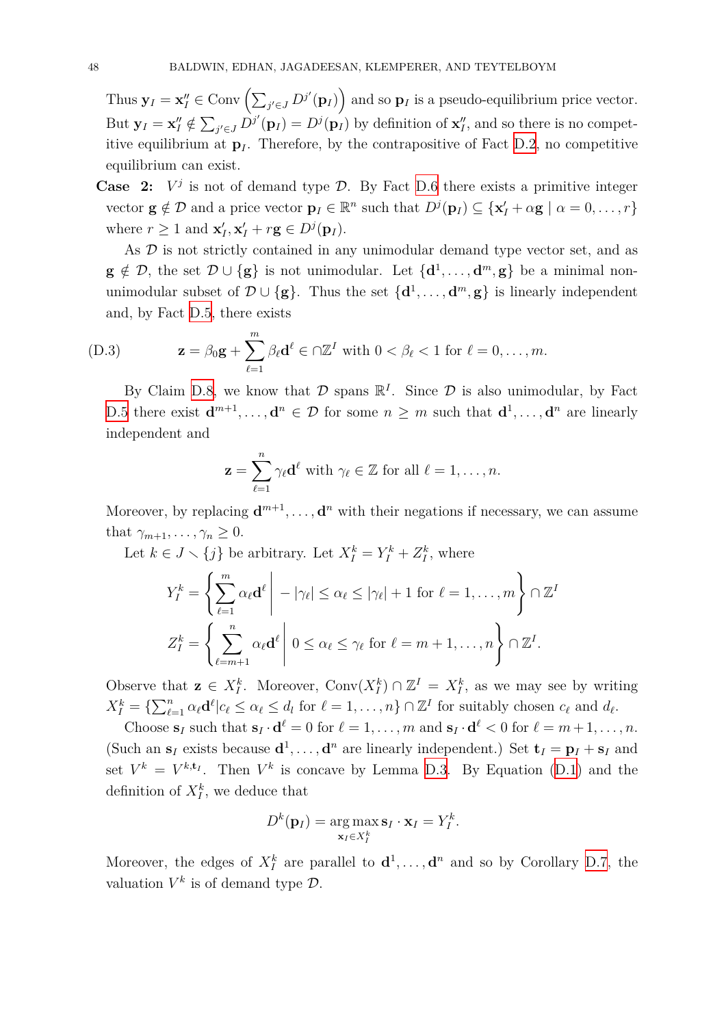Thus  $\mathbf{y}_I = \mathbf{x}''_I \in \text{Conv}\left(\sum_{j' \in J} D^{j'}(\mathbf{p}_I)\right)$  and so  $\mathbf{p}_I$  is a pseudo-equilibrium price vector. But  $\mathbf{y}_I = \mathbf{x}_I'' \notin \sum_{j' \in J} D^{j'}(\mathbf{p}_I) = D^{j}(\mathbf{p}_I)$  by definition of  $\mathbf{x}_I''$ , and so there is no competitive equilibrium at  $\mathbf{p}_I$ . Therefore, by the contrapositive of Fact D.2, no competitive equilibrium can exist.

**Case 2:**  $V^j$  is not of demand type  $\mathcal{D}$ . By Fact D.6 there exists a primitive integer vector  $\mathbf{g} \notin \mathcal{D}$  and a price vector  $\mathbf{p}_I \in \mathbb{R}^n$  such that  $D^j(\mathbf{p}_I) \subseteq {\mathbf{x}'_I + \alpha \mathbf{g} \mid \alpha = 0, \ldots, r}$ where  $r \geq 1$  and  $\mathbf{x}'_I, \mathbf{x}'_I + r\mathbf{g} \in D^j(\mathbf{p}_I)$ .

As  $D$  is not strictly contained in any unimod[ular](#page-42-3) demand type vector set, and as **g**  $\notin \mathcal{D}$ , the set  $\mathcal{D} \cup \{\mathbf{g}\}\$ is not unimodular. Let  $\{\mathbf{d}^1, \ldots, \mathbf{d}^m, \mathbf{g}\}\$ be a minimal nonunimodular subset of  $\mathcal{D} \cup \{g\}$ . Thus the set  $\{d^1, \ldots, d^m, g\}$  is linearly independent and, by Fact D.5, there exists

(D.3) 
$$
\mathbf{z} = \beta_0 \mathbf{g} + \sum_{\ell=1}^m \beta_\ell \mathbf{d}^\ell \in \cap \mathbb{Z}^I \text{ with } 0 < \beta_\ell < 1 \text{ for } \ell = 0, \ldots, m.
$$

By Claim D.8, we know that  $D$  spans  $\mathbb{R}^I$ . Since  $D$  is also unimodular, by Fact D.5 there exist  $\mathbf{d}^{m+1}, \ldots, \mathbf{d}^n \in \mathcal{D}$  for some  $n \geq m$  such that  $\mathbf{d}^1, \ldots, \mathbf{d}^n$  are linearly independent and

<span id="page-47-0"></span>
$$
\mathbf{z} = \sum_{\ell=1}^n \gamma_\ell \mathbf{d}^\ell \text{ with } \gamma_\ell \in \mathbb{Z} \text{ for all } \ell = 1, \ldots, n.
$$

Moreover, by replacing  $\mathbf{d}^{m+1}, \ldots, \mathbf{d}^n$  with their negations if necessary, we can assume that  $\gamma_{m+1}, \ldots, \gamma_n \geq 0$ .

Let  $k \in J \setminus \{j\}$  be arbitrary. Let  $X_I^k = Y_I^k + Z_I^k$ , where

$$
Y_I^k = \left\{ \sum_{\ell=1}^m \alpha_\ell \mathbf{d}^\ell \middle| - |\gamma_\ell| \le \alpha_\ell \le |\gamma_\ell| + 1 \text{ for } \ell = 1, \dots, m \right\} \cap \mathbb{Z}^I
$$
  

$$
Z_I^k = \left\{ \sum_{\ell=m+1}^n \alpha_\ell \mathbf{d}^\ell \middle| 0 \le \alpha_\ell \le \gamma_\ell \text{ for } \ell = m+1, \dots, n \right\} \cap \mathbb{Z}^I.
$$

Observe that  $\mathbf{z} \in X_I^k$ . Moreover, Conv $(X_I^k) \cap \mathbb{Z}^I = X_I^k$ , as we may see by writing  $X_I^k = \{ \sum_{\ell=1}^n \alpha_\ell \mathbf{d}^\ell | c_\ell \leq \alpha_\ell \leq d_l \text{ for } \ell = 1,\ldots,n \} \cap \mathbb{Z}^I \text{ for suitably chosen } c_\ell \text{ and } d_\ell.$ 

Choose  $\mathbf{s}_I$  such that  $\mathbf{s}_I \cdot \mathbf{d}^\ell = 0$  for  $\ell = 1, \ldots, m$  and  $\mathbf{s}_I \cdot \mathbf{d}^\ell < 0$  for  $\ell = m+1, \ldots, n$ . (Such an  $\mathbf{s}_I$  exists because  $\mathbf{d}^1, \ldots, \mathbf{d}^n$  are linearly independent.) Set  $\mathbf{t}_I = \mathbf{p}_I + \mathbf{s}_I$  and set  $V^k = V^{k,t_I}$ . Then  $V^k$  is concave by Lemma D.3. By Equation (D.1) and the definition of  $X_I^k$ , we deduce that

$$
D^{k}(\mathbf{p}_{I}) = \underset{\mathbf{x}_{I} \in X_{I}^{k}}{\arg \max \mathbf{s}_{I} \cdot \mathbf{x}_{I}} = Y_{I}^{k}.
$$

Moreover, the edges of  $X_I^k$  are parallel to  $\mathbf{d}^1, \ldots, \mathbf{d}^n$  and so by Corollary D.7, the valuation  $V^k$  is of demand type  $\mathcal{D}$ .